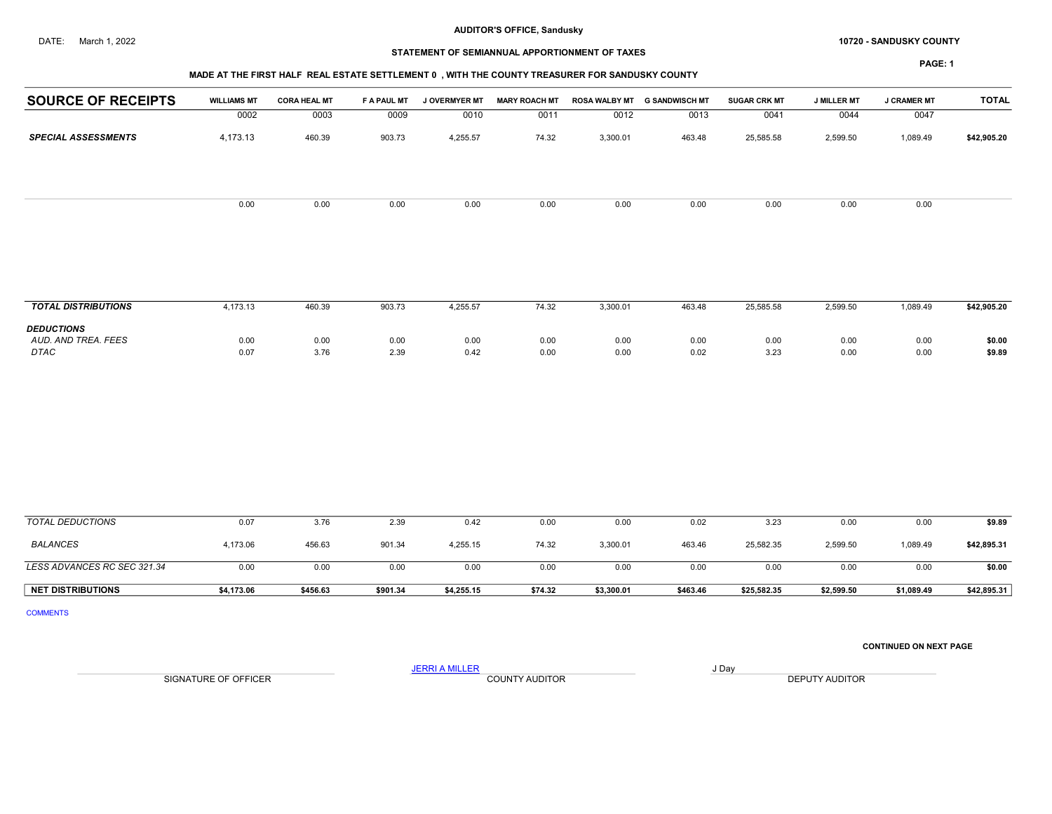#### DATE: March 1, 2022 **10720 - SANDUSKY COUNTY 10720 - SANDUSKY COUNTY**

## STATEMENT OF SEMIANNUAL APPORTIONMENT OF TAXES

PAGE: 1

# MADE AT THE FIRST HALF REAL ESTATE SETTLEMENT 0 , WITH THE COUNTY TREASURER FOR SANDUSKY COUNTY

|                            |                    | <b>MIADE AT THE FINGT HALL INCAL LOTATE OLITELMENT 0</b> , WITH THE COUNTT INCADUNENT ON OANDOONT COUNTT |                    |                      |                      |                      |                       |                     |                    |                    |              |
|----------------------------|--------------------|----------------------------------------------------------------------------------------------------------|--------------------|----------------------|----------------------|----------------------|-----------------------|---------------------|--------------------|--------------------|--------------|
| <b>SOURCE OF RECEIPTS</b>  | <b>WILLIAMS MT</b> | <b>CORA HEAL MT</b>                                                                                      | <b>F A PAUL MT</b> | <b>J OVERMYER MT</b> | <b>MARY ROACH MT</b> | <b>ROSA WALBY MT</b> | <b>G SANDWISCH MT</b> | <b>SUGAR CRK MT</b> | <b>J MILLER MT</b> | <b>J CRAMER MT</b> | <b>TOTAL</b> |
|                            | 0002               | 0003                                                                                                     | 0009               | 0010                 | 0011                 | 0012                 | 0013                  | 0041                | 0044               | 0047               |              |
| <b>SPECIAL ASSESSMENTS</b> | 4,173.13           | 460.39                                                                                                   | 903.73             | 4,255.57             | 74.32                | 3,300.01             | 463.48                | 25,585.58           | 2,599.50           | 1,089.49           | \$42,905.20  |
|                            |                    |                                                                                                          |                    |                      |                      |                      |                       |                     |                    |                    |              |
|                            | 0.00               | 0.00                                                                                                     | 0.00               | 0.00                 | 0.00                 | 0.00                 | 0.00                  | 0.00                | 0.00               | 0.00               |              |
|                            |                    |                                                                                                          |                    |                      |                      |                      |                       |                     |                    |                    |              |
|                            |                    |                                                                                                          |                    |                      |                      |                      |                       |                     |                    |                    |              |

| <b>TOTAL DISTRIBUTIONS</b>                              | 4.173.13     | 460.39       | 903.73       | 4,255.57     | 74.32        | 3,300.01     | 463.48       | 25.585.58    | 2,599.50     | ,089.49      | \$42,905.20      |
|---------------------------------------------------------|--------------|--------------|--------------|--------------|--------------|--------------|--------------|--------------|--------------|--------------|------------------|
| <b>DEDUCTIONS</b><br>AUD, AND TREA, FEES<br><b>DTAC</b> | 0.00<br>0.07 | 0.00<br>3.76 | 0.00<br>2.39 | 0.00<br>0.42 | 0.00<br>0.00 | 0.00<br>0.00 | 0.00<br>0.02 | 0.00<br>3.23 | 0.00<br>0.00 | 0.00<br>0.00 | \$0.00<br>\$9.89 |

| TOTAL DEDUCTIONS            | 0.07       | 3.76     | 2.39     | 0.42       | 0.00    | 0.00       | 0.02     | 3.23        | 0.00       | 0.00       | \$9.89      |
|-----------------------------|------------|----------|----------|------------|---------|------------|----------|-------------|------------|------------|-------------|
| <b>BALANCES</b>             | 4,173.06   | 456.63   | 901.34   | 4,255.15   | 74.32   | 3,300.01   | 463.46   | 25.582.35   | 2,599.50   | 089.49. ا  | \$42,895.31 |
| LESS ADVANCES RC SEC 321.34 | 0.00       | 0.00     | 0.00     | 0.00       | 0.00    | 0.00       | 0.00     | 0.00        | 0.00       | 0.00       | \$0.00      |
| <b>NET DISTRIBUTIONS</b>    | \$4.173.06 | \$456.63 | \$901.34 | \$4.255.15 | \$74.32 | \$3.300.01 | \$463.46 | \$25.582.35 | \$2,599.50 | \$1.089.49 | \$42,895.31 |

COMMENTS

#### CONTINUED ON NEXT PAGE

SIGNATURE OF OFFICER **EXECUTE A COUNTY AUDITOR** COUNTY AUDITOR **DEPUTY AUDITOR** 

JERRI A MILLER COUNTY AUDITOR **Finally COUNTY AUDITOR**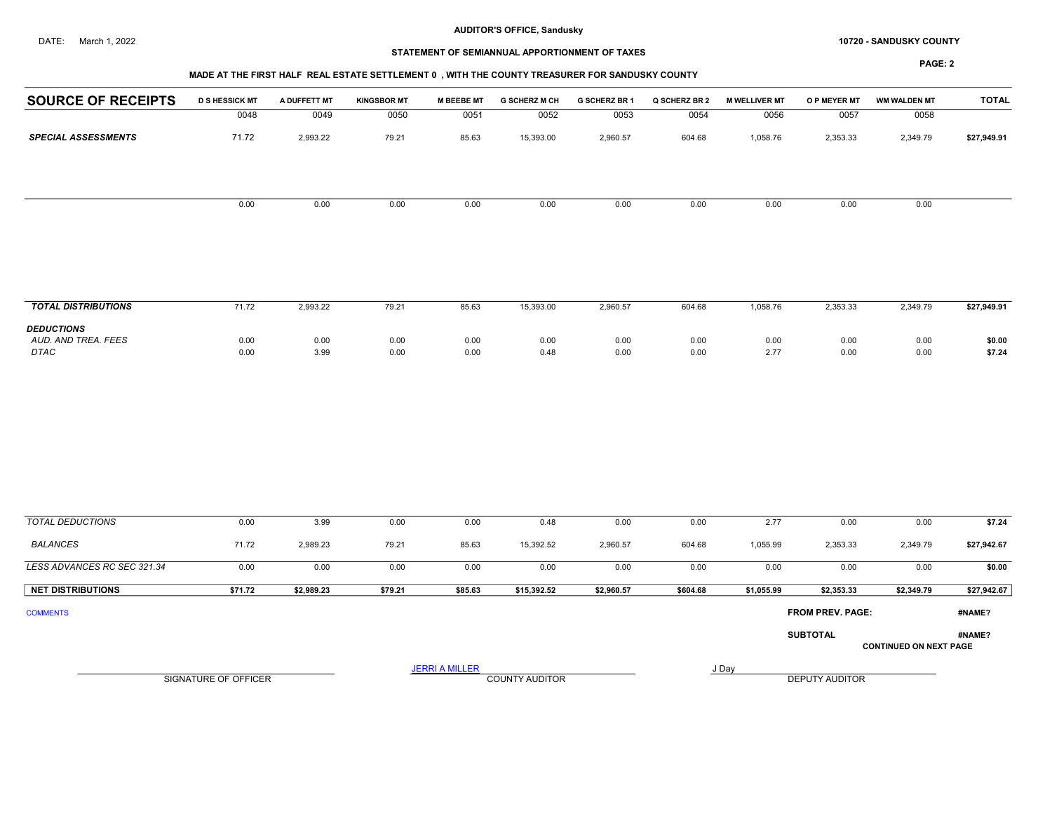#### DATE: March 1, 2022 **10720 - SANDUSKY COUNTY 10720 - SANDUSKY COUNTY**

# STATEMENT OF SEMIANNUAL APPORTIONMENT OF TAXES

#### MADE AT THE FIRST HALF REAL ESTATE SETTLEMENT 0 , WITH THE COUNTY TREASURER FOR SANDUSKY COUNTY

| <b>SOURCE OF RECEIPTS</b>                               | <b>D S HESSICK MT</b> | A DUFFETT MT | <b>KINGSBOR MT</b> | <b>M BEEBE MT</b>     | <b>G SCHERZ M CH</b>  | G SCHERZ BR 1 | Q SCHERZ BR 2 | <b>M WELLIVER MT</b> | O P MEYER MT          | <b>WM WALDEN MT</b>           | <b>TOTAL</b>     |
|---------------------------------------------------------|-----------------------|--------------|--------------------|-----------------------|-----------------------|---------------|---------------|----------------------|-----------------------|-------------------------------|------------------|
|                                                         | 0048                  | 0049         | 0050               | 0051                  | 0052                  | 0053          | 0054          | 0056                 | 0057                  | 0058                          |                  |
| <b>SPECIAL ASSESSMENTS</b>                              | 71.72                 | 2,993.22     | 79.21              | 85.63                 | 15,393.00             | 2,960.57      | 604.68        | 1,058.76             | 2,353.33              | 2,349.79                      | \$27,949.91      |
|                                                         |                       |              |                    |                       |                       |               |               |                      |                       |                               |                  |
|                                                         | 0.00                  | 0.00         | 0.00               | 0.00                  | 0.00                  | 0.00          | 0.00          | 0.00                 | 0.00                  | 0.00                          |                  |
|                                                         |                       |              |                    |                       |                       |               |               |                      |                       |                               |                  |
| <b>TOTAL DISTRIBUTIONS</b>                              | 71.72                 | 2,993.22     | 79.21              | 85.63                 | 15,393.00             | 2,960.57      | 604.68        | 1,058.76             | 2,353.33              | 2,349.79                      | \$27,949.91      |
| <b>DEDUCTIONS</b><br>AUD. AND TREA. FEES<br><b>DTAC</b> | 0.00<br>0.00          | 0.00<br>3.99 | 0.00<br>0.00       | 0.00<br>0.00          | 0.00<br>0.48          | 0.00<br>0.00  | 0.00<br>0.00  | 0.00<br>2.77         | 0.00<br>0.00          | 0.00<br>0.00                  | \$0.00<br>\$7.24 |
|                                                         |                       |              |                    |                       |                       |               |               |                      |                       |                               |                  |
| <b>TOTAL DEDUCTIONS</b>                                 | 0.00                  | 3.99         | 0.00               | 0.00                  | 0.48                  | 0.00          | 0.00          | 2.77                 | 0.00                  | 0.00                          | \$7.24           |
| <b>BALANCES</b>                                         | 71.72                 | 2,989.23     | 79.21              | 85.63                 | 15,392.52             | 2,960.57      | 604.68        | 1,055.99             | 2,353.33              | 2,349.79                      | \$27,942.67      |
| LESS ADVANCES RC SEC 321.34                             | 0.00                  | 0.00         | 0.00               | 0.00                  | 0.00                  | 0.00          | 0.00          | 0.00                 | 0.00                  | 0.00                          | \$0.00           |
| <b>NET DISTRIBUTIONS</b>                                | \$71.72               | \$2,989.23   | \$79.21            | \$85.63               | \$15,392.52           | \$2,960.57    | \$604.68      | \$1,055.99           | \$2,353.33            | \$2,349.79                    | \$27,942.67      |
| <b>COMMENTS</b>                                         |                       |              |                    |                       |                       |               |               |                      | FROM PREV. PAGE:      |                               | #NAME?           |
|                                                         |                       |              |                    |                       |                       |               |               |                      | <b>SUBTOTAL</b>       | <b>CONTINUED ON NEXT PAGE</b> | #NAME?           |
|                                                         |                       |              |                    | <b>JERRI A MILLER</b> |                       |               |               | J Day                |                       |                               |                  |
|                                                         | SIGNATURE OF OFFICER  |              |                    |                       | <b>COUNTY AUDITOR</b> |               |               |                      | <b>DEPUTY AUDITOR</b> |                               |                  |
|                                                         |                       |              |                    |                       |                       |               |               |                      |                       |                               |                  |
|                                                         |                       |              |                    |                       |                       |               |               |                      |                       |                               |                  |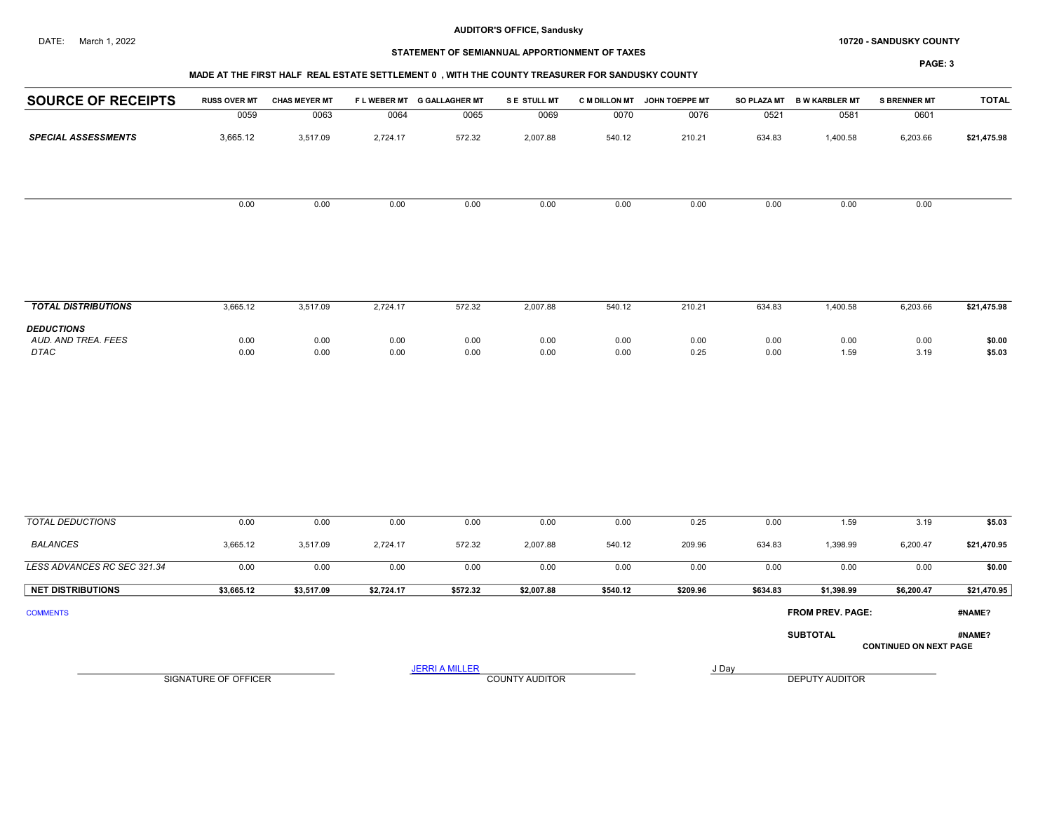#### DATE: March 1, 2022 **10720 - SANDUSKY COUNTY 10720 - SANDUSKY COUNTY**

# STATEMENT OF SEMIANNUAL APPORTIONMENT OF TAXES

#### PAGE: 3

## MADE AT THE FIRST HALF REAL ESTATE SETTLEMENT 0 , WITH THE COUNTY TREASURER FOR SANDUSKY COUNTY

| <b>SOURCE OF RECEIPTS</b>                        | <b>RUSS OVER MT</b>  | <b>CHAS MEYER MT</b> |              | FLWEBER MT G GALLAGHER MT | S E STULL MT          |              | C M DILLON MT JOHN TOEPPE MT |              | SO PLAZA MT B W KARBLER MT | <b>S BRENNER MT</b>           | <b>TOTAL</b>     |
|--------------------------------------------------|----------------------|----------------------|--------------|---------------------------|-----------------------|--------------|------------------------------|--------------|----------------------------|-------------------------------|------------------|
|                                                  | 0059                 | 0063                 | 0064         | 0065                      | 0069                  | 0070         | 0076                         | 0521         | 0581                       | 0601                          |                  |
| <b>SPECIAL ASSESSMENTS</b>                       | 3,665.12             | 3,517.09             | 2,724.17     | 572.32                    | 2,007.88              | 540.12       | 210.21                       | 634.83       | 1,400.58                   | 6,203.66                      | \$21,475.98      |
|                                                  | 0.00                 | 0.00                 | 0.00         | 0.00                      | 0.00                  | 0.00         | 0.00                         | 0.00         | 0.00                       | 0.00                          |                  |
|                                                  |                      |                      |              |                           |                       |              |                              |              |                            |                               |                  |
| <b>TOTAL DISTRIBUTIONS</b>                       | 3,665.12             | 3,517.09             | 2,724.17     | 572.32                    | 2,007.88              | 540.12       | 210.21                       | 634.83       | 1,400.58                   | 6,203.66                      | \$21,475.98      |
| <b>DEDUCTIONS</b><br>AUD. AND TREA. FEES<br>DTAC | 0.00<br>0.00         | 0.00<br>0.00         | 0.00<br>0.00 | 0.00<br>0.00              | 0.00<br>0.00          | 0.00<br>0.00 | 0.00<br>0.25                 | 0.00<br>0.00 | 0.00<br>1.59               | 0.00<br>3.19                  | \$0.00<br>\$5.03 |
|                                                  |                      |                      |              |                           |                       |              |                              |              |                            |                               |                  |
| <b>TOTAL DEDUCTIONS</b>                          | 0.00                 | 0.00                 | 0.00         | 0.00                      | 0.00                  | 0.00         | 0.25                         | 0.00         | 1.59                       | 3.19                          | \$5.03           |
| <b>BALANCES</b>                                  | 3,665.12             | 3,517.09             | 2,724.17     | 572.32                    | 2,007.88              | 540.12       | 209.96                       | 634.83       | 1,398.99                   | 6,200.47                      | \$21,470.95      |
| LESS ADVANCES RC SEC 321.34                      | 0.00                 | 0.00                 | 0.00         | 0.00                      | 0.00                  | 0.00         | 0.00                         | 0.00         | 0.00                       | 0.00                          | \$0.00           |
| <b>NET DISTRIBUTIONS</b>                         | \$3,665.12           | \$3,517.09           | \$2,724.17   | \$572.32                  | \$2,007.88            | \$540.12     | \$209.96                     | \$634.83     | \$1,398.99                 | \$6,200.47                    | \$21,470.95      |
| <b>COMMENTS</b>                                  |                      |                      |              |                           |                       |              |                              |              | FROM PREV. PAGE:           |                               | #NAME?           |
|                                                  |                      |                      |              |                           |                       |              |                              |              | <b>SUBTOTAL</b>            | <b>CONTINUED ON NEXT PAGE</b> | #NAME?           |
|                                                  |                      |                      |              | <b>JERRI A MILLER</b>     |                       |              |                              | J Day        |                            |                               |                  |
|                                                  | SIGNATURE OF OFFICER |                      |              |                           | <b>COUNTY AUDITOR</b> |              |                              |              | DEPUTY AUDITOR             |                               |                  |
|                                                  |                      |                      |              |                           |                       |              |                              |              |                            |                               |                  |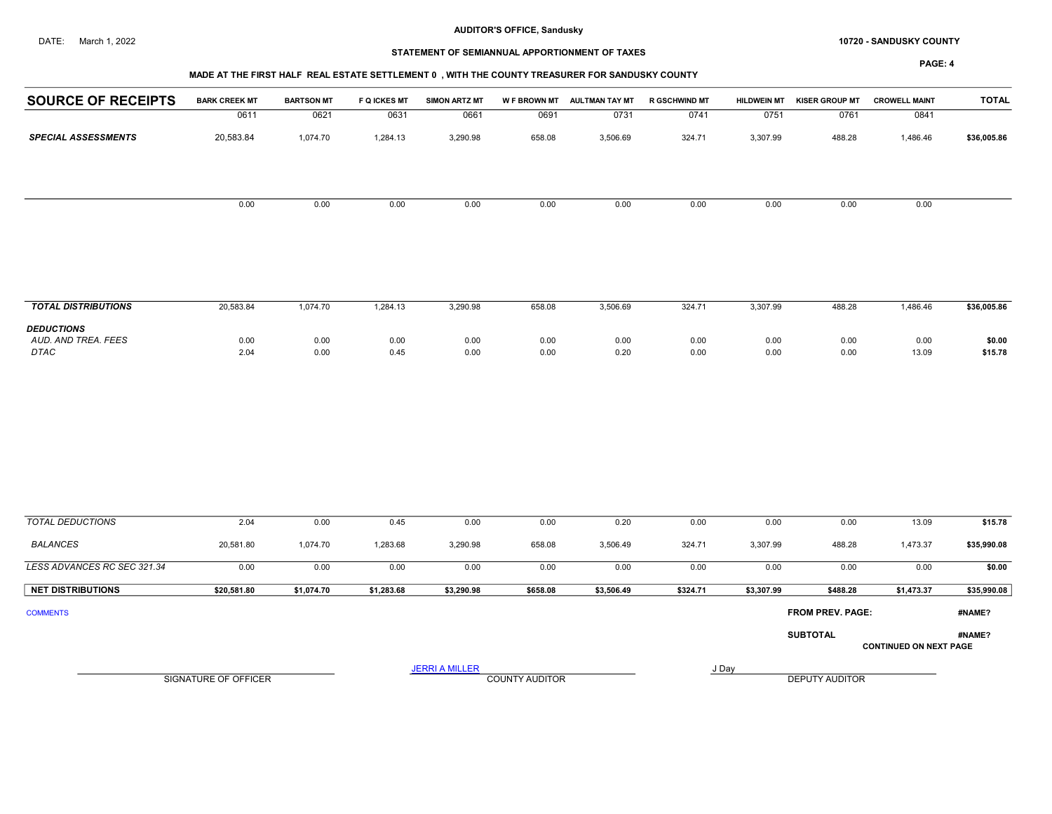#### DATE: March 1, 2022 **10720 - SANDUSKY COUNTY 10720 - SANDUSKY COUNTY**

# STATEMENT OF SEMIANNUAL APPORTIONMENT OF TAXES

#### PAGE: 4

## MADE AT THE FIRST HALF REAL ESTATE SETTLEMENT 0 , WITH THE COUNTY TREASURER FOR SANDUSKY COUNTY

| 0611<br>20,583.84 | 0621<br>1,074.70 | 0631                        | 0661         | 0691                  | 0731         | 0741                  | 0751         | 0761         | 0841            |                                                                            |
|-------------------|------------------|-----------------------------|--------------|-----------------------|--------------|-----------------------|--------------|--------------|-----------------|----------------------------------------------------------------------------|
|                   |                  |                             |              |                       |              |                       |              |              |                 |                                                                            |
|                   |                  | 1,284.13                    | 3,290.98     | 658.08                | 3,506.69     | 324.71                | 3,307.99     | 488.28       | 1,486.46        | \$36,005.86                                                                |
| 0.00              | 0.00             | 0.00                        | 0.00         | 0.00                  | 0.00         | 0.00                  | 0.00         | 0.00         | 0.00            |                                                                            |
|                   |                  |                             |              |                       |              |                       |              |              |                 |                                                                            |
| 20,583.84         | 1,074.70         | 1,284.13                    | 3,290.98     | 658.08                | 3,506.69     | 324.71                | 3,307.99     | 488.28       | 1,486.46        | \$36,005.86                                                                |
|                   |                  |                             |              |                       |              |                       |              |              |                 |                                                                            |
| 0.00<br>2.04      | 0.00<br>0.00     | 0.00<br>0.45                | 0.00<br>0.00 | 0.00<br>0.00          | 0.00<br>0.20 | 0.00<br>0.00          | 0.00<br>0.00 | 0.00<br>0.00 | 0.00<br>13.09   | \$0.00<br>\$15.78                                                          |
|                   |                  |                             |              |                       |              |                       |              |              |                 |                                                                            |
| 2.04              | 0.00             | 0.45                        | 0.00         | 0.00                  | 0.20         | 0.00                  | 0.00         | 0.00         | 13.09           | \$15.78                                                                    |
| 20,581.80         | 1,074.70         | 1,283.68                    | 3,290.98     | 658.08                | 3,506.49     | 324.71                | 3,307.99     | 488.28       | 1,473.37        | \$35,990.08                                                                |
| 0.00              | 0.00             | 0.00                        | 0.00         | 0.00                  | 0.00         | 0.00                  | 0.00         | 0.00         | 0.00            | \$0.00                                                                     |
| \$20,581.80       | \$1,074.70       | \$1,283.68                  | \$3,290.98   | \$658.08              | \$3,506.49   | \$324.71              | \$3,307.99   | \$488.28     | \$1,473.37      | \$35,990.08                                                                |
|                   |                  |                             |              |                       |              |                       |              |              |                 | #NAME?                                                                     |
|                   |                  |                             |              |                       |              |                       |              |              |                 | #NAME?                                                                     |
|                   |                  |                             |              |                       |              |                       |              |              |                 |                                                                            |
|                   |                  |                             |              |                       |              |                       |              |              |                 |                                                                            |
|                   |                  |                             |              |                       |              |                       |              |              |                 |                                                                            |
|                   |                  | <b>SIGNATURE OF OFFICER</b> |              | <b>JERRI A MILLER</b> |              | <b>COUNTY AUDITOR</b> |              | J Day        | <b>SUBTOTAL</b> | FROM PREV. PAGE:<br><b>CONTINUED ON NEXT PAGE</b><br><b>DEPUTY AUDITOR</b> |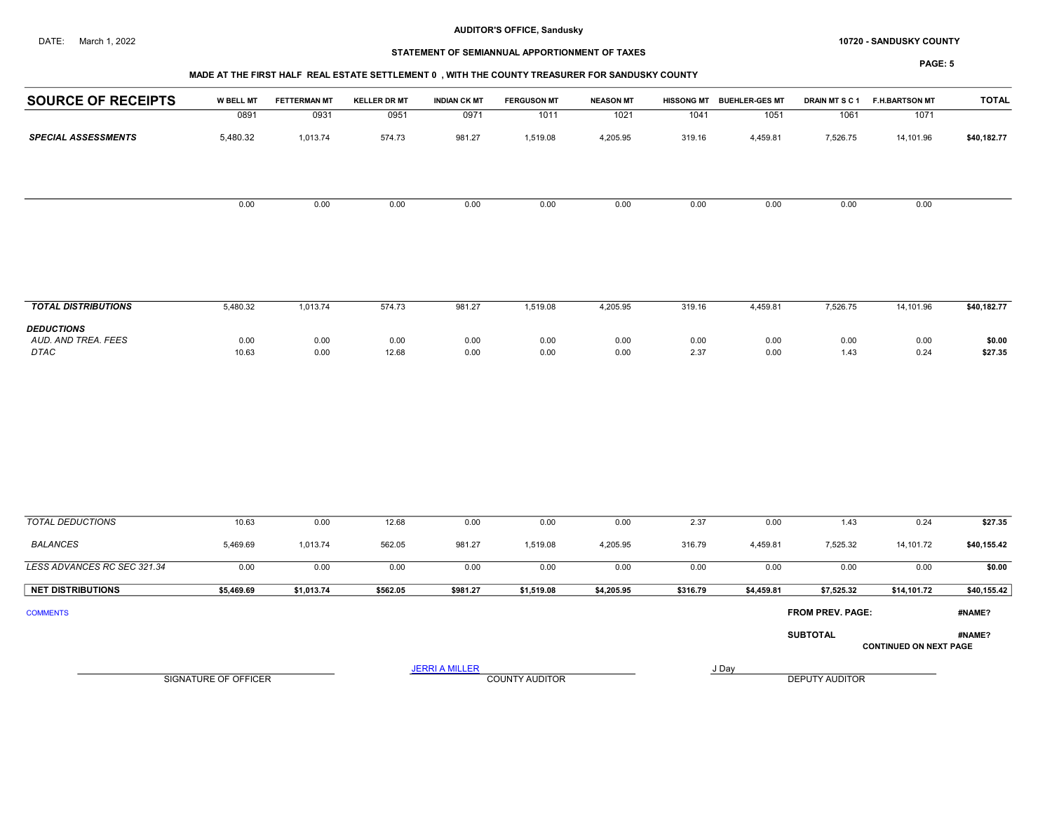#### DATE: March 1, 2022 **10720 - SANDUSKY COUNTY 10720 - SANDUSKY COUNTY**

## STATEMENT OF SEMIANNUAL APPORTIONMENT OF TAXES

| <b>SOURCE OF RECEIPTS</b>                        | W BELL MT            | <b>FETTERMAN MT</b> | <b>KELLER DR MT</b> | <b>INDIAN CK MT</b>   | <b>FERGUSON MT</b>    | <b>NEASON MT</b> |              | HISSONG MT BUEHLER-GES MT | DRAIN MTSC1             | <b>F.H.BARTSON MT</b>         | <b>TOTAL</b>      |
|--------------------------------------------------|----------------------|---------------------|---------------------|-----------------------|-----------------------|------------------|--------------|---------------------------|-------------------------|-------------------------------|-------------------|
|                                                  | 0891                 | 0931                | 0951                | 0971                  | 1011                  | 1021             | 1041         | 1051                      | 1061                    | 1071                          |                   |
| <b>SPECIAL ASSESSMENTS</b>                       | 5,480.32             | 1,013.74            | 574.73              | 981.27                | 1,519.08              | 4,205.95         | 319.16       | 4,459.81                  | 7,526.75                | 14,101.96                     | \$40,182.77       |
|                                                  | 0.00                 | 0.00                | 0.00                | 0.00                  | 0.00                  | 0.00             | 0.00         | 0.00                      | 0.00                    | 0.00                          |                   |
|                                                  |                      |                     |                     |                       |                       |                  |              |                           |                         |                               |                   |
| <b>TOTAL DISTRIBUTIONS</b>                       | 5,480.32             | 1,013.74            | 574.73              | 981.27                | 1,519.08              | 4,205.95         | 319.16       | 4,459.81                  | 7,526.75                | 14,101.96                     | \$40,182.77       |
| <b>DEDUCTIONS</b><br>AUD. AND TREA. FEES<br>DTAC | 0.00<br>10.63        | 0.00<br>0.00        | 0.00<br>12.68       | 0.00<br>0.00          | 0.00<br>0.00          | 0.00<br>0.00     | 0.00<br>2.37 | 0.00<br>0.00              | 0.00<br>1.43            | 0.00<br>0.24                  | \$0.00<br>\$27.35 |
|                                                  |                      |                     |                     |                       |                       |                  |              |                           |                         |                               |                   |
| <b>TOTAL DEDUCTIONS</b>                          | 10.63                | 0.00                | 12.68               | 0.00                  | 0.00                  | 0.00             | 2.37         | 0.00                      | 1.43                    | 0.24                          | \$27.35           |
| <b>BALANCES</b>                                  | 5,469.69             | 1,013.74            | 562.05              | 981.27                | 1,519.08              | 4,205.95         | 316.79       | 4,459.81                  | 7,525.32                | 14,101.72                     | \$40,155.42       |
| LESS ADVANCES RC SEC 321.34                      | 0.00                 | 0.00                | 0.00                | 0.00                  | 0.00                  | 0.00             | 0.00         | 0.00                      | 0.00                    | 0.00                          | \$0.00            |
| <b>NET DISTRIBUTIONS</b>                         | \$5,469.69           | \$1,013.74          | \$562.05            | \$981.27              | \$1,519.08            | \$4,205.95       | \$316.79     | \$4,459.81                | \$7,525.32              | \$14,101.72                   | \$40,155.42       |
| <b>COMMENTS</b>                                  |                      |                     |                     |                       |                       |                  |              |                           | <b>FROM PREV. PAGE:</b> |                               | #NAME?            |
|                                                  |                      |                     |                     |                       |                       |                  |              |                           | <b>SUBTOTAL</b>         | <b>CONTINUED ON NEXT PAGE</b> | #NAME?            |
|                                                  | SIGNATURE OF OFFICER |                     |                     | <b>JERRI A MILLER</b> | <b>COUNTY AUDITOR</b> |                  |              | J Day                     | <b>DEPUTY AUDITOR</b>   |                               |                   |
|                                                  |                      |                     |                     |                       |                       |                  |              |                           |                         |                               |                   |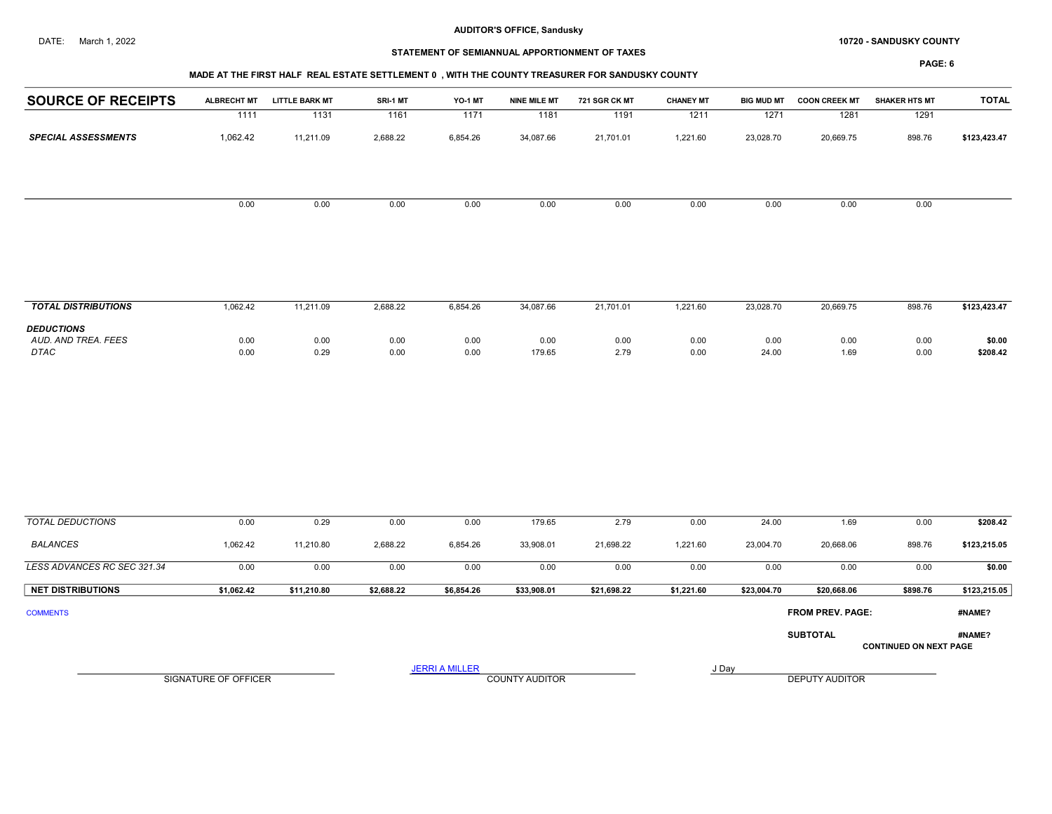#### DATE: March 1, 2022 **10720 - SANDUSKY COUNTY 10720 - SANDUSKY COUNTY**

## STATEMENT OF SEMIANNUAL APPORTIONMENT OF TAXES

PAGE: 6

## MADE AT THE FIRST HALF REAL ESTATE SETTLEMENT 0 , WITH THE COUNTY TREASURER FOR SANDUSKY COUNTY

| <b>SOURCE OF RECEIPTS</b>                | <b>ALBRECHT MT</b> | <b>LITTLE BARK MT</b> | SRI-1 MT | YO-1 MT  | <b>NINE MILE MT</b> | 721 SGR CK MT | <b>CHANEY MT</b> | <b>BIG MUD MT</b> | <b>COON CREEK MT</b> | <b>SHAKER HTS MT</b> | <b>TOTAL</b> |
|------------------------------------------|--------------------|-----------------------|----------|----------|---------------------|---------------|------------------|-------------------|----------------------|----------------------|--------------|
|                                          | 1111               | 1131                  | 1161     | 1171     | 1181                | 1191          | 1211             | 1271              | 1281                 | 1291                 |              |
| <b>SPECIAL ASSESSMENTS</b>               | 1,062.42           | 11,211.09             | 2,688.22 | 6,854.26 | 34,087.66           | 21,701.01     | 1,221.60         | 23,028.70         | 20,669.75            | 898.76               | \$123,423.47 |
|                                          | 0.00               | 0.00                  | 0.00     | 0.00     | 0.00                | 0.00          | 0.00             | 0.00              | 0.00                 | 0.00                 |              |
|                                          |                    |                       |          |          |                     |               |                  |                   |                      |                      |              |
|                                          |                    |                       |          |          |                     |               |                  |                   |                      |                      |              |
| <b>TOTAL DISTRIBUTIONS</b>               | 1,062.42           | 11,211.09             | 2,688.22 | 6,854.26 | 34,087.66           | 21,701.01     | 1,221.60         | 23,028.70         | 20,669.75            | 898.76               | \$123,423.47 |
| <b>DEDUCTIONS</b><br>AUD. AND TREA. FEES | 0.00               | 0.00                  | 0.00     | 0.00     | 0.00                | 0.00          | 0.00             | 0.00              | 0.00                 | 0.00                 | \$0.00       |

 AUD. AND TREA. FEES 0.00 0.00 0.00 0.00 0.00 0.00 0.00 0.00 0.00 0.00 \$0.00 DTAC 0.00 0.29 0.00 0.00 179.65 2.79 0.00 24.00 1.69 0.00 \$208.42

| <b>TOTAL DEDUCTIONS</b>     | 0.00                 | 0.29        | 0.00       | 0.00                  | 179.65                | 2.79        | 0.00       | 24.00       | 1.69                    | 0.00                          | \$208.42     |
|-----------------------------|----------------------|-------------|------------|-----------------------|-----------------------|-------------|------------|-------------|-------------------------|-------------------------------|--------------|
| BALANCES                    | 1,062.42             | 11,210.80   | 2,688.22   | 6,854.26              | 33,908.01             | 21,698.22   | 1,221.60   | 23,004.70   | 20,668.06               | 898.76                        | \$123,215.05 |
| LESS ADVANCES RC SEC 321.34 | 0.00                 | 0.00        | 0.00       | 0.00                  | 0.00                  | 0.00        | 0.00       | 0.00        | 0.00                    | 0.00                          | \$0.00       |
| <b>NET DISTRIBUTIONS</b>    | \$1,062.42           | \$11,210.80 | \$2,688.22 | \$6,854.26            | \$33,908.01           | \$21,698.22 | \$1,221.60 | \$23,004.70 | \$20,668.06             | \$898.76                      | \$123,215.05 |
| <b>COMMENTS</b>             |                      |             |            |                       |                       |             |            |             | <b>FROM PREV. PAGE:</b> |                               | #NAME?       |
|                             |                      |             |            |                       |                       |             |            |             | <b>SUBTOTAL</b>         | <b>CONTINUED ON NEXT PAGE</b> | #NAME?       |
|                             | SIGNATURE OF OFFICER |             |            | <b>JERRI A MILLER</b> | <b>COUNTY AUDITOR</b> |             |            | J Day       | <b>DEPUTY AUDITOR</b>   |                               |              |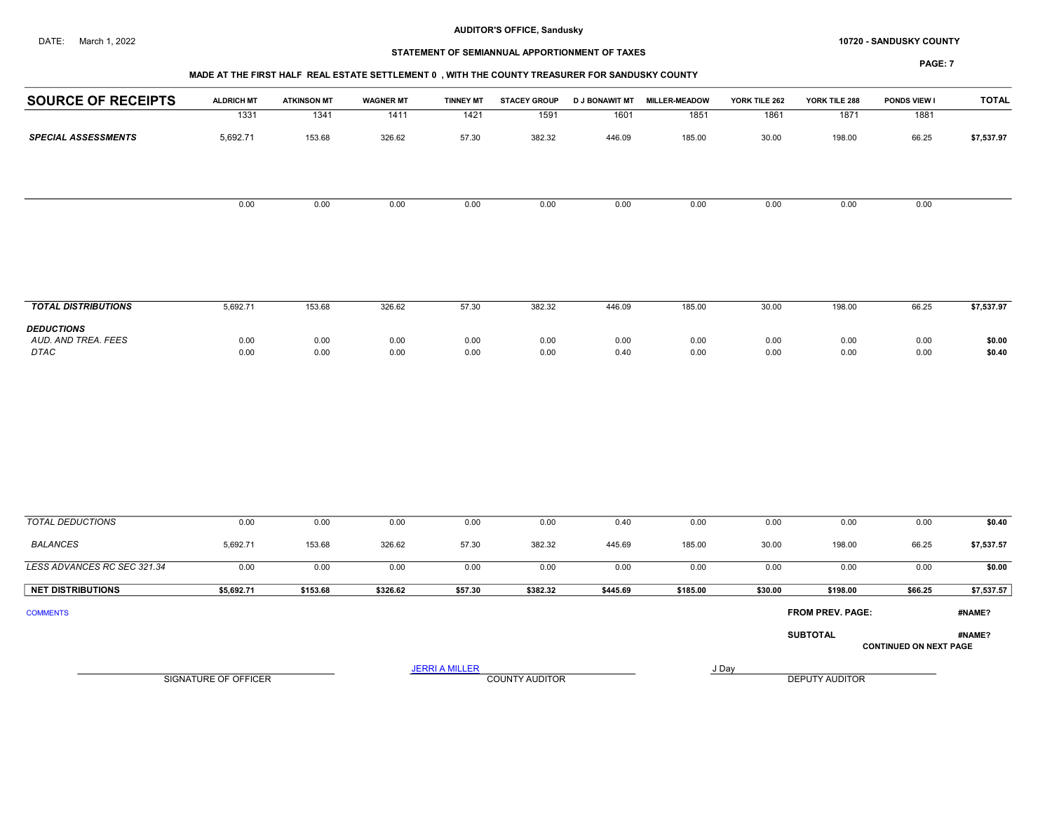#### DATE: March 1, 2022 **10720 - SANDUSKY COUNTY 10720 - SANDUSKY COUNTY**

## STATEMENT OF SEMIANNUAL APPORTIONMENT OF TAXES

## MADE AT THE FIRST HALF REAL ESTATE SETTLEMENT 0 , WITH THE COUNTY TREASURER FOR SANDUSKY COUNTY

| 1331         | 1341         | 1411                           |              |                                |              |                                 |              |                |                                                                 |                                        |
|--------------|--------------|--------------------------------|--------------|--------------------------------|--------------|---------------------------------|--------------|----------------|-----------------------------------------------------------------|----------------------------------------|
|              |              |                                | 1421         | 1591                           | 1601         | 1851                            | 1861         | 1871           | 1881                                                            |                                        |
| 5,692.71     | 153.68       | 326.62                         | 57.30        | 382.32                         | 446.09       | 185.00                          | 30.00        | 198.00         | 66.25                                                           | \$7,537.97                             |
|              |              |                                |              |                                |              |                                 |              |                |                                                                 |                                        |
| 0.00         | 0.00         | 0.00                           | 0.00         | 0.00                           | 0.00         | 0.00                            | 0.00         | 0.00           | 0.00                                                            |                                        |
|              |              |                                |              |                                |              |                                 |              |                |                                                                 |                                        |
|              |              |                                |              |                                |              |                                 |              |                |                                                                 | \$7,537.97                             |
| 0.00<br>0.00 | 0.00<br>0.00 | 0.00<br>0.00                   | 0.00<br>0.00 | 0.00<br>0.00                   | 0.00<br>0.40 | 0.00<br>0.00                    | 0.00<br>0.00 | 0.00<br>0.00   | 0.00<br>0.00                                                    | \$0.00<br>\$0.40                       |
|              |              |                                |              |                                |              |                                 |              |                |                                                                 |                                        |
| 0.00         | 0.00         | 0.00                           | 0.00         | 0.00                           | 0.40         | 0.00                            | 0.00         | 0.00           | 0.00                                                            | \$0.40                                 |
| 5,692.71     | 153.68       | 326.62                         | 57.30        | 382.32                         | 445.69       | 185.00                          | 30.00        | 198.00         | 66.25                                                           | \$7,537.57                             |
| 0.00         | 0.00         | 0.00                           | 0.00         | 0.00                           | 0.00         | 0.00                            | 0.00         | 0.00           | 0.00                                                            | \$0.00                                 |
| \$5,692.71   | \$153.68     | \$326.62                       | \$57.30      | \$382.32                       | \$445.69     | \$185.00                        | \$30.00      | \$198.00       | \$66.25                                                         | \$7,537.57                             |
|              |              |                                |              |                                |              |                                 |              |                |                                                                 | #NAME?                                 |
|              |              |                                |              |                                |              |                                 |              |                |                                                                 | #NAME?                                 |
|              |              |                                |              |                                |              |                                 |              |                |                                                                 |                                        |
|              |              |                                |              |                                |              |                                 |              |                |                                                                 |                                        |
|              |              |                                |              |                                |              |                                 |              |                |                                                                 |                                        |
|              |              |                                |              |                                |              |                                 |              |                |                                                                 |                                        |
|              | 5,692.71     | 153.68<br>SIGNATURE OF OFFICER | 326.62       | 57.30<br><b>JERRI A MILLER</b> | 382.32       | 446.09<br><b>COUNTY AUDITOR</b> | 185.00       | 30.00<br>J Day | 198.00<br>FROM PREV. PAGE:<br><b>SUBTOTAL</b><br>DEPUTY AUDITOR | 66.25<br><b>CONTINUED ON NEXT PAGE</b> |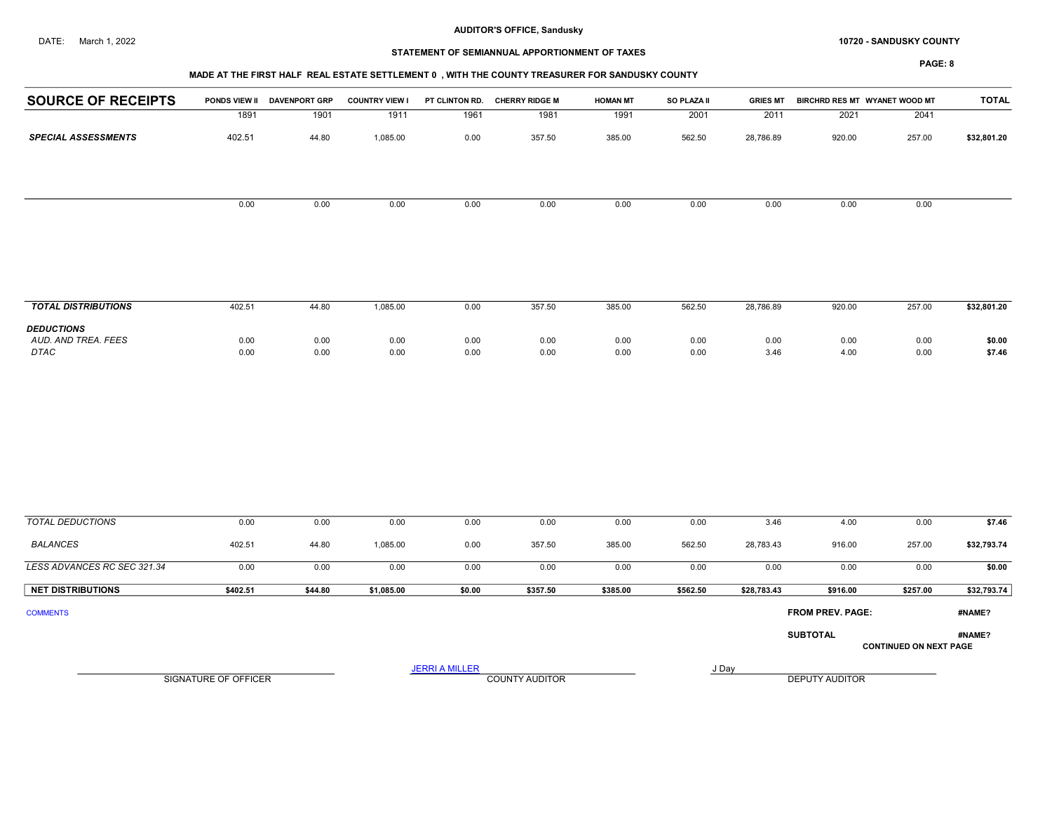## DATE: March 1, 2022 **SANDUSKY COUNTY 10720 - SANDUSKY COUNTY**

# STATEMENT OF SEMIANNUAL APPORTIONMENT OF TAXES

| <b>TOTAL</b> |                               | BIRCHRD RES MT WYANET WOOD MT | <b>GRIES MT</b> | SO PLAZA II | <b>HOMAN MT</b> | PT CLINTON RD. CHERRY RIDGE M |                       | <b>COUNTRY VIEW I</b> | PONDS VIEW II DAVENPORT GRP |                      | <b>SOURCE OF RECEIPTS</b>                |
|--------------|-------------------------------|-------------------------------|-----------------|-------------|-----------------|-------------------------------|-----------------------|-----------------------|-----------------------------|----------------------|------------------------------------------|
|              | 2041                          | 2021                          | 2011            | 2001        | 1991            | 1981                          | 1961                  | 1911                  | 1901                        | 1891                 |                                          |
| \$32,801.20  | 257.00                        | 920.00                        | 28,786.89       | 562.50      | 385.00          | 357.50                        | 0.00                  | 1,085.00              | 44.80                       | 402.51               | <b>SPECIAL ASSESSMENTS</b>               |
|              |                               |                               |                 |             |                 |                               |                       |                       |                             |                      |                                          |
|              | 0.00                          | 0.00                          | 0.00            | 0.00        | 0.00            | 0.00                          | 0.00                  | 0.00                  | 0.00                        | 0.00                 |                                          |
|              |                               |                               |                 |             |                 |                               |                       |                       |                             |                      |                                          |
| \$32,801.20  | 257.00                        | 920.00                        | 28,786.89       | 562.50      | 385.00          | 357.50                        | 0.00                  | 1,085.00              | 44.80                       | 402.51               | <b>TOTAL DISTRIBUTIONS</b>               |
| \$0.00       | 0.00                          | 0.00                          | 0.00            | 0.00        | 0.00            | 0.00                          | 0.00                  | 0.00                  | 0.00                        | 0.00                 | <b>DEDUCTIONS</b><br>AUD. AND TREA. FEES |
| \$7.46       | 0.00                          | 4.00                          | 3.46            | 0.00        | 0.00            | 0.00                          | 0.00                  | 0.00                  | 0.00                        | 0.00                 | <b>DTAC</b>                              |
|              |                               |                               |                 |             |                 |                               |                       |                       |                             |                      |                                          |
| \$7.46       | 0.00                          | 4.00                          | 3.46            | 0.00        | 0.00            | 0.00                          | 0.00                  | 0.00                  | 0.00                        | 0.00                 | <b>TOTAL DEDUCTIONS</b>                  |
| \$32,793.74  | 257.00                        | 916.00                        | 28,783.43       | 562.50      | 385.00          | 357.50                        | 0.00                  | 1,085.00              | 44.80                       | 402.51               | <b>BALANCES</b>                          |
| \$0.00       | 0.00                          | 0.00                          | 0.00            | 0.00        | 0.00            | 0.00                          | 0.00                  | 0.00                  | 0.00                        | 0.00                 | LESS ADVANCES RC SEC 321.34              |
| \$32,793.74  | \$257.00                      | \$916.00                      | \$28,783.43     | \$562.50    | \$385.00        | \$357.50                      | \$0.00                | \$1,085.00            | \$44.80                     | \$402.51             | <b>NET DISTRIBUTIONS</b>                 |
| #NAME?       |                               | <b>FROM PREV. PAGE:</b>       |                 |             |                 |                               |                       |                       |                             |                      | <b>COMMENTS</b>                          |
| #NAME?       | <b>CONTINUED ON NEXT PAGE</b> | <b>SUBTOTAL</b>               |                 |             |                 |                               |                       |                       |                             |                      |                                          |
|              |                               | DEPUTY AUDITOR                |                 | J Day       |                 | <b>COUNTY AUDITOR</b>         | <b>JERRI A MILLER</b> |                       |                             | SIGNATURE OF OFFICER |                                          |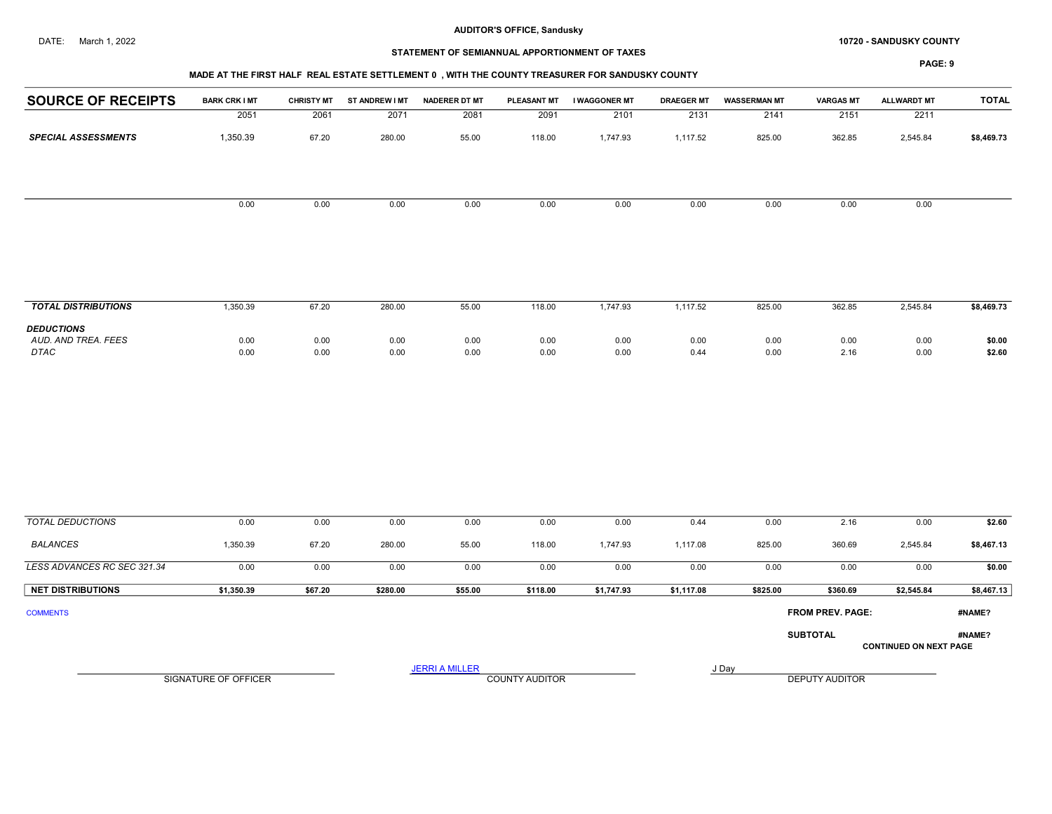#### DATE: March 1, 2022 **10720 - SANDUSKY COUNTY 10720 - SANDUSKY COUNTY**

# STATEMENT OF SEMIANNUAL APPORTIONMENT OF TAXES

#### MADE AT THE FIRST HALF REAL ESTATE SETTLEMENT 0 , WITH THE COUNTY TREASURER FOR SANDUSKY COUNTY

| <b>SOURCE OF RECEIPTS</b>                        | <b>BARK CRK I MT</b>        | <b>CHRISTY MT</b> | ST ANDREW I MT | <b>NADERER DT MT</b>  | <b>PLEASANT MT</b>    | I WAGGONER MT | <b>DRAEGER MT</b> | <b>WASSERMAN MT</b> | <b>VARGAS MT</b>      | ALLWARDT MT                   | <b>TOTAL</b>     |
|--------------------------------------------------|-----------------------------|-------------------|----------------|-----------------------|-----------------------|---------------|-------------------|---------------------|-----------------------|-------------------------------|------------------|
|                                                  | 2051                        | 2061              | 2071           | 2081                  | 2091                  | 2101          | 2131              | 2141                | 2151                  | 2211                          |                  |
| <b>SPECIAL ASSESSMENTS</b>                       | 1,350.39                    | 67.20             | 280.00         | 55.00                 | 118.00                | 1,747.93      | 1,117.52          | 825.00              | 362.85                | 2,545.84                      | \$8,469.73       |
|                                                  |                             |                   |                |                       |                       |               |                   |                     |                       |                               |                  |
|                                                  | 0.00                        | 0.00              | 0.00           | 0.00                  | 0.00                  | 0.00          | 0.00              | 0.00                | 0.00                  | 0.00                          |                  |
| <b>TOTAL DISTRIBUTIONS</b>                       | 1,350.39                    | 67.20             | 280.00         | 55.00                 | 118.00                | 1,747.93      | 1,117.52          | 825.00              | 362.85                | 2,545.84                      |                  |
|                                                  |                             |                   |                |                       |                       |               |                   |                     |                       |                               | \$8,469.73       |
| <b>DEDUCTIONS</b><br>AUD. AND TREA. FEES<br>DTAC | 0.00<br>0.00                | 0.00<br>0.00      | 0.00<br>0.00   | 0.00<br>0.00          | 0.00<br>0.00          | 0.00<br>0.00  | 0.00<br>0.44      | 0.00<br>0.00        | 0.00<br>2.16          | 0.00<br>0.00                  | \$0.00<br>\$2.60 |
|                                                  |                             |                   |                |                       |                       |               |                   |                     |                       |                               |                  |
| <b>TOTAL DEDUCTIONS</b>                          | 0.00                        | 0.00              | 0.00           | 0.00                  | 0.00                  | 0.00          | 0.44              | 0.00                | 2.16                  | 0.00                          | \$2.60           |
| <b>BALANCES</b>                                  | 1,350.39                    | 67.20             | 280.00         | 55.00                 | 118.00                | 1,747.93      | 1,117.08          | 825.00              | 360.69                | 2,545.84                      | \$8,467.13       |
| LESS ADVANCES RC SEC 321.34                      | 0.00                        | 0.00              | 0.00           | 0.00                  | 0.00                  | 0.00          | 0.00              | 0.00                | 0.00                  | 0.00                          | \$0.00           |
| <b>NET DISTRIBUTIONS</b>                         | \$1,350.39                  | \$67.20           | \$280.00       | \$55.00               | \$118.00              | \$1,747.93    | \$1,117.08        | \$825.00            | \$360.69              | \$2,545.84                    | \$8,467.13       |
| <b>COMMENTS</b>                                  |                             |                   |                |                       |                       |               |                   |                     | FROM PREV. PAGE:      |                               | #NAME?           |
|                                                  |                             |                   |                |                       |                       |               |                   |                     | <b>SUBTOTAL</b>       | <b>CONTINUED ON NEXT PAGE</b> | #NAME?           |
|                                                  | <b>SIGNATURE OF OFFICER</b> |                   |                | <b>JERRI A MILLER</b> | <b>COUNTY AUDITOR</b> |               |                   | J Day               | <b>DEPUTY AUDITOR</b> |                               |                  |
|                                                  |                             |                   |                |                       |                       |               |                   |                     |                       |                               |                  |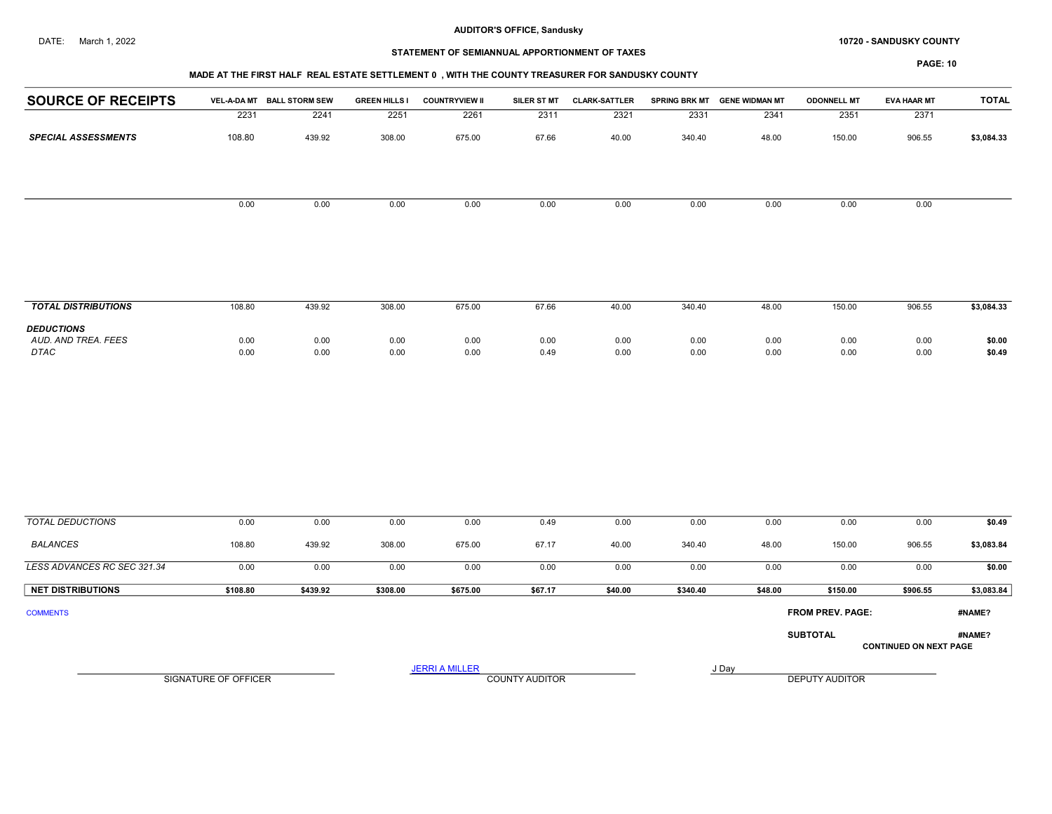#### DATE: March 1, 2022 **10720 - SANDUSKY COUNTY 10720 - SANDUSKY COUNTY**

# STATEMENT OF SEMIANNUAL APPORTIONMENT OF TAXES

## MADE AT THE FIRST HALF REAL ESTATE SETTLEMENT 0 , WITH THE COUNTY TREASURER FOR SANDUSKY COUNTY

| <b>SOURCE OF RECEIPTS</b>   |                             | VEL-A-DA MT BALL STORM SEW | <b>GREEN HILLS I</b> | <b>COUNTRYVIEW II</b> | SILER ST MT           | <b>CLARK-SATTLER</b> |              | SPRING BRK MT GENE WIDMAN MT | <b>ODONNELL MT</b>      | <b>EVA HAAR MT</b>            | <b>TOTAL</b>     |
|-----------------------------|-----------------------------|----------------------------|----------------------|-----------------------|-----------------------|----------------------|--------------|------------------------------|-------------------------|-------------------------------|------------------|
|                             | 2231                        | 2241                       | 2251                 | 2261                  | 2311                  | 2321                 | 2331         | 2341                         | 2351                    | 2371                          |                  |
| <b>SPECIAL ASSESSMENTS</b>  | 108.80                      | 439.92                     | 308.00               | 675.00                | 67.66                 | 40.00                | 340.40       | 48.00                        | 150.00                  | 906.55                        | \$3,084.33       |
|                             |                             |                            |                      |                       |                       |                      |              |                              |                         |                               |                  |
|                             | 0.00                        | 0.00                       | 0.00                 | 0.00                  | 0.00                  | 0.00                 | 0.00         | 0.00                         | 0.00                    | 0.00                          |                  |
| <b>TOTAL DISTRIBUTIONS</b>  | 108.80                      | 439.92                     | 308.00               | 675.00                | 67.66                 | 40.00                | 340.40       | 48.00                        | 150.00                  | 906.55                        | \$3,084.33       |
| <b>DEDUCTIONS</b>           |                             |                            |                      |                       |                       |                      |              |                              |                         |                               |                  |
| AUD. AND TREA. FEES<br>DTAC | 0.00<br>0.00                | 0.00<br>0.00               | 0.00<br>0.00         | 0.00<br>0.00          | 0.00<br>0.49          | 0.00<br>0.00         | 0.00<br>0.00 | 0.00<br>0.00                 | 0.00<br>0.00            | 0.00<br>0.00                  | \$0.00<br>\$0.49 |
|                             |                             |                            |                      |                       |                       |                      |              |                              |                         |                               |                  |
| <b>TOTAL DEDUCTIONS</b>     | 0.00                        | 0.00                       | 0.00                 | 0.00                  | 0.49                  | 0.00                 | 0.00         | 0.00                         | 0.00                    | 0.00                          | \$0.49           |
| <b>BALANCES</b>             | 108.80                      | 439.92                     | 308.00               | 675.00                | 67.17                 | 40.00                | 340.40       | 48.00                        | 150.00                  | 906.55                        | \$3,083.84       |
| LESS ADVANCES RC SEC 321.34 | 0.00                        | 0.00                       | 0.00                 | 0.00                  | 0.00                  | 0.00                 | 0.00         | 0.00                         | 0.00                    | 0.00                          | \$0.00           |
| <b>NET DISTRIBUTIONS</b>    | \$108.80                    | \$439.92                   | \$308.00             | \$675.00              | \$67.17               | \$40.00              | \$340.40     | \$48.00                      | \$150.00                | \$906.55                      | \$3,083.84       |
| <b>COMMENTS</b>             |                             |                            |                      |                       |                       |                      |              |                              | <b>FROM PREV. PAGE:</b> |                               | #NAME?           |
|                             |                             |                            |                      |                       |                       |                      |              |                              | <b>SUBTOTAL</b>         | <b>CONTINUED ON NEXT PAGE</b> | #NAME?           |
|                             | <b>SIGNATURE OF OFFICER</b> |                            |                      | <b>JERRI A MILLER</b> | <b>COUNTY AUDITOR</b> |                      |              | J Day                        | <b>DEPUTY AUDITOR</b>   |                               |                  |
|                             |                             |                            |                      |                       |                       |                      |              |                              |                         |                               |                  |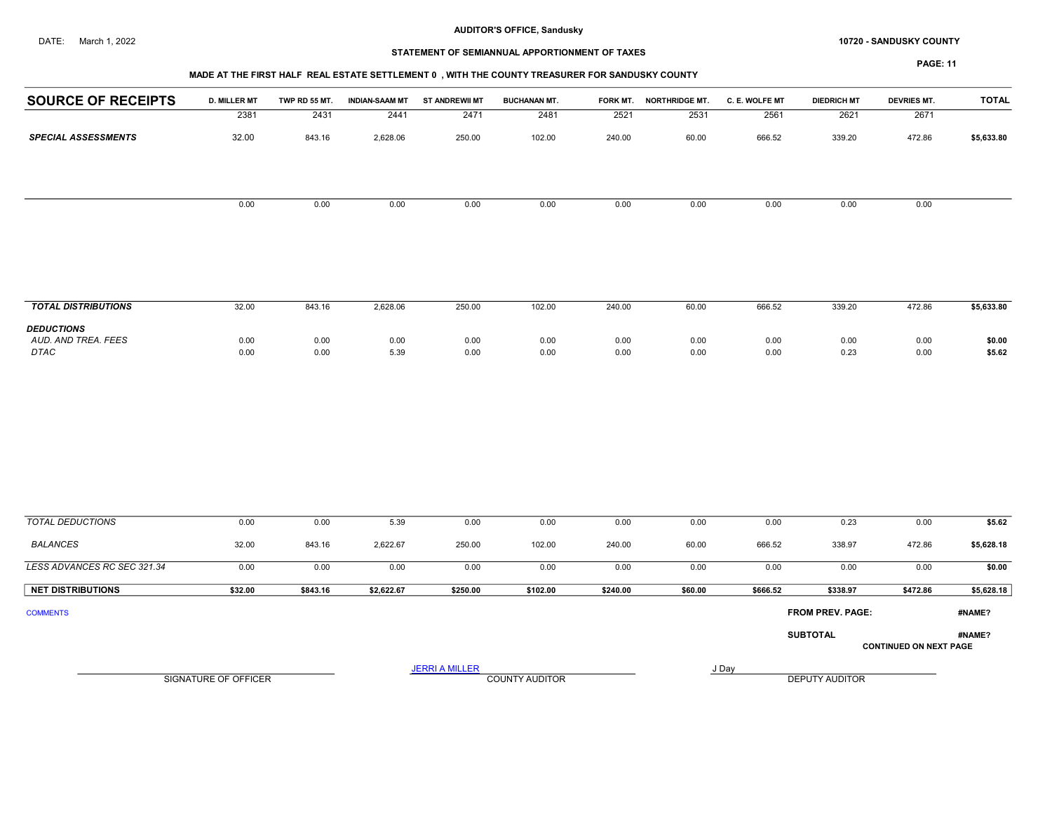#### DATE: March 1, 2022 **10720 - SANDUSKY COUNTY 10720 - SANDUSKY COUNTY**

# STATEMENT OF SEMIANNUAL APPORTIONMENT OF TAXES

## MADE AT THE FIRST HALF REAL ESTATE SETTLEMENT 0 , WITH THE COUNTY TREASURER FOR SANDUSKY COUNTY

| <b>SOURCE OF RECEIPTS</b>  | <b>D. MILLER MT</b> | TWP RD 55 MT. | <b>INDIAN-SAAM MT</b> | <b>ST ANDREWII MT</b> | <b>BUCHANAN MT.</b> | FORK MT. | <b>NORTHRIDGE MT.</b> | C. E. WOLFE MT | <b>DIEDRICH MT</b> | <b>DEVRIES MT.</b> | <b>TOTAL</b> |
|----------------------------|---------------------|---------------|-----------------------|-----------------------|---------------------|----------|-----------------------|----------------|--------------------|--------------------|--------------|
|                            | 2381                | 2431          | 2441                  | 2471                  | 2481                | 2521     | 2531                  | 2561           | 2621               | 2671               |              |
| <b>SPECIAL ASSESSMENTS</b> | 32.00               | 843.16        | 2,628.06              | 250.00                | 102.00              | 240.00   | 60.00                 | 666.52         | 339.20             | 472.86             | \$5,633.80   |
|                            |                     |               |                       |                       |                     |          |                       |                |                    |                    |              |
|                            | 0.00                | 0.00          | 0.00                  | 0.00                  | 0.00                | 0.00     | 0.00                  | 0.00           | 0.00               | 0.00               |              |
|                            |                     |               |                       |                       |                     |          |                       |                |                    |                    |              |
|                            |                     |               |                       |                       |                     |          |                       |                |                    |                    |              |
|                            |                     |               |                       |                       |                     |          |                       |                |                    |                    |              |
|                            |                     |               |                       |                       |                     |          |                       |                |                    |                    |              |
| <b>TOTAL DISTRIBUTIONS</b> | 32.00               | 843.16        | 2,628.06              | 250.00                | 102.00              | 240.00   | 60.00                 | 666.52         | 339.20             | 472.86             | \$5,633.80   |
| <b>DEDUCTIONS</b>          |                     |               |                       |                       |                     |          |                       |                |                    |                    |              |
| AUD. AND TREA. FEES        | 0.00                | 0.00          | 0.00                  | 0.00                  | 0.00                | 0.00     | 0.00                  | 0.00           | 0.00               | 0.00               | \$0.00       |
| DTAC                       | 0.00                | 0.00          | 5.39                  | 0.00                  | 0.00                | 0.00     | 0.00                  | 0.00           | 0.23               | 0.00               | \$5.62       |
|                            |                     |               |                       |                       |                     |          |                       |                |                    |                    |              |

| <b>TOTAL DEDUCTIONS</b>     | 0.00                 | 0.00     | 5.39       | 0.00                  | 0.00                  | 0.00     | 0.00    | 0.00     | 0.23                    | 0.00                          | \$5.62     |
|-----------------------------|----------------------|----------|------------|-----------------------|-----------------------|----------|---------|----------|-------------------------|-------------------------------|------------|
| <b>BALANCES</b>             | 32.00                | 843.16   | 2,622.67   | 250.00                | 102.00                | 240.00   | 60.00   | 666.52   | 338.97                  | 472.86                        | \$5,628.18 |
| LESS ADVANCES RC SEC 321.34 | 0.00                 | 0.00     | 0.00       | 0.00                  | 0.00                  | 0.00     | 0.00    | 0.00     | 0.00                    | 0.00                          | \$0.00     |
| <b>NET DISTRIBUTIONS</b>    | \$32.00              | \$843.16 | \$2,622.67 | \$250.00              | \$102.00              | \$240.00 | \$60.00 | \$666.52 | \$338.97                | \$472.86                      | \$5,628.18 |
| <b>COMMENTS</b>             |                      |          |            |                       |                       |          |         |          | <b>FROM PREV. PAGE:</b> |                               | #NAME?     |
|                             |                      |          |            |                       |                       |          |         |          | <b>SUBTOTAL</b>         | <b>CONTINUED ON NEXT PAGE</b> | #NAME?     |
|                             | SIGNATURE OF OFFICER |          |            | <b>JERRI A MILLER</b> | <b>COUNTY AUDITOR</b> |          |         | J Day    | <b>DEPUTY AUDITOR</b>   |                               |            |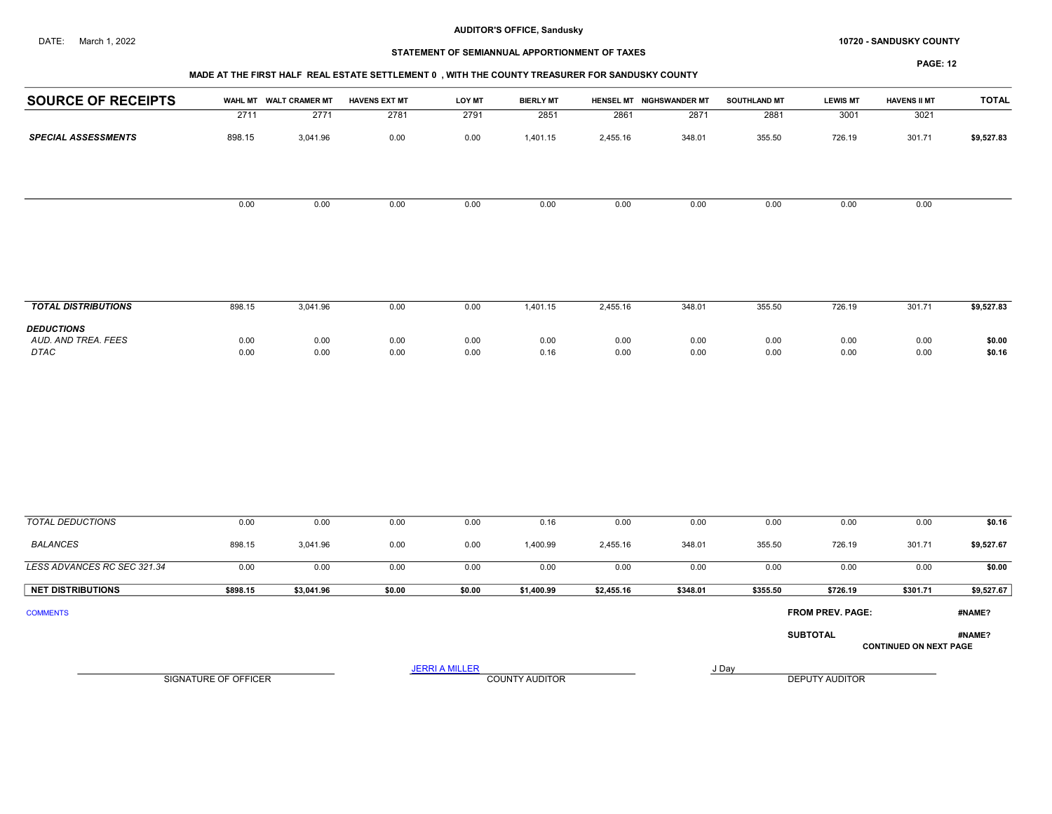## DATE: March 1, 2022 **SANDUSKY COUNTY 10720 - SANDUSKY COUNTY**

# STATEMENT OF SEMIANNUAL APPORTIONMENT OF TAXES

## MADE AT THE FIRST HALF REAL ESTATE SETTLEMENT 0 , WITH THE COUNTY TREASURER FOR SANDUSKY COUNTY

| <b>SOURCE OF RECEIPTS</b>                        |                      | WAHL MT WALT CRAMER MT | <b>HAVENS EXT MT</b> | <b>LOY MT</b>         | <b>BIERLY MT</b>      |              | HENSEL MT NIGHSWANDER MT | <b>SOUTHLAND MT</b> | <b>LEWIS MT</b>  | <b>HAVENS II MT</b>           | <b>TOTAL</b>     |
|--------------------------------------------------|----------------------|------------------------|----------------------|-----------------------|-----------------------|--------------|--------------------------|---------------------|------------------|-------------------------------|------------------|
|                                                  | 2711                 | 2771                   | 2781                 | 2791                  | 2851                  | 2861         | 2871                     | 2881                | 3001             | 3021                          |                  |
| <b>SPECIAL ASSESSMENTS</b>                       | 898.15               | 3,041.96               | 0.00                 | 0.00                  | 1,401.15              | 2,455.16     | 348.01                   | 355.50              | 726.19           | 301.71                        | \$9,527.83       |
|                                                  | 0.00                 | 0.00                   | 0.00                 | 0.00                  | 0.00                  | 0.00         | 0.00                     | 0.00                | 0.00             | 0.00                          |                  |
|                                                  |                      |                        |                      |                       |                       |              |                          |                     |                  |                               |                  |
| <b>TOTAL DISTRIBUTIONS</b>                       | 898.15               | 3,041.96               | 0.00                 | 0.00                  | 1,401.15              | 2,455.16     | 348.01                   | 355.50              | 726.19           | 301.71                        | \$9,527.83       |
| <b>DEDUCTIONS</b><br>AUD. AND TREA. FEES<br>DTAC | 0.00<br>0.00         | 0.00<br>0.00           | 0.00<br>0.00         | 0.00<br>0.00          | 0.00<br>0.16          | 0.00<br>0.00 | 0.00<br>0.00             | 0.00<br>0.00        | 0.00<br>0.00     | 0.00<br>0.00                  | \$0.00<br>\$0.16 |
|                                                  |                      |                        |                      |                       |                       |              |                          |                     |                  |                               |                  |
| <b>TOTAL DEDUCTIONS</b>                          | 0.00                 | 0.00                   | 0.00                 | 0.00                  | 0.16                  | 0.00         | 0.00                     | 0.00                | 0.00             | 0.00                          | \$0.16           |
| <b>BALANCES</b>                                  | 898.15               | 3,041.96               | 0.00                 | 0.00                  | 1,400.99              | 2,455.16     | 348.01                   | 355.50              | 726.19           | 301.71                        | \$9,527.67       |
| LESS ADVANCES RC SEC 321.34                      | 0.00                 | 0.00                   | 0.00                 | 0.00                  | 0.00                  | 0.00         | 0.00                     | 0.00                | 0.00             | 0.00                          | \$0.00           |
| <b>NET DISTRIBUTIONS</b>                         | \$898.15             | \$3,041.96             | \$0.00               | \$0.00                | \$1,400.99            | \$2,455.16   | \$348.01                 | \$355.50            | \$726.19         | \$301.71                      | \$9,527.67       |
| <b>COMMENTS</b>                                  |                      |                        |                      |                       |                       |              |                          |                     | FROM PREV. PAGE: |                               | #NAME?           |
|                                                  |                      |                        |                      |                       |                       |              |                          |                     | <b>SUBTOTAL</b>  | <b>CONTINUED ON NEXT PAGE</b> | #NAME?           |
|                                                  |                      |                        |                      | <b>JERRI A MILLER</b> |                       |              |                          | J Day               |                  |                               |                  |
|                                                  | SIGNATURE OF OFFICER |                        |                      |                       | <b>COUNTY AUDITOR</b> |              |                          |                     | DEPUTY AUDITOR   |                               |                  |
|                                                  |                      |                        |                      |                       |                       |              |                          |                     |                  |                               |                  |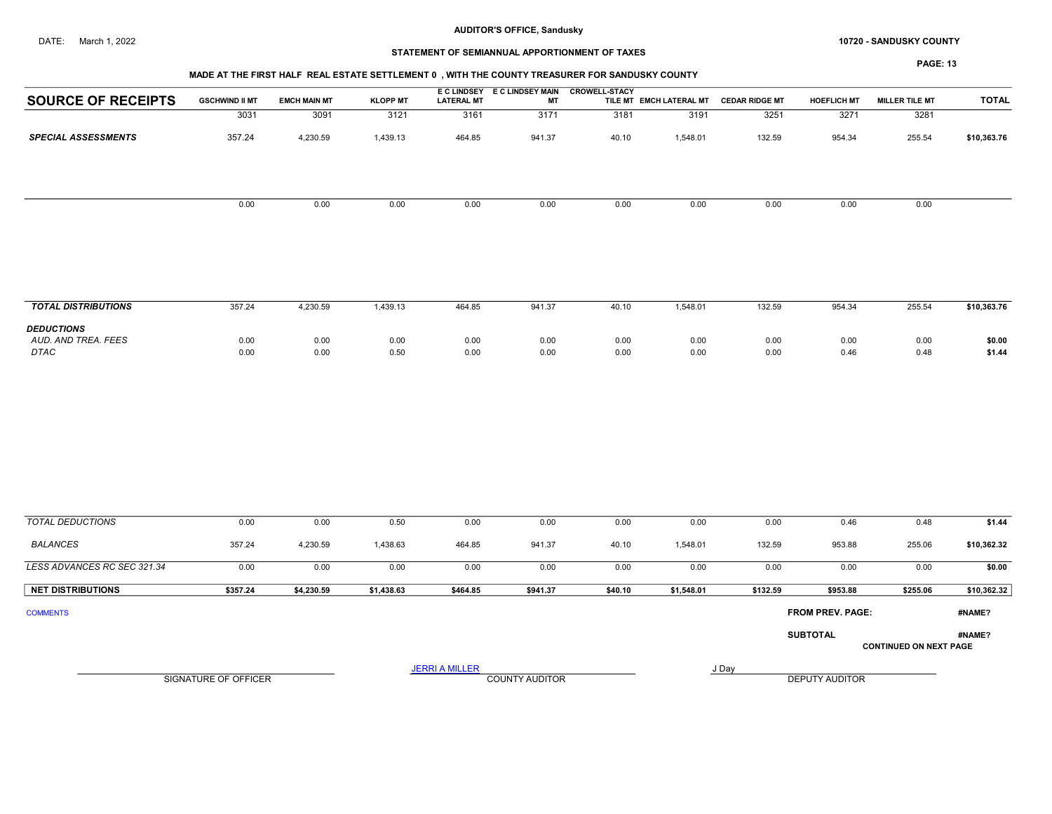## DATE: March 1, 2022 **SANDUSKY COUNTY 10720 - SANDUSKY COUNTY**

## STATEMENT OF SEMIANNUAL APPORTIONMENT OF TAXES

| -∕AGF |  |
|-------|--|
|-------|--|

| <b>SOURCE OF RECEIPTS</b>  | <b>GSCHWIND II MT</b> | <b>EMCH MAIN MT</b> | <b>KLOPP MT</b> | <b>LATERAL MT</b> | E C LINDSEY E C LINDSEY MAIN<br><b>MT</b> | <b>CROWELL-STACY</b> | TILE MT EMCH LATERAL MT | <b>CEDAR RIDGE MT</b> | <b>HOEFLICH MT</b> | <b>MILLER TILE MT</b> | <b>TOTAL</b> |
|----------------------------|-----------------------|---------------------|-----------------|-------------------|-------------------------------------------|----------------------|-------------------------|-----------------------|--------------------|-----------------------|--------------|
|                            | 3031                  | 3091                | 3121            | 3161              | 3171                                      | 3181                 | 3191                    | 3251                  | 3271               | 3281                  |              |
| <b>SPECIAL ASSESSMENTS</b> | 357.24                | 4,230.59            | 1,439.13        | 464.85            | 941.37                                    | 40.10                | 1,548.01                | 132.59                | 954.34             | 255.54                | \$10,363.76  |
|                            |                       |                     |                 |                   |                                           |                      |                         |                       |                    |                       |              |
|                            | 0.00                  | 0.00                | 0.00            | 0.00              | 0.00                                      | 0.00                 | 0.00                    | 0.00                  | 0.00               | 0.00                  |              |
|                            |                       |                     |                 |                   |                                           |                      |                         |                       |                    |                       |              |
|                            |                       |                     |                 |                   |                                           |                      |                         |                       |                    |                       |              |

| <b>TOTAL DISTRIBUTIONS</b>               | 357.24 | 4,230.59 | 439.13 | 464.85 | 941.37 | 40.10 | .548.01 | 132.59 | 954.34 | 255.54 | \$10,363.76 |
|------------------------------------------|--------|----------|--------|--------|--------|-------|---------|--------|--------|--------|-------------|
| <b>DEDUCTIONS</b><br>AUD, AND TREA, FEES | 0.00   | 0.00     | 0.00   | 0.00   | 0.00   | 0.00  | 0.00    | 0.00   | 0.00   | 0.00   | \$0.00      |
| <b>DTAC</b>                              | 0.00   | 0.00     | 0.50   | 0.00   | 0.00   | 0.00  | 0.00    | 0.00   | 0.46   | 0.48   | \$1.44      |

| TOTAL DEDUCTIONS            | 0.00     | 0.00       | 0.50       | 0.00     | 0.00     | 0.00    | 0.00       | 0.00     | 0.46                    | 0.48                          | \$1.44      |
|-----------------------------|----------|------------|------------|----------|----------|---------|------------|----------|-------------------------|-------------------------------|-------------|
| BALANCES                    | 357.24   | 4,230.59   | 1,438.63   | 464.85   | 941.37   | 40.10   | 1,548.01   | 132.59   | 953.88                  | 255.06                        | \$10,362.32 |
| LESS ADVANCES RC SEC 321.34 | 0.00     | 0.00       | 0.00       | 0.00     | 0.00     | 0.00    | 0.00       | 0.00     | 0.00                    | 0.00                          | \$0.00      |
| <b>NET DISTRIBUTIONS</b>    | \$357.24 | \$4,230.59 | \$1,438.63 | \$464.85 | \$941.37 | \$40.10 | \$1,548.01 | \$132.59 | \$953.88                | \$255.06                      | \$10,362.32 |
| <b>COMMENTS</b>             |          |            |            |          |          |         |            |          | <b>FROM PREV. PAGE:</b> |                               | #NAME?      |
|                             |          |            |            |          |          |         |            |          | <b>SUBTOTAL</b>         | <b>CONTINUED ON NEXT PAGE</b> | #NAME?      |

SIGNATURE OF OFFICER **EXECUTE A RELATION COUNTY AUDITOR** COUNTY AUDITOR **DEPUTY AUDITOR** 

JERRI A MILLER COUNTY AUDITOR THE RESERVE TO A LIBRARY AND A LIBRARY AND LIBRARY AND LIBRARY AND LIBRARY AND LIBRARY AND LIBRARY AND LIBRARY AND LIBRARY AND LIBRARY AND LIBRARY AND LIBRARY AND LIBRARY AND LIBRARY AND LIBRA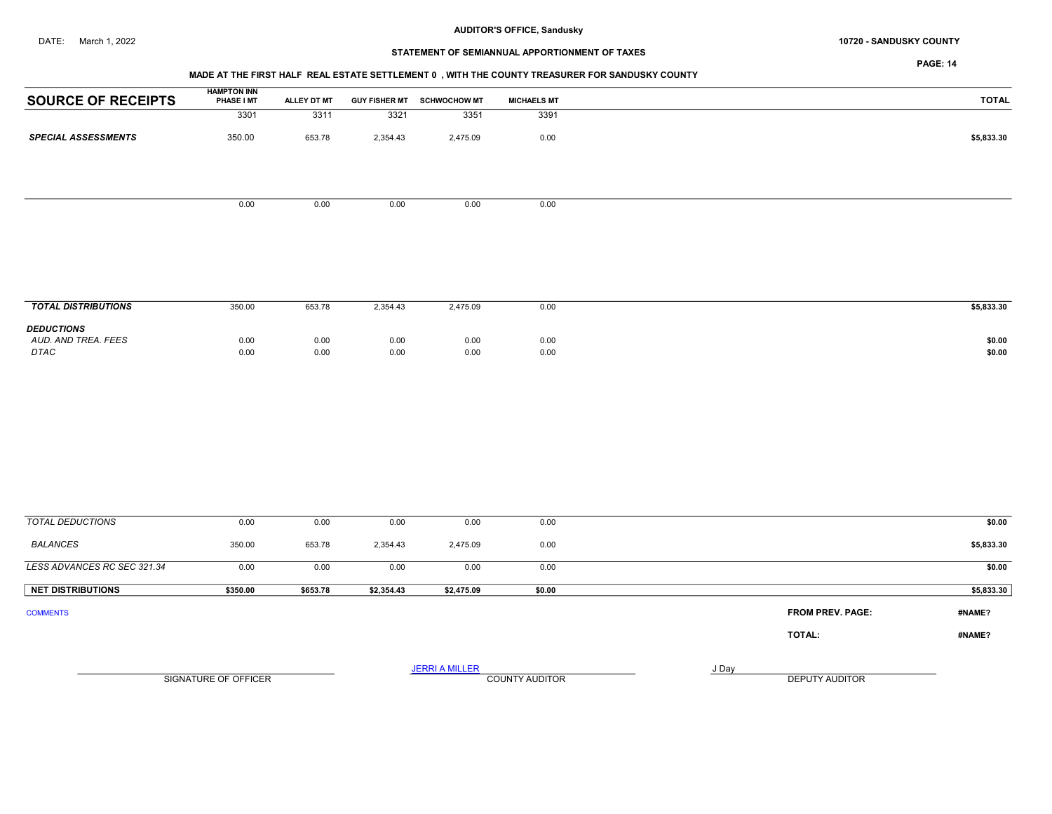## DATE: March 1, 2022 **SANDUSKY COUNTY 10720 - SANDUSKY COUNTY**

# STATEMENT OF SEMIANNUAL APPORTIONMENT OF TAXES

PAGE: 14

## MADE AT THE FIRST HALF REAL ESTATE SETTLEMENT 0 , WITH THE COUNTY TREASURER FOR SANDUSKY COUNTY

| <b>SOURCE OF RECEIPTS</b>  | <b>HAMPTON INN</b><br><b>PHASE I MT</b> | ALLEY DT MT | <b>GUY FISHER MT</b> | <b>SCHWOCHOW MT</b> | <b>MICHAELS MT</b> | <b>TOTAL</b> |
|----------------------------|-----------------------------------------|-------------|----------------------|---------------------|--------------------|--------------|
|                            | 3301                                    | 3311        | 3321                 | 3351                | 3391               |              |
| <b>SPECIAL ASSESSMENTS</b> | 350.00                                  | 653.78      | 2,354.43             | 2,475.09            | 0.00               | \$5,833.30   |
|                            |                                         |             |                      |                     |                    |              |
|                            |                                         |             |                      |                     |                    |              |
|                            | 0.00                                    | 0.00        | 0.00                 | 0.00                | 0.00               |              |
|                            |                                         |             |                      |                     |                    |              |
|                            |                                         |             |                      |                     |                    |              |

| <b>TOTAL DISTRIBUTIONS</b>                              | 350.00       | 653.78       | 2,354.43     | 2,475.09     | 0.00         | \$5,833.30       |
|---------------------------------------------------------|--------------|--------------|--------------|--------------|--------------|------------------|
| <b>DEDUCTIONS</b><br>AUD. AND TREA. FEES<br><b>DTAC</b> | 0.00<br>0.00 | 0.00<br>0.00 | 0.00<br>0.00 | 0.00<br>0.00 | 0.00<br>0.00 | \$0.00<br>\$0.00 |

| <b>TOTAL DEDUCTIONS</b>     | 0.00                 | 0.00     | 0.00       | 0.00                  | 0.00                  |       |                         | \$0.00     |
|-----------------------------|----------------------|----------|------------|-----------------------|-----------------------|-------|-------------------------|------------|
| <b>BALANCES</b>             | 350.00               | 653.78   | 2,354.43   | 2,475.09              | 0.00                  |       |                         | \$5,833.30 |
| LESS ADVANCES RC SEC 321.34 | 0.00                 | 0.00     | 0.00       | 0.00                  | 0.00                  |       |                         | \$0.00     |
| <b>NET DISTRIBUTIONS</b>    | \$350.00             | \$653.78 | \$2,354.43 | \$2,475.09            | \$0.00                |       |                         | \$5,833.30 |
| <b>COMMENTS</b>             |                      |          |            |                       |                       |       | <b>FROM PREV. PAGE:</b> | #NAME?     |
|                             |                      |          |            |                       |                       |       | TOTAL:                  | #NAME?     |
|                             | SIGNATURE OF OFFICER |          |            | <b>JERRI A MILLER</b> | <b>COUNTY AUDITOR</b> | J Day | DEPUTY AUDITOR          |            |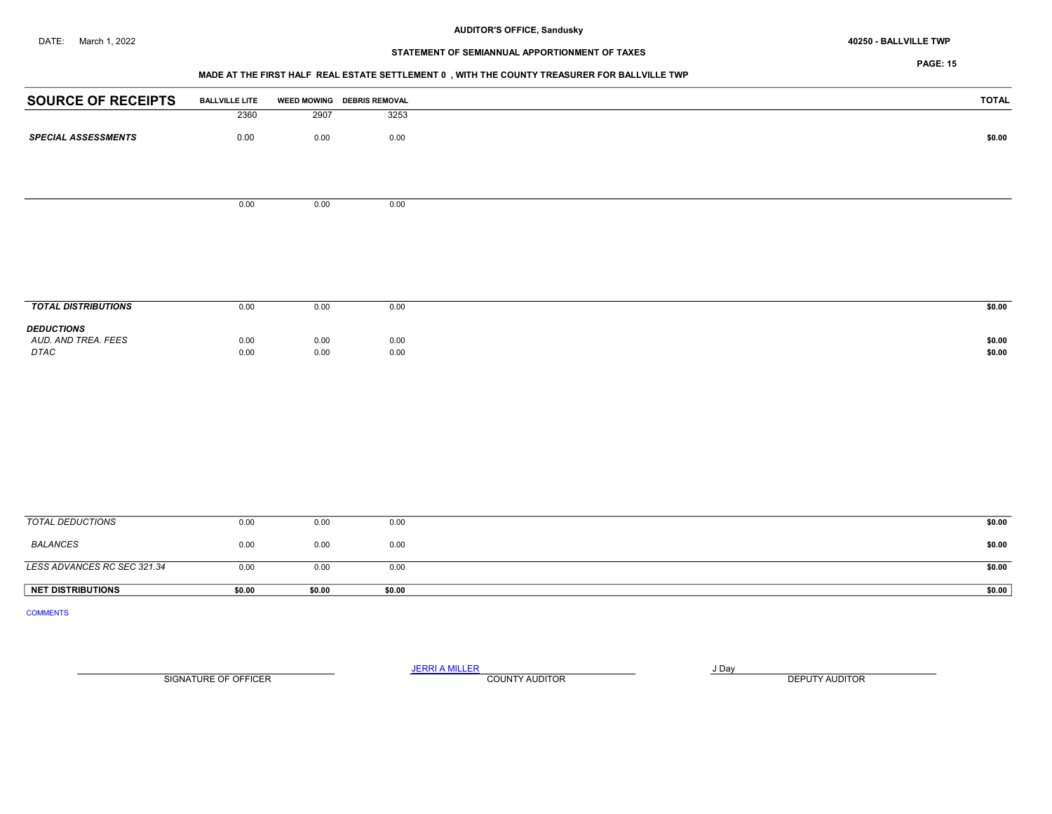# STATEMENT OF SEMIANNUAL APPORTIONMENT OF TAXES

## MADE AT THE FIRST HALF REAL ESTATE SETTLEMENT 0 , WITH THE COUNTY TREASURER FOR BALLVILLE TWP

| <b>SOURCE OF RECEIPTS</b>  | <b>BALLVILLE LITE</b> |      | WEED MOWING DEBRIS REMOVAL | <b>TOTAL</b> |
|----------------------------|-----------------------|------|----------------------------|--------------|
|                            | 2360                  | 2907 | 3253                       |              |
| <b>SPECIAL ASSESSMENTS</b> | 0.00                  | 0.00 | 0.00                       | \$0.00       |
|                            |                       |      |                            |              |
|                            |                       |      |                            |              |
|                            |                       |      |                            |              |
|                            | 0.00                  | 0.00 | 0.00                       |              |
|                            |                       |      |                            |              |
|                            |                       |      |                            |              |
|                            |                       |      |                            |              |
|                            |                       |      |                            |              |
| <b>TOTAL DISTRIBUTIONS</b> | 0.00                  | 0.00 | 0.00                       | \$0.00       |
| <b>DEDUCTIONS</b>          |                       |      |                            |              |
| AUD. AND TREA. FEES        | 0.00                  | 0.00 | 0.00                       | \$0.00       |
| <b>DTAC</b>                | 0.00                  | 0.00 | 0.00                       | \$0.00       |
|                            |                       |      |                            |              |
|                            |                       |      |                            |              |
|                            |                       |      |                            |              |
|                            |                       |      |                            |              |
|                            |                       |      |                            |              |
|                            |                       |      |                            |              |
|                            |                       |      |                            |              |
|                            |                       |      |                            |              |
| <b>TOTAL DEDUCTIONS</b>    | 0.00                  | 0.00 | 0.00                       | \$0.00       |

| <b>NET DISTRIBUTIONS</b>    | \$0.00 | \$0.00 | \$0.00 | \$0.00 |
|-----------------------------|--------|--------|--------|--------|
| LESS ADVANCES RC SEC 321.34 | 0.00   | 0.00   | 0.00   | \$0.00 |
| BALANCES                    | 0.00   | 0.00   | 0.00   | \$0.00 |
| TOTAL DEDUCTIONS            | 0.00   | 0.00   | 0.00   | \$0.00 |

COMMENTS

SIGNATURE OF OFFICER **EXECUTE A RELATION COUNTY AUDITOR** COUNTY AUDITOR **DEPUTY AUDITOR** 

JERRI A MILLER COUNTY AUDITOR **FOUND A SERVICE ASSAULT**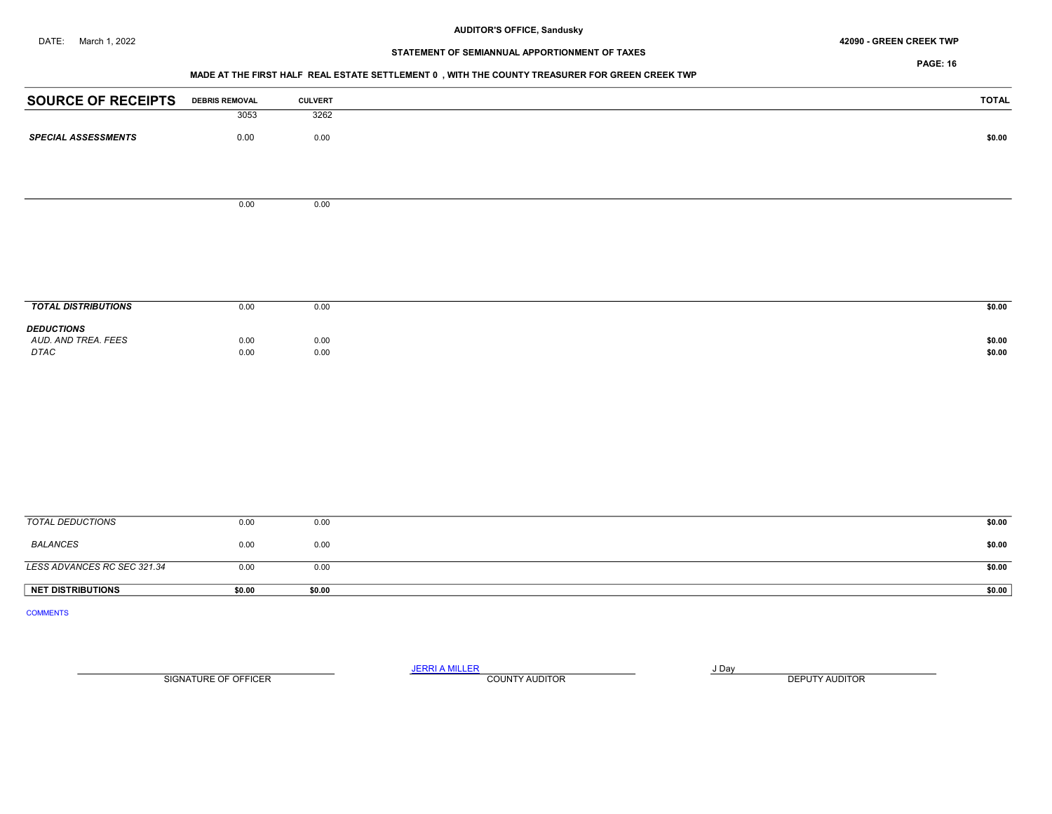#### DATE: March 1, 2022 42090 - GREEN CREEK TWP

# STATEMENT OF SEMIANNUAL APPORTIONMENT OF TAXES

PAGE: 16

#### MADE AT THE FIRST HALF REAL ESTATE SETTLEMENT 0 , WITH THE COUNTY TREASURER FOR GREEN CREEK TWP

| <b>SOURCE OF RECEIPTS</b>  | <b>DEBRIS REMOVAL</b> | <b>CULVERT</b> | <b>TOTAL</b> |
|----------------------------|-----------------------|----------------|--------------|
|                            | 3053                  | 3262           |              |
| <b>SPECIAL ASSESSMENTS</b> | 0.00                  | 0.00           | \$0.00       |
|                            |                       |                |              |
|                            |                       |                |              |
|                            |                       |                |              |
|                            | 0.00                  | 0.00           |              |
|                            |                       |                |              |
|                            |                       |                |              |
|                            |                       |                |              |
|                            |                       |                |              |
|                            |                       |                |              |
| <b>TOTAL DISTRIBUTIONS</b> | 0.00                  | 0.00           | \$0.00       |
| <b>DEDUCTIONS</b>          |                       |                |              |
| AUD. AND TREA. FEES        | 0.00                  | 0.00           | \$0.00       |
| DTAC                       | 0.00                  | 0.00           | \$0.00       |
|                            |                       |                |              |
|                            |                       |                |              |
|                            |                       |                |              |
|                            |                       |                |              |
|                            |                       |                |              |
|                            |                       |                |              |
|                            |                       |                |              |
|                            |                       |                |              |

| <b>NET DISTRIBUTIONS</b>    | \$0.00 | \$0.00 | \$0.00 |
|-----------------------------|--------|--------|--------|
|                             |        |        |        |
| LESS ADVANCES RC SEC 321.34 | 0.00   | 0.00   | \$0.00 |
| BALANCES                    | 0.00   | 0.00   | \$0.00 |
| TOTAL DEDUCTIONS            | 0.00   | 0.00   | \$0.00 |

COMMENTS

JERRI A MILLER COUNTY AUDITOR **FOUR SERVICE ASSAULT** ON A LIBRARY OF LIBRARY AND LIBRARY OF LIBRARY OF LIBRARY OF LIBRARY OF LIBRARY OF LIBRARY OF LIBRARY OF LIBRARY OF LIBRARY OF LIBRARY OF LIBRARY OF LIBRARY OF LIBRARY O SIGNATURE OF OFFICER **EXECUTE A RELATION COUNTY AUDITOR** COUNTY AUDITOR **DEPUTY AUDITOR**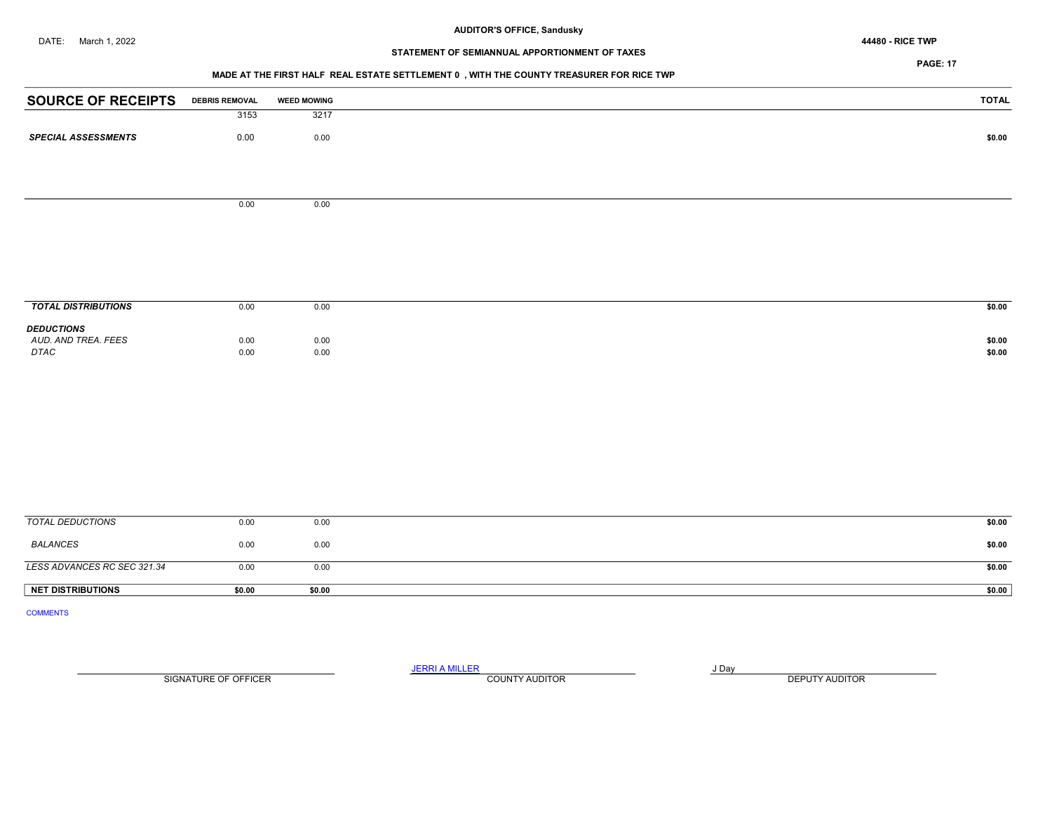# STATEMENT OF SEMIANNUAL APPORTIONMENT OF TAXES

## PAGE: 17

## MADE AT THE FIRST HALF REAL ESTATE SETTLEMENT 0 , WITH THE COUNTY TREASURER FOR RICE TWP

| <b>SOURCE OF RECEIPTS</b>   | <b>DEBRIS REMOVAL</b> | <b>WEED MOWING</b> | <b>TOTAL</b>     |
|-----------------------------|-----------------------|--------------------|------------------|
|                             | 3153                  | 3217               |                  |
| <b>SPECIAL ASSESSMENTS</b>  | 0.00                  | 0.00               | \$0.00           |
|                             |                       |                    |                  |
|                             |                       |                    |                  |
|                             | 0.00                  | 0.00               |                  |
|                             |                       |                    |                  |
|                             |                       |                    |                  |
|                             |                       |                    |                  |
|                             |                       |                    |                  |
| <b>TOTAL DISTRIBUTIONS</b>  | 0.00                  | 0.00               | \$0.00           |
| <b>DEDUCTIONS</b>           |                       |                    |                  |
| AUD. AND TREA. FEES<br>DTAC | 0.00<br>0.00          | 0.00<br>0.00       | \$0.00<br>\$0.00 |
|                             |                       |                    |                  |
|                             |                       |                    |                  |
|                             |                       |                    |                  |
|                             |                       |                    |                  |
|                             |                       |                    |                  |
|                             |                       |                    |                  |
|                             |                       |                    |                  |
|                             |                       |                    |                  |
|                             |                       |                    |                  |

| NET DISTRIBUTIONS           | \$0.00 | \$0.00 | \$0.00 |
|-----------------------------|--------|--------|--------|
| LESS ADVANCES RC SEC 321.34 | 0.00   | 0.00   | \$0.00 |
|                             |        |        |        |
| BALANCES                    | 0.00   | 0.00   | \$0.00 |
| TOTAL DEDUCTIONS            | 0.00   | 0.00   | \$0.00 |

COMMENTS

JERRI A MILLER COUNTY AUDITOR **FOUND A SERVICE ASSAULT** SIGNATURE OF OFFICER **EXECUTE A RELATION COUNTY AUDITOR** COUNTY AUDITOR **DEPUTY AUDITOR**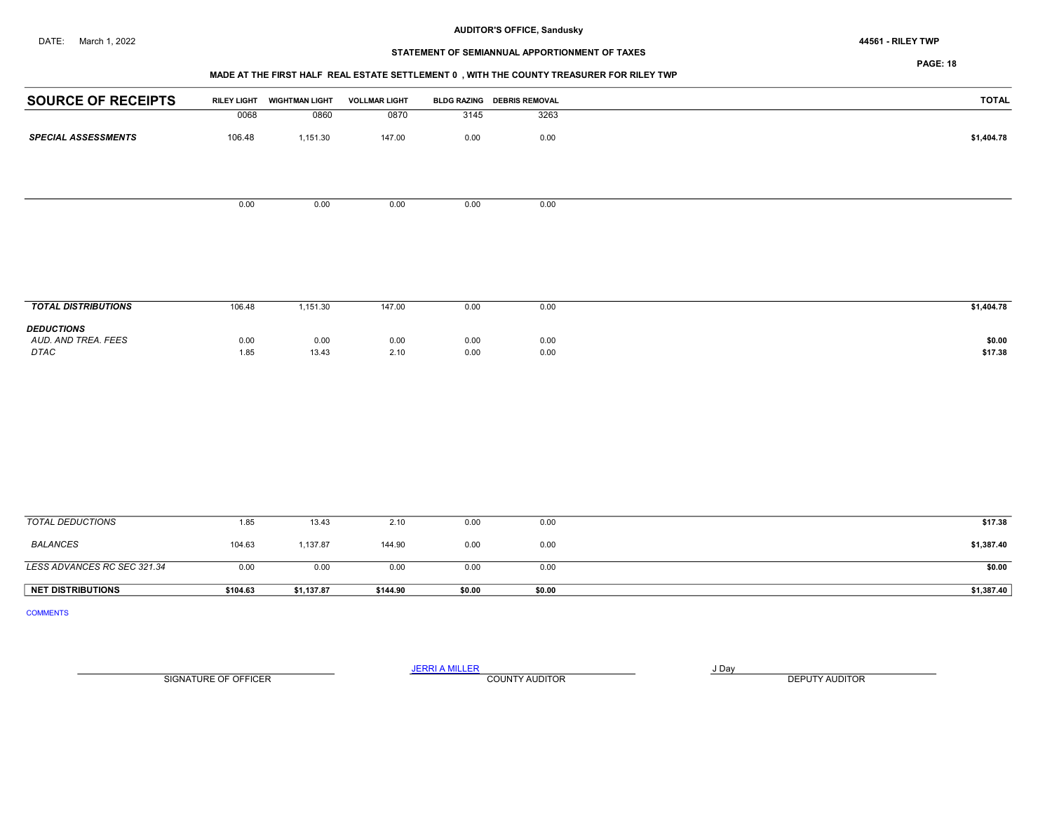#### DATE: March 1, 2022 44561 - RILEY TWP

## AUDITOR'S OFFICE, Sandusky

## STATEMENT OF SEMIANNUAL APPORTIONMENT OF TAXES

PAGE: 18

## MADE AT THE FIRST HALF REAL ESTATE SETTLEMENT 0 , WITH THE COUNTY TREASURER FOR RILEY TWP

|        | <b>WIGHTMAN LIGHT</b> | <b>VOLLMAR LIGHT</b>       |      |      | TOTAL                                      |
|--------|-----------------------|----------------------------|------|------|--------------------------------------------|
| 0068   | 0860                  | 0870                       |      | 3263 |                                            |
| 106.48 | 1,151.30              | 147.00                     | 0.00 | 0.00 | \$1,404.78                                 |
|        |                       |                            |      |      |                                            |
|        |                       |                            |      |      |                                            |
|        |                       |                            |      |      |                                            |
|        |                       |                            |      |      |                                            |
|        |                       |                            |      |      |                                            |
|        |                       |                            |      |      |                                            |
|        |                       |                            |      |      |                                            |
|        |                       |                            |      |      |                                            |
|        | 0.00                  | <b>RILEY LIGHT</b><br>0.00 | 0.00 | 0.00 | BLDG RAZING DEBRIS REMOVAL<br>3145<br>0.00 |

| <b>TOTAL DISTRIBUTIONS</b>                              | 106.48       | 1,151.30      | 147.00       | 0.00         | 0.00         | \$1,404.78        |
|---------------------------------------------------------|--------------|---------------|--------------|--------------|--------------|-------------------|
| <b>DEDUCTIONS</b><br>AUD. AND TREA. FEES<br><b>DTAC</b> | 0.00<br>1.85 | 0.00<br>13.43 | 0.00<br>2.10 | 0.00<br>0.00 | 0.00<br>0.00 | \$0.00<br>\$17.38 |

| TOTAL DEDUCTIONS            | 1.85     | 13.43      | 2.10     | 0.00   | 0.00   | \$17.38    |
|-----------------------------|----------|------------|----------|--------|--------|------------|
| BALANCES                    | 104.63   | 1,137.87   | 144.90   | 0.00   | 0.00   | \$1,387.40 |
| LESS ADVANCES RC SEC 321.34 | 0.00     | 0.00       | 0.00     | 0.00   | 0.00   | \$0.00     |
| <b>NET DISTRIBUTIONS</b>    | \$104.63 | \$1,137.87 | \$144.90 | \$0.00 | \$0.00 | \$1,387.40 |

COMMENTS

SIGNATURE OF OFFICER **EXECUTE A RELATION COUNTY AUDITOR** COUNTY AUDITOR **DEPUTY AUDITOR** 

JERRI A MILLER COUNTY AUDITOR **Finally COUNTY AUDITOR**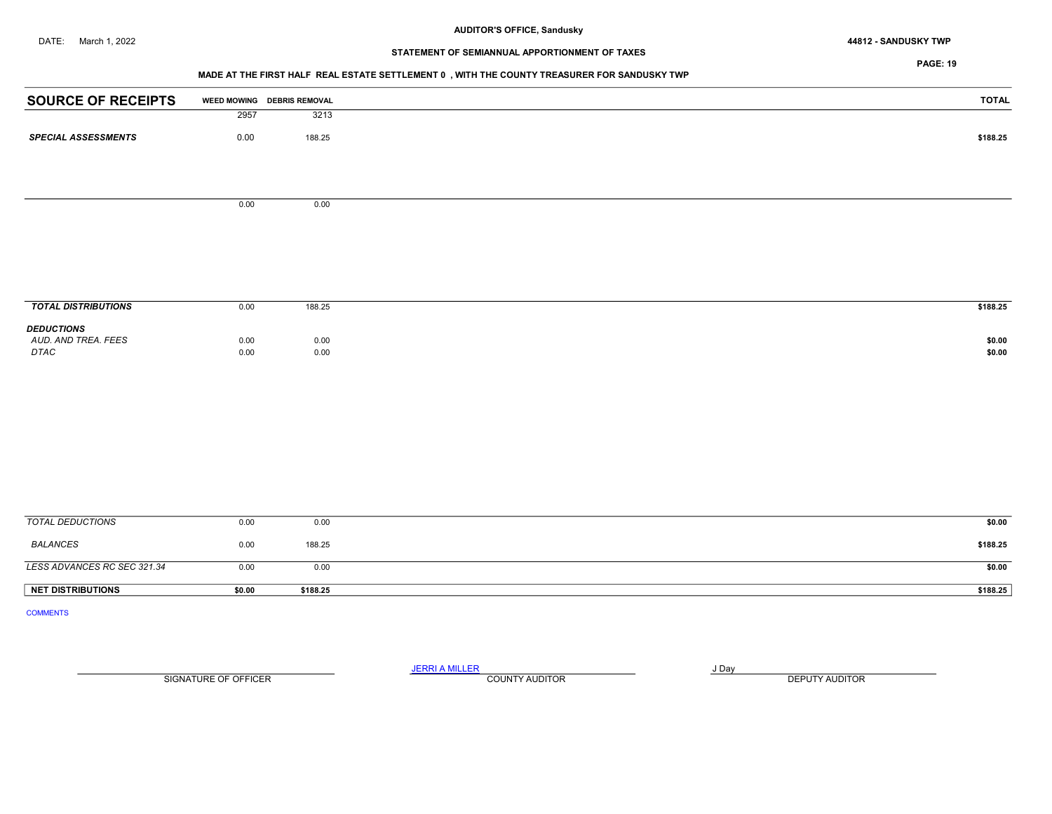DATE: March 1, 2022 44812 - SANDUSKY TWP

# STATEMENT OF SEMIANNUAL APPORTIONMENT OF TAXES

PAGE: 19

## MADE AT THE FIRST HALF REAL ESTATE SETTLEMENT 0 , WITH THE COUNTY TREASURER FOR SANDUSKY TWP

| <b>SOURCE OF RECEIPTS</b>   |              | WEED MOWING DEBRIS REMOVAL | <b>TOTAL</b>     |
|-----------------------------|--------------|----------------------------|------------------|
|                             | 2957         | 3213                       |                  |
| <b>SPECIAL ASSESSMENTS</b>  | 0.00         | 188.25                     | \$188.25         |
|                             |              |                            |                  |
|                             |              |                            |                  |
|                             | 0.00         | 0.00                       |                  |
|                             |              |                            |                  |
|                             |              |                            |                  |
|                             |              |                            |                  |
|                             |              |                            |                  |
|                             |              |                            |                  |
| <b>TOTAL DISTRIBUTIONS</b>  | 0.00         | 188.25                     | \$188.25         |
| <b>DEDUCTIONS</b>           |              |                            |                  |
| AUD. AND TREA. FEES<br>DTAC | 0.00<br>0.00 | 0.00<br>0.00               | \$0.00<br>\$0.00 |
|                             |              |                            |                  |
|                             |              |                            |                  |
|                             |              |                            |                  |
|                             |              |                            |                  |
|                             |              |                            |                  |
|                             |              |                            |                  |
|                             |              |                            |                  |
|                             |              |                            |                  |
|                             |              |                            |                  |

| <b>NET DISTRIBUTIONS</b>    | \$0.00 | \$188.25 | \$188.25 |
|-----------------------------|--------|----------|----------|
| LESS ADVANCES RC SEC 321.34 | 0.00   | 0.00     | \$0.00   |
| <b>BALANCES</b>             | 0.00   | 188.25   | \$188.25 |
| TOTAL DEDUCTIONS            | 0.00   | 0.00     | \$0.00   |

COMMENTS

JERRI A MILLER COUNTY AUDITOR **FOUND A SERVICE ASSAULT** SIGNATURE OF OFFICER **EXECUTE A RELATION COUNTY AUDITOR** COUNTY AUDITOR **DEPUTY AUDITOR**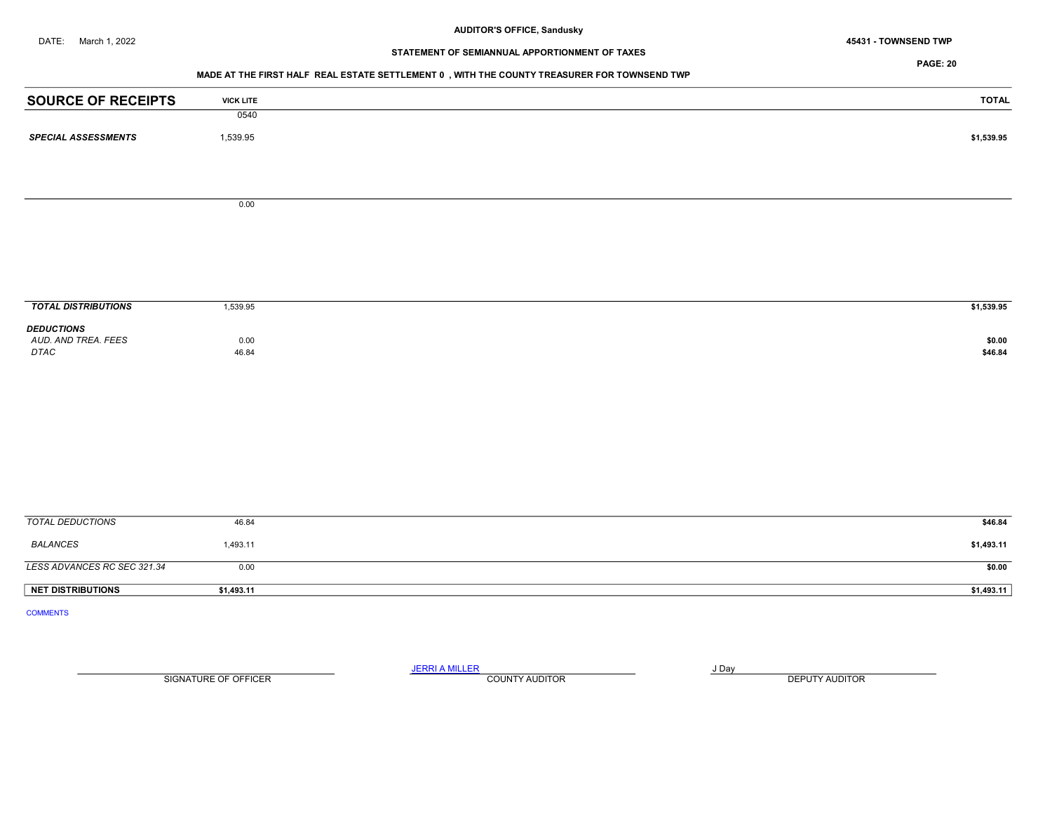DATE: March 1, 2022 45431 - TOWNSEND TWP

# STATEMENT OF SEMIANNUAL APPORTIONMENT OF TAXES

#### PAGE: 20

#### MADE AT THE FIRST HALF REAL ESTATE SETTLEMENT 0 , WITH THE COUNTY TREASURER FOR TOWNSEND TWP

| <b>SOURCE OF RECEIPTS</b><br><b>VICK LITE</b>                        | <b>TOTAL</b>      |
|----------------------------------------------------------------------|-------------------|
| 0540                                                                 |                   |
| 1,539.95<br><b>SPECIAL ASSESSMENTS</b>                               | \$1,539.95        |
|                                                                      |                   |
|                                                                      |                   |
| 0.00                                                                 |                   |
|                                                                      |                   |
|                                                                      |                   |
|                                                                      |                   |
|                                                                      |                   |
|                                                                      |                   |
| <b>TOTAL DISTRIBUTIONS</b><br>1,539.95                               | \$1,539.95        |
| <b>DEDUCTIONS</b>                                                    |                   |
| AUD. AND TREA. FEES<br>0.00<br>$\ensuremath{\mathsf{DTAC}}$<br>46.84 | \$0.00<br>\$46.84 |
|                                                                      |                   |
|                                                                      |                   |
|                                                                      |                   |
|                                                                      |                   |
|                                                                      |                   |
|                                                                      |                   |
|                                                                      |                   |
|                                                                      |                   |
| <b>TOTAL DEDUCTIONS</b><br>46.84                                     | \$46.84           |
| <b>BALANCES</b><br>1,493.11                                          | \$1,493.11        |
| LESS ADVANCES RC SEC 321.34<br>0.00                                  | \$0.00            |
|                                                                      |                   |
| NET DISTRIBUTIONS<br>\$1,493.11                                      | \$1,493.11        |

SIGNATURE OF OFFICER **EXECUTE A RELATION COUNTY AUDITOR** COUNTY AUDITOR **DEPUTY AUDITOR** 

JERRI A MILLER COUNTY AUDITOR **FOUND A SERVICE ASSAULT**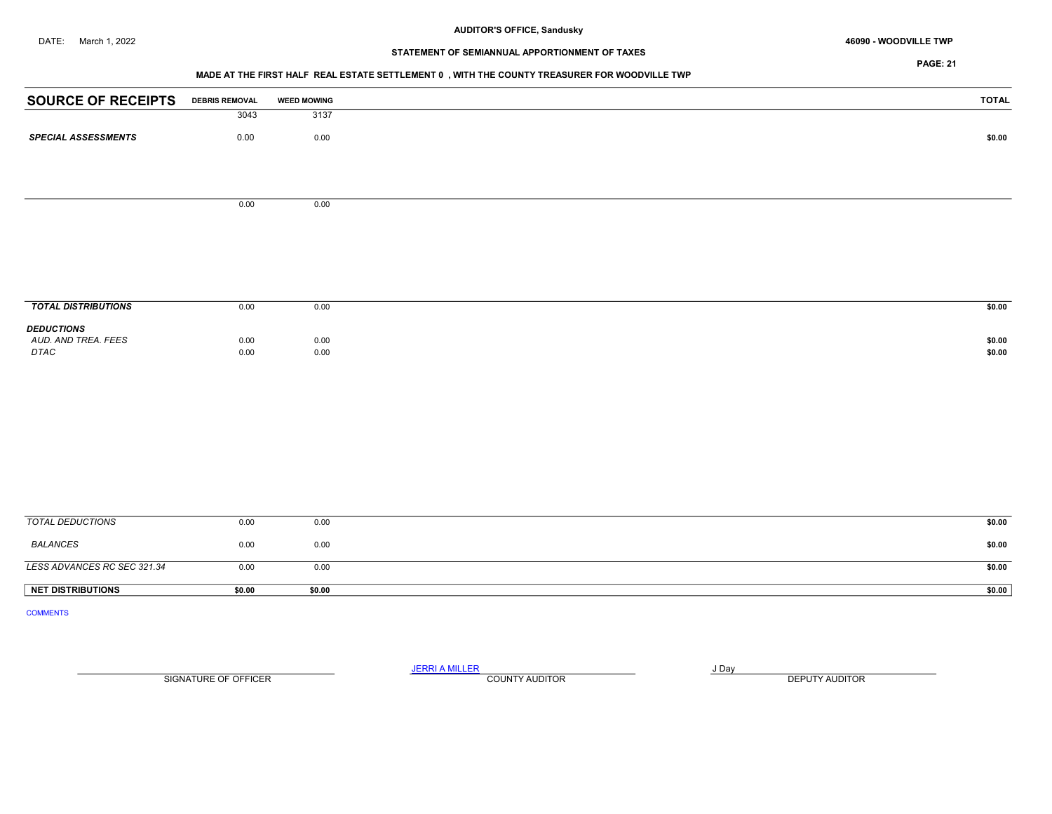# STATEMENT OF SEMIANNUAL APPORTIONMENT OF TAXES

## MADE AT THE FIRST HALF REAL ESTATE SETTLEMENT 0 , WITH THE COUNTY TREASURER FOR WOODVILLE TWP

| <b>SOURCE OF RECEIPTS</b>                | <b>DEBRIS REMOVAL</b> | <b>WEED MOWING</b> | <b>TOTAL</b> |
|------------------------------------------|-----------------------|--------------------|--------------|
|                                          | 3043                  | 3137               |              |
| <b>SPECIAL ASSESSMENTS</b>               | 0.00                  | 0.00               | \$0.00       |
|                                          |                       |                    |              |
|                                          |                       |                    |              |
|                                          |                       |                    |              |
|                                          | 0.00                  | 0.00               |              |
|                                          |                       |                    |              |
|                                          |                       |                    |              |
|                                          |                       |                    |              |
|                                          |                       |                    |              |
| <b>TOTAL DISTRIBUTIONS</b>               | 0.00                  | 0.00               | \$0.00       |
|                                          |                       |                    |              |
| <b>DEDUCTIONS</b><br>AUD. AND TREA. FEES | 0.00                  | 0.00               | \$0.00       |
| DTAC                                     | 0.00                  | 0.00               | \$0.00       |
|                                          |                       |                    |              |
|                                          |                       |                    |              |
|                                          |                       |                    |              |
|                                          |                       |                    |              |
|                                          |                       |                    |              |
|                                          |                       |                    |              |
|                                          |                       |                    |              |
|                                          |                       |                    |              |
|                                          |                       |                    |              |
| <b>TOTAL DEDUCTIONS</b>                  | 0.00                  | 0.00               | \$0.00       |

| <b>NET DISTRIBUTIONS</b>    | \$0.00 | \$0.00 | \$0.00  |
|-----------------------------|--------|--------|---------|
| LESS ADVANCES RC SEC 321.34 | 0.00   | 0.00   | \$0.00  |
| <b>BALANCES</b>             | 0.00   | 0.00   | \$0.00  |
|                             |        |        |         |
| <b>UVIAL DLDUUTIONS</b>     | v.vv   | v.vv   | - PO-OO |

COMMENTS

JERRI A MILLER COUNTY AUDITOR **Finally SERVICE SERVICE OF A SERVICE OF A SERVICE OF A SERVICE OF A SERVICE OF A** SIGNATURE OF OFFICER **EXECUTE A RELATION COUNTY AUDITOR** COUNTY AUDITOR **DEPUTY AUDITOR**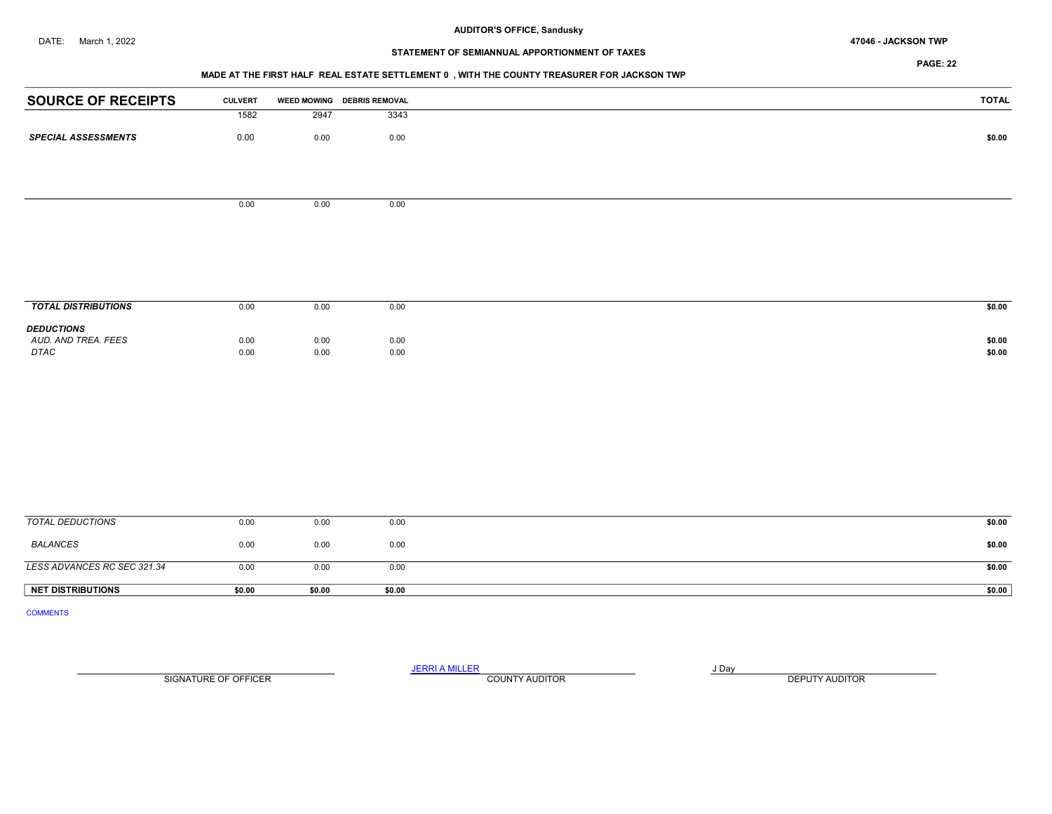#### DATE: March 1, 2022 47046 - JACKSON TWP

#### AUDITOR'S OFFICE, Sandusky

# STATEMENT OF SEMIANNUAL APPORTIONMENT OF TAXES

PAGE: 22

## MADE AT THE FIRST HALF REAL ESTATE SETTLEMENT 0 , WITH THE COUNTY TREASURER FOR JACKSON TWP

| <b>SOURCE OF RECEIPTS</b>                | <b>CULVERT</b> |      | WEED MOWING DEBRIS REMOVAL | <b>TOTAL</b> |
|------------------------------------------|----------------|------|----------------------------|--------------|
|                                          | 1582           | 2947 | 3343                       |              |
| <b>SPECIAL ASSESSMENTS</b>               | 0.00           | 0.00 | 0.00                       | \$0.00       |
|                                          |                |      |                            |              |
|                                          | 0.00           | 0.00 | 0.00                       |              |
|                                          |                |      |                            |              |
|                                          |                |      |                            |              |
|                                          |                |      |                            |              |
|                                          |                |      |                            |              |
| <b>TOTAL DISTRIBUTIONS</b>               | 0.00           | 0.00 | 0.00                       | \$0.00       |
| <b>DEDUCTIONS</b><br>AUD. AND TREA. FEES | 0.00           | 0.00 | 0.00                       | \$0.00       |
| <b>DTAC</b>                              | 0.00           | 0.00 | 0.00                       | \$0.00       |
|                                          |                |      |                            |              |
|                                          |                |      |                            |              |
|                                          |                |      |                            |              |
|                                          |                |      |                            |              |
|                                          |                |      |                            |              |
|                                          |                |      |                            |              |
| $TOTAL$ DEDUCTIONS                       | 0.00           | 0.00 | 0.00                       | 0.00         |

| <b>NET DISTRIBUTIONS</b>    | \$0.00 | \$0.00 | \$0.00 | \$0.00 |
|-----------------------------|--------|--------|--------|--------|
| LESS ADVANCES RC SEC 321.34 | 0.00   | 0.00   | 0.00   | \$0.00 |
| BALANCES                    | 0.00   | 0.00   | 0.00   | \$0.00 |
| TOTAL DEDUCTIONS            | 0.00   | 0.00   | 0.00   | \$0.00 |

COMMENTS

SIGNATURE OF OFFICER **EXECUTE A RELATION COUNTY AUDITOR** COUNTY AUDITOR **DEPUTY AUDITOR** 

JERRI A MILLER COUNTY AUDITOR **FOUR SERVICE ASSAULT** ON A LIBRARY OF LIBRARY AND LIBRARY OF LIBRARY OF LIBRARY OF LIBRARY OF LIBRARY OF LIBRARY OF LIBRARY OF LIBRARY OF LIBRARY OF LIBRARY OF LIBRARY OF LIBRARY OF LIBRARY O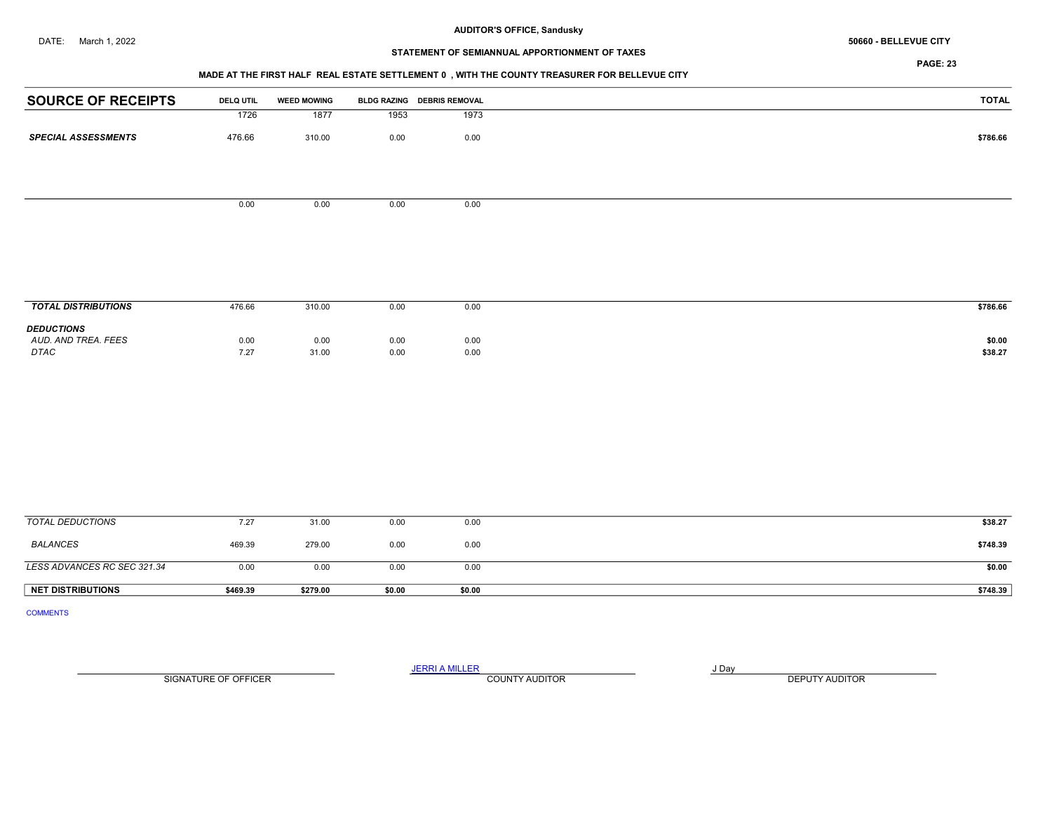# STATEMENT OF SEMIANNUAL APPORTIONMENT OF TAXES

## MADE AT THE FIRST HALF REAL ESTATE SETTLEMENT 0 , WITH THE COUNTY TREASURER FOR BELLEVUE CITY

| <b>SOURCE OF RECEIPTS</b>                | <b>DELQ UTIL</b> | <b>WEED MOWING</b> |          | BLDG RAZING DEBRIS REMOVAL | <b>TOTAL</b> |
|------------------------------------------|------------------|--------------------|----------|----------------------------|--------------|
|                                          | 1726             | 1877               | 1953     | 1973                       |              |
| <b>SPECIAL ASSESSMENTS</b>               | 476.66           | 310.00             | $0.00\,$ | 0.00                       | \$786.66     |
|                                          |                  |                    |          |                            |              |
|                                          | 0.00             | 0.00               | 0.00     | 0.00                       |              |
|                                          |                  |                    |          |                            |              |
|                                          |                  |                    |          |                            |              |
|                                          |                  |                    |          |                            |              |
| <b>TOTAL DISTRIBUTIONS</b>               | 476.66           | 310.00             | 0.00     | 0.00                       | \$786.66     |
|                                          |                  |                    |          |                            |              |
| <b>DEDUCTIONS</b><br>AUD. AND TREA. FEES | 0.00             | 0.00               | 0.00     | 0.00                       | \$0.00       |
| $\ensuremath{\mathsf{DTAC}}$             | 7.27             | 31.00              | 0.00     | 0.00                       | \$38.27      |
|                                          |                  |                    |          |                            |              |
|                                          |                  |                    |          |                            |              |
|                                          |                  |                    |          |                            |              |
|                                          |                  |                    |          |                            |              |
|                                          |                  |                    |          |                            |              |
|                                          |                  |                    |          |                            |              |
| <b>TOTAL DEDUCTIONS</b>                  | 7.27             | 31.00              | 0.00     | 0.00                       | \$38.27      |
| <b>BALANCES</b>                          | 469.39           | 279.00             | 0.00     | 0.00                       | \$748.39     |
| LESS ADVANCES RC SEC 321.34              | 0.00             | 0.00               | 0.00     | 0.00                       | \$0.00       |

NET DISTRIBUTIONS \$469.39 \$279.00 \$0.00 \$0.00 \$0.00 \$0.00 \$0.00 \$148.39

COMMENTS

SIGNATURE OF OFFICER **EXECUTE A RELATION COUNTY AUDITOR** COUNTY AUDITOR **DEPUTY AUDITOR** 

JERRI A MILLER COUNTY AUDITOR **Finally COUNTY AUDITOR**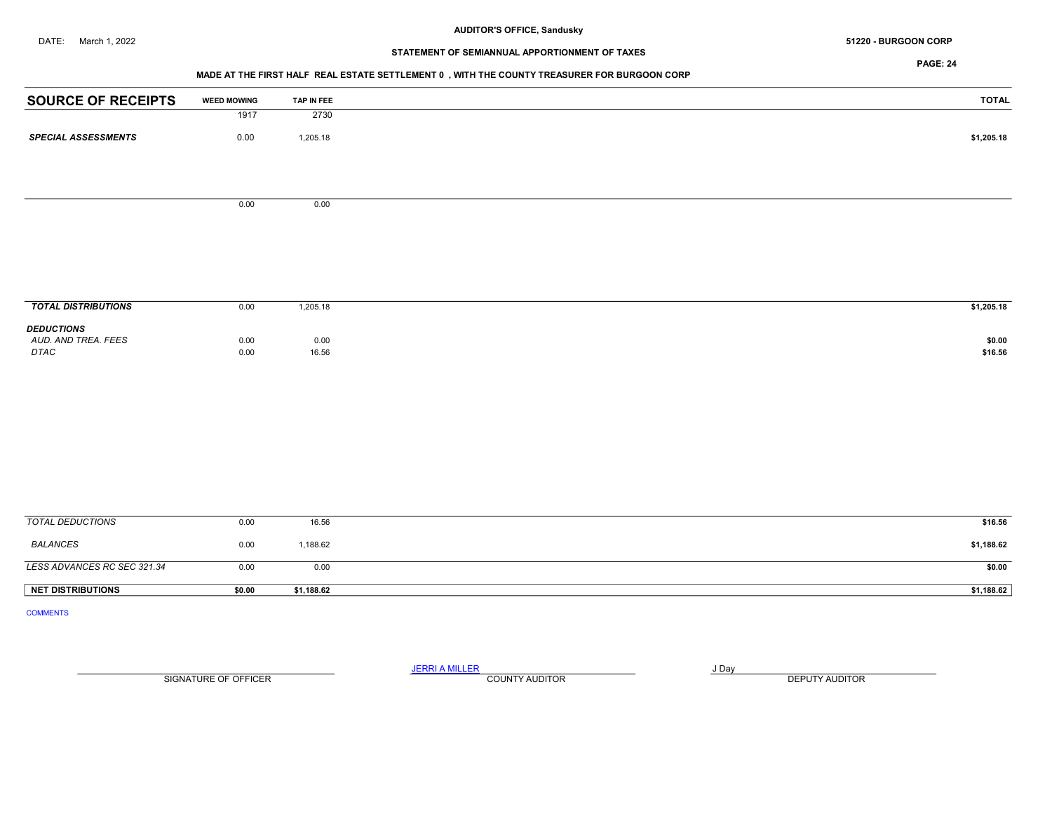## DATE: March 1, 2022 **BURGOON CORP** 51220 - BURGOON CORP

# STATEMENT OF SEMIANNUAL APPORTIONMENT OF TAXES

PAGE: 24

## MADE AT THE FIRST HALF REAL ESTATE SETTLEMENT 0 , WITH THE COUNTY TREASURER FOR BURGOON CORP

| <b>SOURCE OF RECEIPTS</b>   | <b>WEED MOWING</b> | TAP IN FEE | <b>TOTAL</b> |
|-----------------------------|--------------------|------------|--------------|
|                             | 1917               | 2730       |              |
| <b>SPECIAL ASSESSMENTS</b>  | 0.00               | 1,205.18   | \$1,205.18   |
|                             |                    |            |              |
|                             |                    |            |              |
|                             | 0.00               | 0.00       |              |
|                             |                    |            |              |
|                             |                    |            |              |
|                             |                    |            |              |
|                             |                    |            |              |
| <b>TOTAL DISTRIBUTIONS</b>  | 0.00               | 1,205.18   | \$1,205.18   |
| <b>DEDUCTIONS</b>           |                    |            |              |
| AUD. AND TREA. FEES         | 0.00               | 0.00       | \$0.00       |
| DTAC                        | 0.00               | 16.56      | \$16.56      |
|                             |                    |            |              |
|                             |                    |            |              |
|                             |                    |            |              |
|                             |                    |            |              |
|                             |                    |            |              |
|                             |                    |            |              |
|                             |                    |            |              |
| <b>TOTAL DEDUCTIONS</b>     | 0.00               | 16.56      | \$16.56      |
|                             |                    |            |              |
| <b>BALANCES</b>             | 0.00               | 1,188.62   | \$1,188.62   |
| LESS ADVANCES RC SEC 321.34 | 0.00               | 0.00       | \$0.00       |

COMMENTS

JERRI A MILLER COUNTY AUDITOR **Finally COUNTY AUDITOR** SIGNATURE OF OFFICER **EXECUTE A RELATION COUNTY AUDITOR** COUNTY AUDITOR **DEPUTY AUDITOR** 

NET DISTRIBUTIONS \$0.00 \$1,188.62 \$1,188.62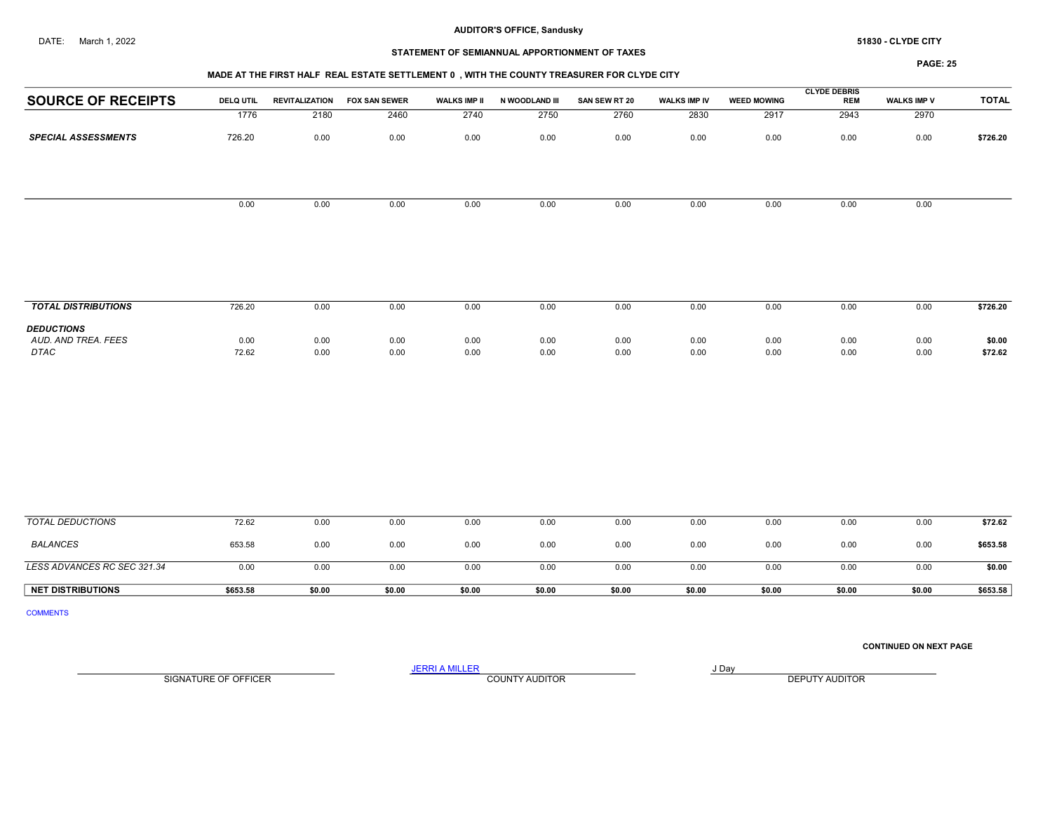## STATEMENT OF SEMIANNUAL APPORTIONMENT OF TAXES

#### MADE AT THE FIRST HALF REAL ESTATE SETTLEMENT 0 , WITH THE COUNTY TREASURER FOR CLYDE CITY

PAGE: 25

| <b>SOURCE OF RECEIPTS</b>  | <b>DELQ UTIL</b> | <b>REVITALIZATION</b> | <b>FOX SAN SEWER</b> | <b>WALKS IMP II</b> | N WOODLAND III | SAN SEW RT 20 | <b>WALKS IMP IV</b> | <b>WEED MOWING</b> | <b>CLYDE DEBRIS</b><br><b>REM</b> | <b>WALKS IMP V</b> | <b>TOTAL</b> |
|----------------------------|------------------|-----------------------|----------------------|---------------------|----------------|---------------|---------------------|--------------------|-----------------------------------|--------------------|--------------|
|                            | 1776             | 2180                  | 2460                 | 2740                | 2750           | 2760          | 2830                | 2917               | 2943                              | 2970               |              |
| <b>SPECIAL ASSESSMENTS</b> | 726.20           | 0.00                  | 0.00                 | 0.00                | 0.00           | 0.00          | 0.00                | 0.00               | 0.00                              | 0.00               | \$726.20     |
|                            |                  |                       |                      |                     |                |               |                     |                    |                                   |                    |              |
|                            | 0.00             | 0.00                  | 0.00                 | 0.00                | 0.00           | 0.00          | 0.00                | 0.00               | 0.00                              | 0.00               |              |
|                            |                  |                       |                      |                     |                |               |                     |                    |                                   |                    |              |
|                            |                  |                       |                      |                     |                |               |                     |                    |                                   |                    |              |
|                            |                  |                       |                      |                     |                |               |                     |                    |                                   |                    |              |
|                            |                  |                       |                      |                     |                |               |                     |                    |                                   |                    |              |
|                            |                  |                       |                      |                     |                |               |                     |                    |                                   |                    |              |
| <b>TOTAL DISTRIBUTIONS</b> | 726.20           | 0.00                  | 0.00                 | 0.00                | 0.00           | 0.00          | 0.00                | 0.00               | 0.00                              | 0.00               | \$726.20     |
| <b>DEDUCTIONS</b>          |                  |                       |                      |                     |                |               |                     |                    |                                   |                    |              |
| AUD. AND TREA. FEES        | 0.00             | 0.00                  | 0.00                 | 0.00                | 0.00           | 0.00          | 0.00                | 0.00               | 0.00                              | 0.00               | \$0.00       |
| DTAC                       | 72.62            | 0.00                  | 0.00                 | 0.00                | 0.00           | 0.00          | 0.00                | 0.00               | 0.00                              | 0.00               | \$72.62      |
|                            |                  |                       |                      |                     |                |               |                     |                    |                                   |                    |              |

| TOTAL DEDUCTIONS            | 72.62    | 0.00   | 0.00   | 0.00   | 0.00   | 0.00   | 0.00   | 0.00   | 0.00   | 0.00   | \$72.62  |
|-----------------------------|----------|--------|--------|--------|--------|--------|--------|--------|--------|--------|----------|
| <b>BALANCES</b>             | 653.58   | 0.00   | 0.00   | 0.00   | 0.00   | 0.00   | 0.00   | 0.00   | 0.00   | 0.00   | \$653.58 |
| LESS ADVANCES RC SEC 321.34 | 0.OC     | 0.00   | 0.00   | 0.00   | 0.00   | 0.00   | 0.00   | 0.00   | 0.00   | 0.00   | \$0.00   |
| <b>NET DISTRIBUTIONS</b>    | \$653.58 | \$0.00 | \$0.00 | \$0.00 | \$0.00 | \$0.00 | \$0.00 | \$0.00 | \$0.00 | \$0.00 | \$653.58 |

COMMENTS

CONTINUED ON NEXT PAGE

SIGNATURE OF OFFICER **EXECUTE A RELATION COUNTY AUDITOR** COUNTY AUDITOR **DEPUTY AUDITOR** 

JERRI A MILLER COUNTY AUDITOR **FOUND A SERVICE ASSAULT**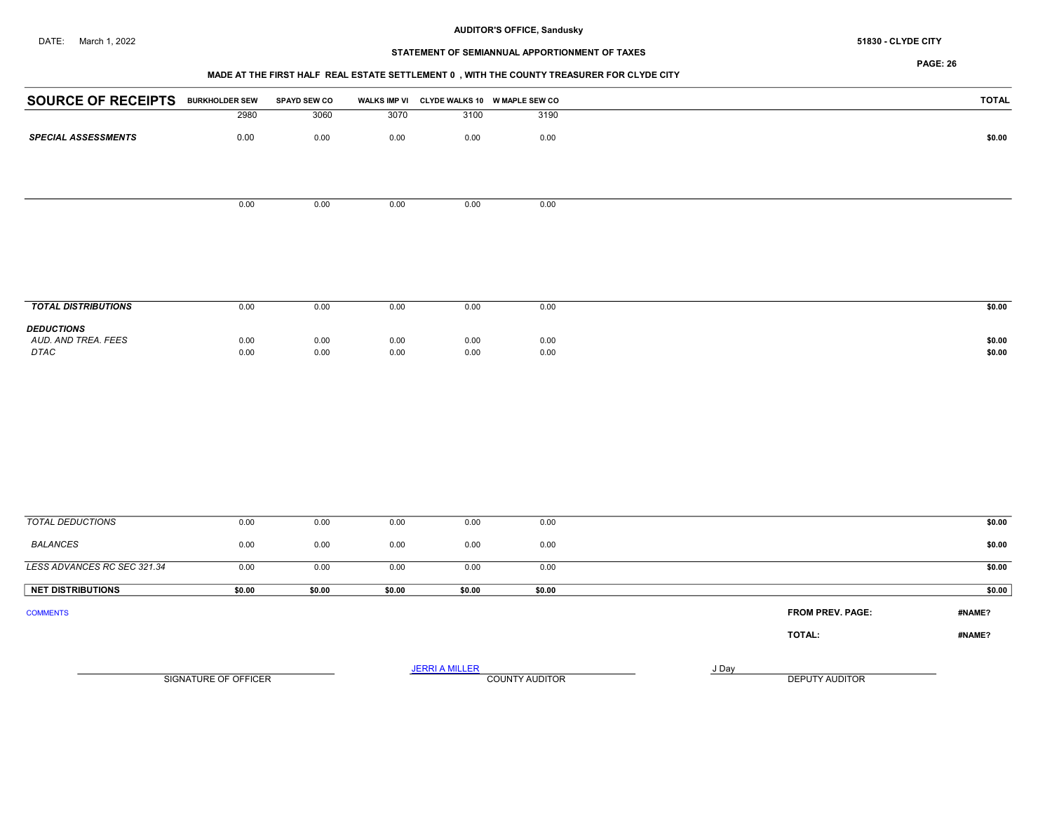#### DATE: March 1, 2022 **51830 - CLYDE CITY 51830 - CLYDE CITY**

## AUDITOR'S OFFICE, Sandusky

## STATEMENT OF SEMIANNUAL APPORTIONMENT OF TAXES

PAGE: 26

## MADE AT THE FIRST HALF REAL ESTATE SETTLEMENT 0 , WITH THE COUNTY TREASURER FOR CLYDE CITY

| <b>SOURCE OF RECEIPTS BURKHOLDER SEW</b> |              | <b>SPAYD SEW CO</b> |              |                       | WALKS IMP VI CLYDE WALKS 10 W MAPLE SEW CO |       |                  | <b>TOTAL</b>     |
|------------------------------------------|--------------|---------------------|--------------|-----------------------|--------------------------------------------|-------|------------------|------------------|
|                                          | 2980         | 3060                | 3070         | 3100                  | 3190                                       |       |                  |                  |
| <b>SPECIAL ASSESSMENTS</b>               | 0.00         | 0.00                | 0.00         | 0.00                  | 0.00                                       |       |                  | \$0.00           |
|                                          |              |                     |              |                       |                                            |       |                  |                  |
|                                          |              |                     |              |                       |                                            |       |                  |                  |
|                                          | 0.00         | 0.00                | 0.00         | 0.00                  | 0.00                                       |       |                  |                  |
|                                          |              |                     |              |                       |                                            |       |                  |                  |
|                                          |              |                     |              |                       |                                            |       |                  |                  |
| <b>TOTAL DISTRIBUTIONS</b>               | 0.00         | 0.00                | 0.00         | 0.00                  | 0.00                                       |       |                  | \$0.00           |
| <b>DEDUCTIONS</b>                        |              |                     |              |                       |                                            |       |                  |                  |
| AUD. AND TREA. FEES<br>DTAC              | 0.00<br>0.00 | 0.00<br>0.00        | 0.00<br>0.00 | 0.00<br>0.00          | 0.00<br>0.00                               |       |                  | \$0.00<br>\$0.00 |
|                                          |              |                     |              |                       |                                            |       |                  |                  |
|                                          |              |                     |              |                       |                                            |       |                  |                  |
|                                          |              |                     |              |                       |                                            |       |                  |                  |
|                                          |              |                     |              |                       |                                            |       |                  |                  |
|                                          |              |                     |              |                       |                                            |       |                  |                  |
|                                          |              |                     |              |                       |                                            |       |                  |                  |
|                                          |              |                     |              |                       |                                            |       |                  |                  |
|                                          |              |                     |              |                       |                                            |       |                  |                  |
|                                          |              |                     |              |                       |                                            |       |                  |                  |
| <b>TOTAL DEDUCTIONS</b>                  | 0.00         | 0.00                | 0.00         | 0.00                  | 0.00                                       |       |                  | \$0.00           |
|                                          |              |                     |              |                       |                                            |       |                  |                  |
| <b>BALANCES</b>                          | 0.00         | 0.00                | 0.00         | 0.00                  | 0.00                                       |       |                  | \$0.00           |
| LESS ADVANCES RC SEC 321.34              | 0.00         | 0.00                | 0.00         | 0.00                  | 0.00                                       |       |                  | \$0.00           |
| <b>NET DISTRIBUTIONS</b>                 | \$0.00       | \$0.00              | \$0.00       | \$0.00                | \$0.00                                     |       |                  | \$0.00           |
| <b>COMMENTS</b>                          |              |                     |              |                       |                                            |       | FROM PREV. PAGE: | #NAME?           |
|                                          |              |                     |              |                       |                                            |       | TOTAL:           | #NAME?           |
|                                          |              |                     |              |                       |                                            |       |                  |                  |
|                                          |              |                     |              | <b>JERRI A MILLER</b> |                                            | J Day |                  |                  |

SIGNATURE OF OFFICER **EXECUTE A RELATION COUNTY AUDITOR** COUNTY AUDITOR **DEPUTY AUDITOR**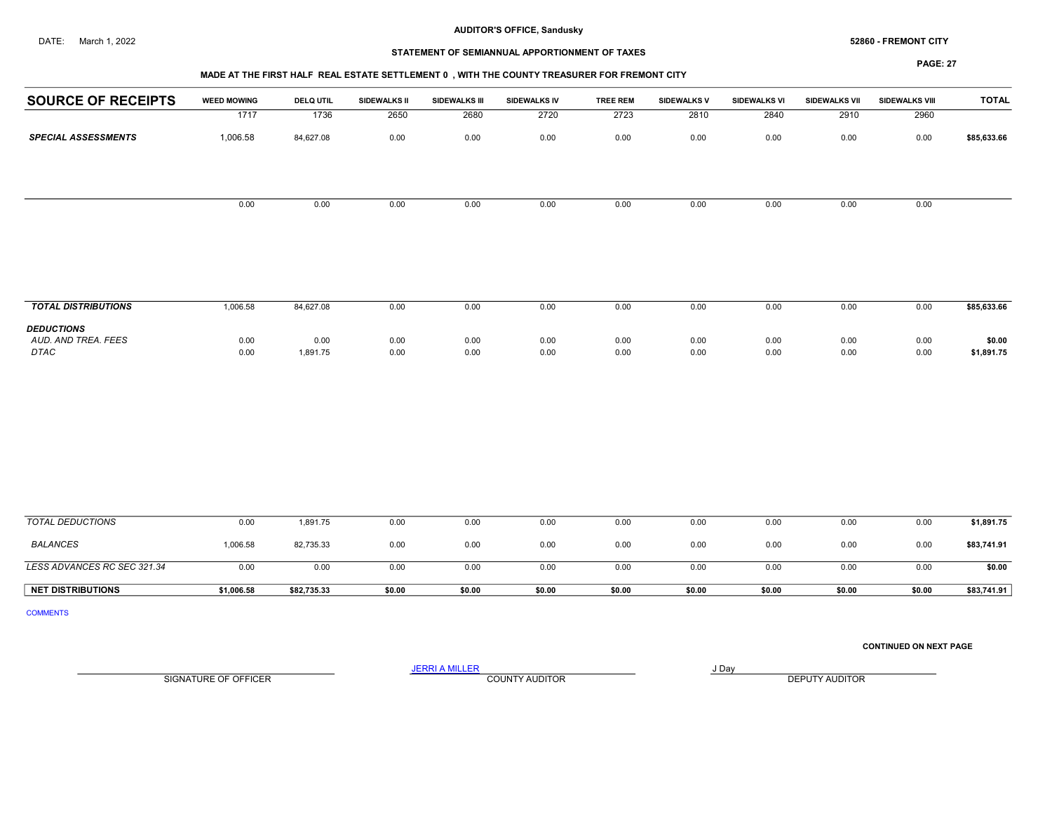# STATEMENT OF SEMIANNUAL APPORTIONMENT OF TAXES

#### PAGE: 27

| <b>SOURCE OF RECEIPTS</b>  | <b>WEED MOWING</b> | <b>DELQ UTIL</b> | <b>SIDEWALKS II</b> | <b>SIDEWALKS III</b> | SIDEWALKS IV | <b>TREE REM</b> | <b>SIDEWALKS V</b> | SIDEWALKS VI | SIDEWALKS VII | SIDEWALKS VIII | <b>TOTAL</b> |
|----------------------------|--------------------|------------------|---------------------|----------------------|--------------|-----------------|--------------------|--------------|---------------|----------------|--------------|
|                            | 1717               | 1736             | 2650                | 2680                 | 2720         | 2723            | 2810               | 2840         | 2910          | 2960           |              |
| <b>SPECIAL ASSESSMENTS</b> | 1,006.58           | 84,627.08        | 0.00                | 0.00                 | 0.00         | 0.00            | 0.00               | 0.00         | 0.00          | 0.00           | \$85,633.66  |
|                            | 0.00               | 0.00             | 0.00                | 0.00                 | 0.00         | 0.00            | 0.00               | 0.00         | 0.00          | 0.00           |              |
|                            |                    |                  |                     |                      |              |                 |                    |              |               |                |              |
| <b>TOTAL DISTRIBUTIONS</b> | 1,006.58           | 84,627.08        | 0.00                | 0.00                 | 0.00         | 0.00            | 0.00               | 0.00         | 0.00          | 0.00           | \$85,633.66  |
| <b>DEDUCTIONS</b>          |                    |                  |                     |                      |              |                 |                    |              |               |                |              |
| AUD. AND TREA. FEES        | 0.00               | 0.00             | 0.00                | 0.00                 | 0.00         | 0.00            | 0.00               | 0.00         | 0.00          | 0.00           | \$0.00       |
| DTAC                       | 0.00               | 1,891.75         | 0.00                | 0.00                 | 0.00         | 0.00            | 0.00               | 0.00         | 0.00          | 0.00           | \$1,891.75   |
|                            |                    |                  |                     |                      |              |                 |                    |              |               |                |              |
|                            |                    |                  |                     |                      |              |                 |                    |              |               |                |              |
|                            |                    |                  |                     |                      |              |                 |                    |              |               |                |              |
|                            |                    |                  |                     |                      |              |                 |                    |              |               |                |              |
|                            |                    |                  |                     |                      |              |                 |                    |              |               |                |              |
|                            |                    |                  |                     |                      |              |                 |                    |              |               |                |              |

| <b>NET DISTRIBUTIONS</b>    | \$1,006.58 | \$82,735.33 | \$0.00 | \$0.00 | \$0.00 | \$0.00 | \$0.00 | \$0.00 | \$0.00 | \$0.00 | \$83,741.91 |
|-----------------------------|------------|-------------|--------|--------|--------|--------|--------|--------|--------|--------|-------------|
| LESS ADVANCES RC SEC 321.34 | 0.00       | 0.00        | 0.00   | 0.00   | 0.00   | 0.00   | 0.00   | 0.0(   | 0.00   | 0.00   | \$0.00      |
| <b>BALANCES</b>             | 1,006.58   | 82,735.33   | 0.00   | 0.00   | 0.00   | 0.00   | 0.00   | 0.00   | 0.00   | 0.00   | \$83,741.91 |
| <b>TOTAL DEDUCTIONS</b>     | 0.00       | 1,891.75    | 0.00   | v.vv   | 0.00   | 0.00   | 0.00   | 0.00   | 0.00   | 0.00   | \$1,891.75  |

COMMENTS

## CONTINUED ON NEXT PAGE

SIGNATURE OF OFFICER **EXECUTE A RELATION COUNTY AUDITOR** COUNTY AUDITOR **DEPUTY AUDITOR** 

JERRI A MILLER COUNTY AUDITOR **FOUND A SERVIT A SERVIT ASSAULT** OF THE SERVIT OF THE SERVIT OF THE SERVIT OF THE SERVIT OF THE SERVIT OF THE SERVIT OF THE SERVIT OF THE SERVIT OF THE SERVIT OF THE SERVIT OF THE SERVIT OF T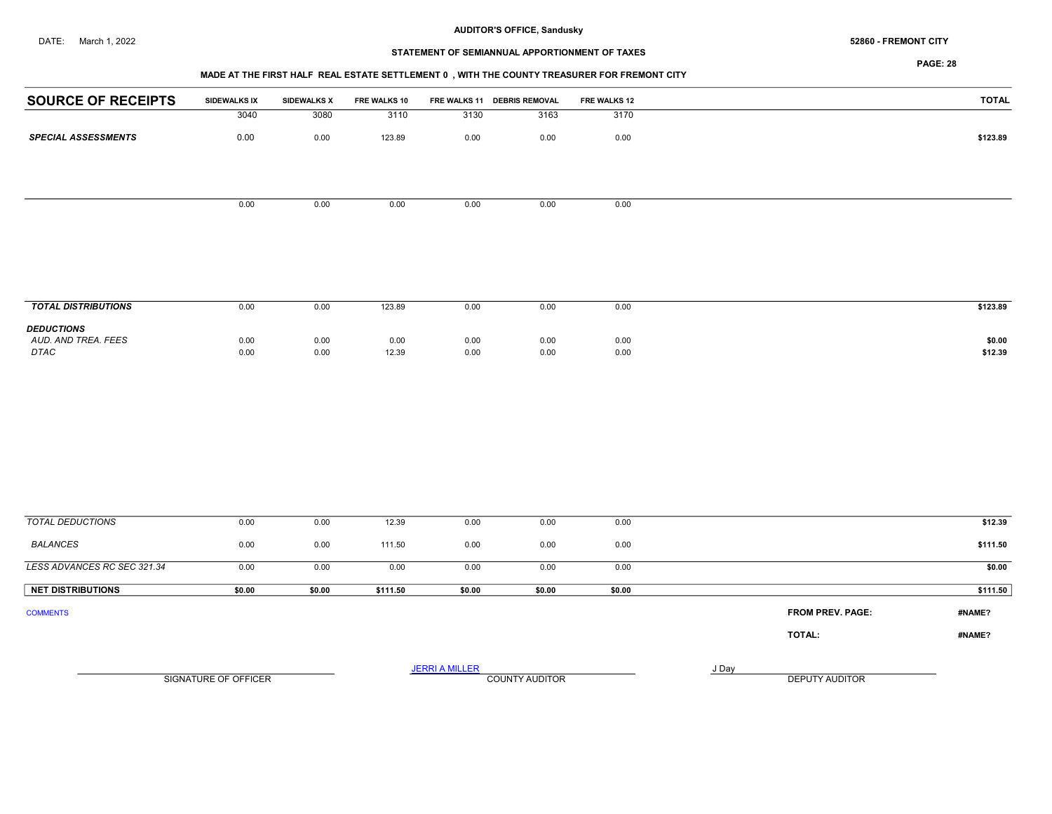# STATEMENT OF SEMIANNUAL APPORTIONMENT OF TAXES

PAGE: 28

#### MADE AT THE FIRST HALF REAL ESTATE SETTLEMENT 0 , WITH THE COUNTY TREASURER FOR FREMONT CITY

| <b>SOURCE OF RECEIPTS</b>  | SIDEWALKS IX | <b>SIDEWALKS X</b> | FRE WALKS 10 |      | FRE WALKS 11 DEBRIS REMOVAL | <b>FRE WALKS 12</b> | <b>TOTAL</b> |
|----------------------------|--------------|--------------------|--------------|------|-----------------------------|---------------------|--------------|
|                            | 3040         | 3080               | 3110         | 3130 | 3163                        | 3170                |              |
| <b>SPECIAL ASSESSMENTS</b> | 0.00         | 0.00               | 123.89       | 0.00 | 0.00                        | 0.00                | \$123.89     |
|                            |              |                    |              |      |                             |                     |              |
|                            |              |                    |              |      |                             |                     |              |
|                            | 0.00         | 0.00               | 0.00         | 0.00 | 0.00                        | 0.00                |              |
|                            |              |                    |              |      |                             |                     |              |
|                            |              |                    |              |      |                             |                     |              |
|                            |              |                    |              |      |                             |                     |              |
|                            |              |                    |              |      |                             |                     |              |

| <b>TOTAL DISTRIBUTIONS</b>                              | 0.00         | 0.00         | 123.89        | 0.00         | 0.00         | 0.00         | \$123.89          |
|---------------------------------------------------------|--------------|--------------|---------------|--------------|--------------|--------------|-------------------|
| <b>DEDUCTIONS</b><br>AUD. AND TREA. FEES<br><b>DTAC</b> | 0.00<br>0.00 | 0.00<br>0.00 | 0.00<br>12.39 | 0.00<br>0.00 | 0.00<br>0.00 | 0.00<br>0.00 | \$0.00<br>\$12.39 |

| TOTAL DEDUCTIONS            | 0.00                 | 0.00   | 12.39    | 0.00                  | 0.00                  | 0.00   |       |                         | \$12.39  |
|-----------------------------|----------------------|--------|----------|-----------------------|-----------------------|--------|-------|-------------------------|----------|
| BALANCES                    | 0.00                 | 0.00   | 111.50   | 0.00                  | 0.00                  | 0.00   |       |                         | \$111.50 |
| LESS ADVANCES RC SEC 321.34 | 0.00                 | 0.00   | 0.00     | 0.00                  | 0.00                  | 0.00   |       |                         | \$0.00   |
| <b>NET DISTRIBUTIONS</b>    | \$0.00               | \$0.00 | \$111.50 | \$0.00                | \$0.00                | \$0.00 |       |                         | \$111.50 |
| <b>COMMENTS</b>             |                      |        |          |                       |                       |        |       | <b>FROM PREV. PAGE:</b> | #NAME?   |
|                             |                      |        |          |                       |                       |        |       | TOTAL:                  | #NAME?   |
|                             | SIGNATURE OF OFFICER |        |          | <b>JERRI A MILLER</b> | <b>COUNTY AUDITOR</b> |        | J Day | <b>DEPUTY AUDITOR</b>   |          |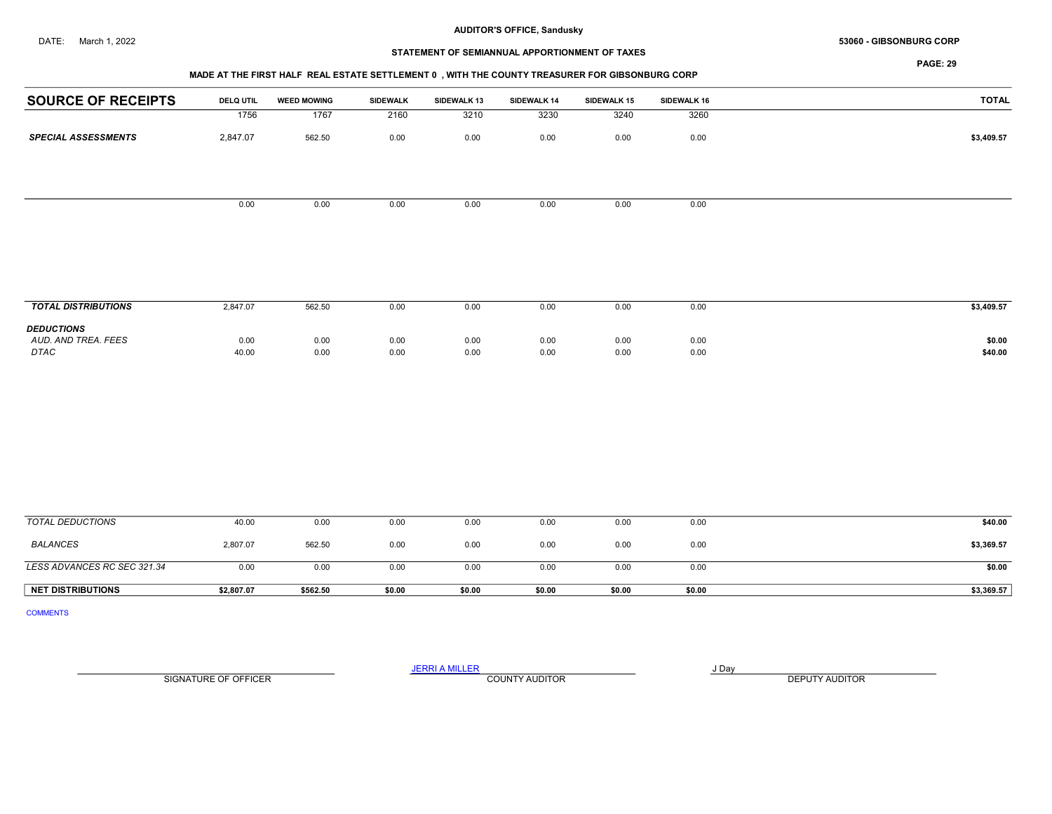#### DATE: March 1, 2022 53060 - GIBSONBURG CORP

## STATEMENT OF SEMIANNUAL APPORTIONMENT OF TAXES

PAGE: 29

| <b>SOURCE OF RECEIPTS</b>  | <b>DELQ UTIL</b> | <b>WEED MOWING</b> | SIDEWALK | SIDEWALK 13 | SIDEWALK 14 | SIDEWALK 15 | SIDEWALK 16 | <b>TOTAL</b> |
|----------------------------|------------------|--------------------|----------|-------------|-------------|-------------|-------------|--------------|
|                            | 1756             | 1767               | 2160     | 3210        | 3230        | 3240        | 3260        |              |
| <b>SPECIAL ASSESSMENTS</b> | 2,847.07         | 562.50             | 0.00     | 0.00        | 0.00        | 0.00        | 0.00        | \$3,409.57   |
|                            |                  |                    |          |             |             |             |             |              |
|                            |                  |                    |          |             |             |             |             |              |
|                            | 0.00             | 0.00               | 0.00     | 0.00        | 0.00        | 0.00        | 0.00        |              |
|                            |                  |                    |          |             |             |             |             |              |
|                            |                  |                    |          |             |             |             |             |              |

| <b>TOTAL DISTRIBUTIONS</b>                              | 2,847.07      | 562.50       | 0.00         | 0.00         | 0.00         | 0.00         | 0.00         | \$3,409.57        |
|---------------------------------------------------------|---------------|--------------|--------------|--------------|--------------|--------------|--------------|-------------------|
| <b>DEDUCTIONS</b><br>AUD. AND TREA. FEES<br><b>DTAC</b> | 0.00<br>40.00 | 0.00<br>0.00 | 0.00<br>0.00 | 0.00<br>0.00 | 0.00<br>0.00 | 0.00<br>0.00 | 0.00<br>0.00 | \$0.00<br>\$40.00 |

| TOTAL DEDUCTIONS            | 40.00      | 0.00     | 0.00   | 0.00   | 0.00   | 0.00   | 0.00   | \$40.00    |
|-----------------------------|------------|----------|--------|--------|--------|--------|--------|------------|
| BALANCES                    | 2,807.07   | 562.50   | 0.00   | 0.00   | 0.00   | 0.00   | 0.00   | \$3,369.57 |
| LESS ADVANCES RC SEC 321.34 | 0.00       | 0.00     | 0.00   | 0.00   | 0.00   | 0.00   | 0.00   | \$0.00     |
| <b>NET DISTRIBUTIONS</b>    | \$2,807.07 | \$562.50 | \$0.00 | \$0.00 | \$0.00 | \$0.00 | \$0.00 | \$3,369.57 |

COMMENTS

JERRI A MILLER COUNTY AUDITOR AND A RESERVE THE SERVE OF A LIBRARY SERVE OF A LIBRARY SUBSET OF A LIBRARY SUBSET OF A LIBRARY SUBSET OF A LIBRARY SUBSET OF A LIBRARY SUBSET OF A LIBRARY SUBSET OF A LIBRARY SUBSET OF A LIBR

SIGNATURE OF OFFICER **EXECUTE A RELATION COUNTY AUDITOR** COUNTY AUDITOR **DEPUTY AUDITOR**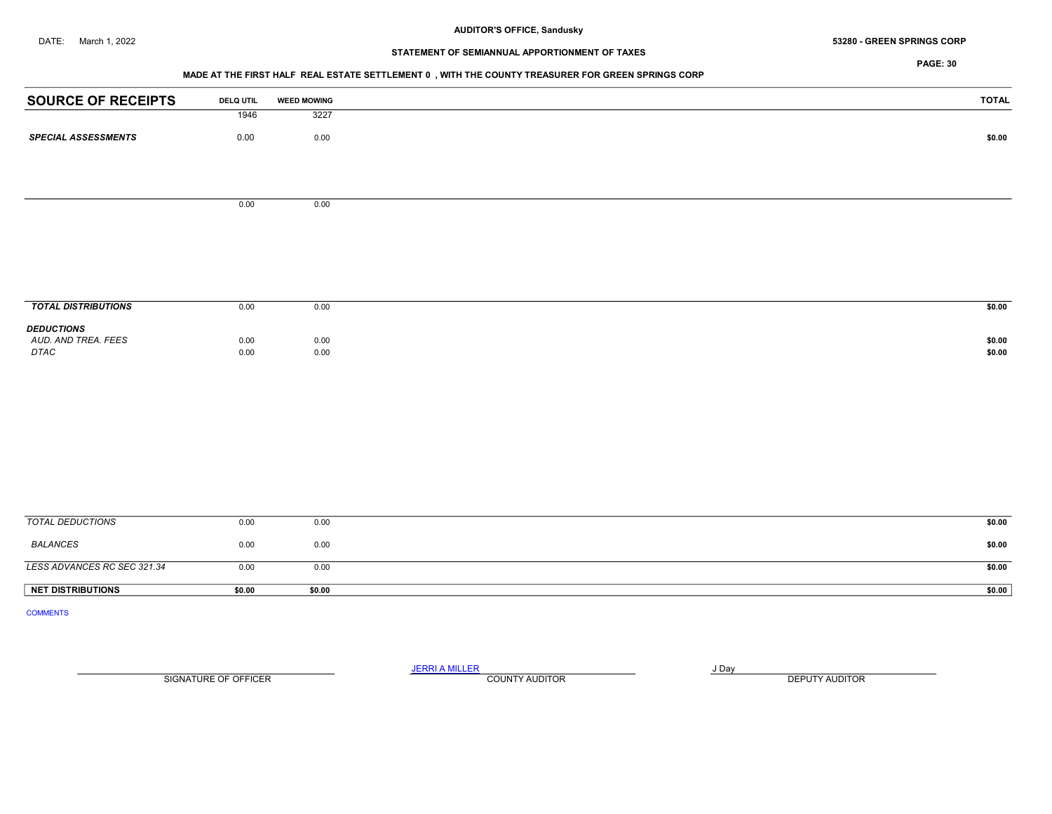#### DATE: March 1, 2022 53280 - GREEN SPRINGS CORP

# STATEMENT OF SEMIANNUAL APPORTIONMENT OF TAXES

PAGE: 30

## MADE AT THE FIRST HALF REAL ESTATE SETTLEMENT 0 , WITH THE COUNTY TREASURER FOR GREEN SPRINGS CORP

| <b>SOURCE OF RECEIPTS</b>                | <b>DELQ UTIL</b> | <b>WEED MOWING</b> | <b>TOTAL</b> |
|------------------------------------------|------------------|--------------------|--------------|
|                                          | 1946             | 3227               |              |
| <b>SPECIAL ASSESSMENTS</b>               | 0.00             | 0.00               | \$0.00       |
|                                          |                  |                    |              |
|                                          |                  |                    |              |
|                                          |                  |                    |              |
|                                          | 0.00             | 0.00               |              |
|                                          |                  |                    |              |
|                                          |                  |                    |              |
|                                          |                  |                    |              |
|                                          |                  |                    |              |
|                                          |                  |                    |              |
| <b>TOTAL DISTRIBUTIONS</b>               | 0.00             | 0.00               | \$0.00       |
|                                          |                  |                    |              |
| <b>DEDUCTIONS</b><br>AUD. AND TREA. FEES | 0.00             | 0.00               | \$0.00       |
| $\ensuremath{\mathit{DTAC}}$             | 0.00             | $0.00\,$           | \$0.00       |
|                                          |                  |                    |              |
|                                          |                  |                    |              |
|                                          |                  |                    |              |
|                                          |                  |                    |              |
|                                          |                  |                    |              |
|                                          |                  |                    |              |
|                                          |                  |                    |              |
|                                          |                  |                    |              |
|                                          |                  |                    |              |
| <b>TOTAL DEDUCTIONS</b>                  | 0.00             | 0.00               | \$0.00       |
|                                          |                  |                    |              |
| <b>BALANCES</b>                          | 0.00             | 0.00               | \$0.00       |

**LESS ADVANCES RC SEC 321.34** 0.00 0.00 0.00 0.00 \$0.00 \$0.00 \$0.00 NET DISTRIBUTIONS \$0.00 \$0.00 \$0.00 \$0.00 \$0.00 \$0.00 \$0.00 \$0.00 \$1.00 \$1.00 \$1.00 \$1.00 \$1.00 \$1.00 \$1.00 \$1

COMMENTS

JERRI A MILLER COUNTY AUDITOR **Finally COUNTY AUDITOR** SIGNATURE OF OFFICER **EXECUTE A RELATION COUNTY AUDITOR** COUNTY AUDITOR **DEPUTY AUDITOR**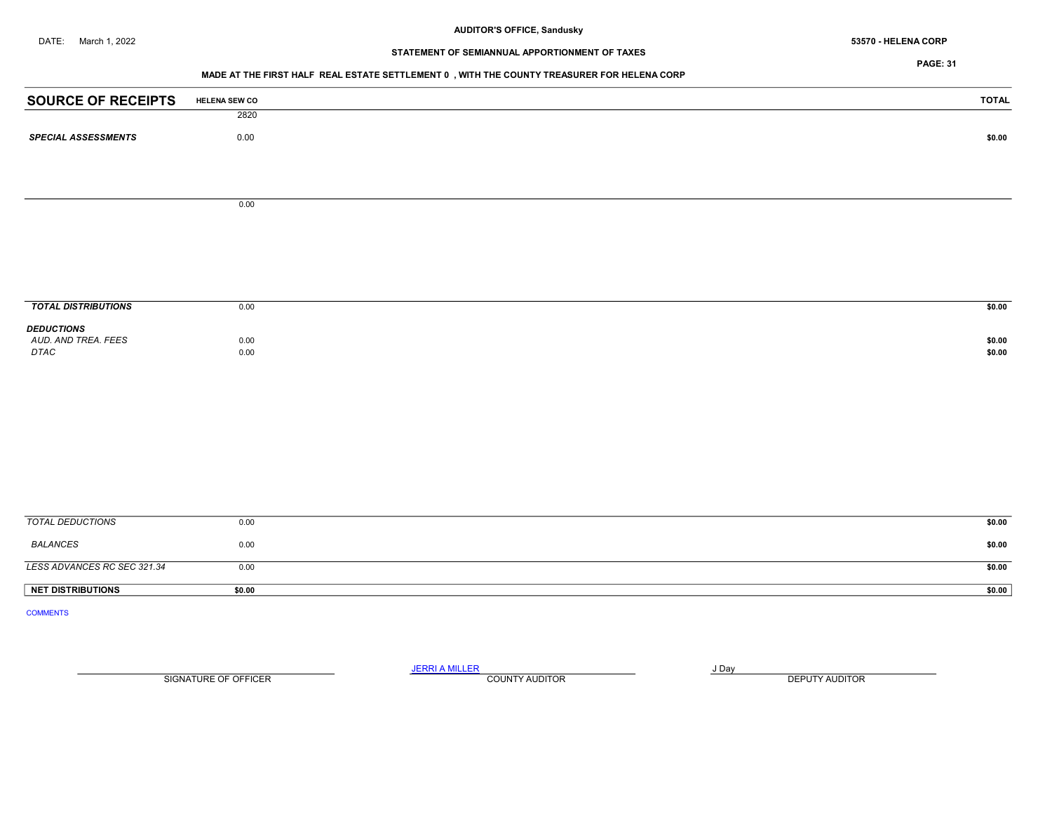# STATEMENT OF SEMIANNUAL APPORTIONMENT OF TAXES

PAGE: 31

## MADE AT THE FIRST HALF REAL ESTATE SETTLEMENT 0 , WITH THE COUNTY TREASURER FOR HELENA CORP

| <b>SOURCE OF RECEIPTS</b>   | <b>HELENA SEW CO</b> | <b>TOTAL</b> |
|-----------------------------|----------------------|--------------|
|                             | 2820                 |              |
| <b>SPECIAL ASSESSMENTS</b>  | $0.00\,$             | \$0.00       |
|                             |                      |              |
|                             |                      |              |
|                             | 0.00                 |              |
|                             |                      |              |
|                             |                      |              |
|                             |                      |              |
|                             |                      |              |
| <b>TOTAL DISTRIBUTIONS</b>  | 0.00                 | \$0.00       |
| <b>DEDUCTIONS</b>           |                      |              |
| AUD. AND TREA. FEES         | 0.00                 | \$0.00       |
| DTAC                        | $0.00\,$             | \$0.00       |
|                             |                      |              |
|                             |                      |              |
|                             |                      |              |
|                             |                      |              |
|                             |                      |              |
|                             |                      |              |
|                             |                      |              |
| <b>TOTAL DEDUCTIONS</b>     | 0.00                 | \$0.00       |
| <b>BALANCES</b>             | $0.00\,$             | \$0.00       |
| LESS ADVANCES RC SEC 321.34 | 0.00                 | \$0.00       |
| <b>NET DISTRIBUTIONS</b>    | \$0.00               | \$0.00       |
| <b>COMMENTS</b>             |                      |              |
|                             |                      |              |

SIGNATURE OF OFFICER **EXECUTE A RELATION COUNTY AUDITOR** COUNTY AUDITOR **DEPUTY AUDITOR** 

JERRI A MILLER COUNTY AUDITOR **FOUND A SERVIT A SERVIT ASSAULT** OF THE SERVIT OF THE SERVIT OF THE SERVIT OF THE SERVIT OF THE SERVIT OF THE SERVIT OF THE SERVIT OF THE SERVIT OF THE SERVIT OF THE SERVIT OF THE SERVIT OF T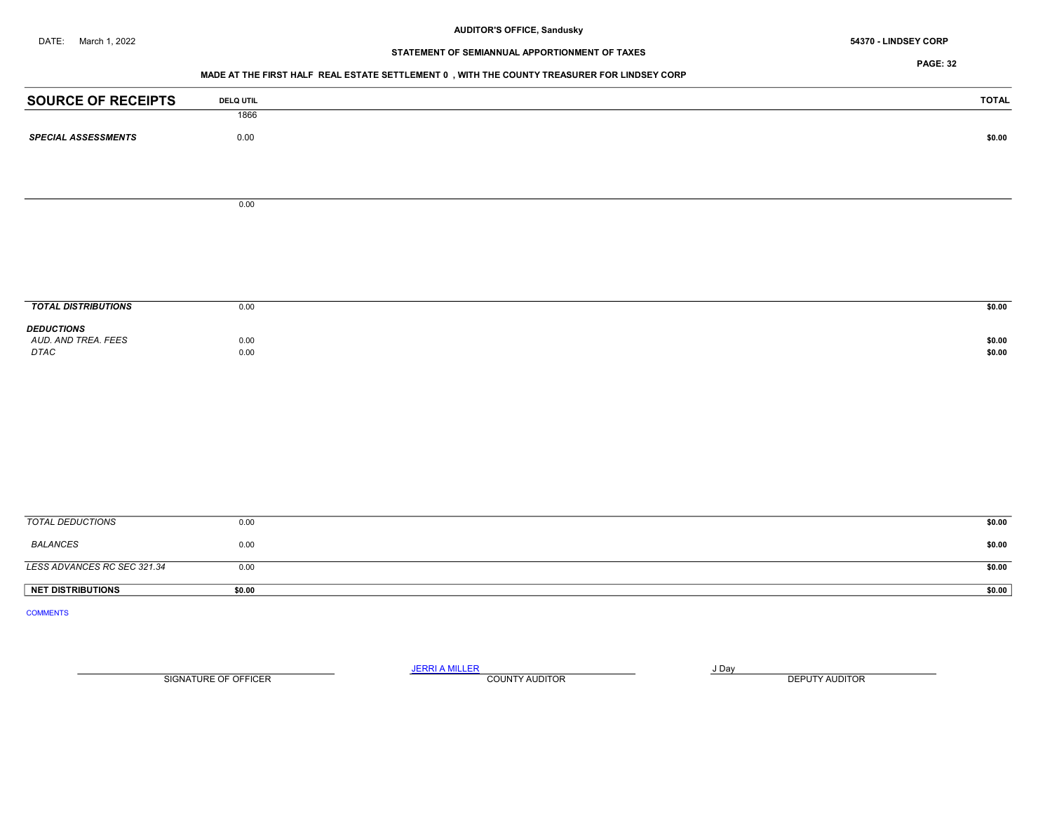# STATEMENT OF SEMIANNUAL APPORTIONMENT OF TAXES

PAGE: 32

## MADE AT THE FIRST HALF REAL ESTATE SETTLEMENT 0 , WITH THE COUNTY TREASURER FOR LINDSEY CORP

| <b>SOURCE OF RECEIPTS</b>                | <b>DELQ UTIL</b> | <b>TOTAL</b> |
|------------------------------------------|------------------|--------------|
|                                          | 1866             |              |
| <b>SPECIAL ASSESSMENTS</b>               | 0.00             | \$0.00       |
|                                          |                  |              |
|                                          |                  |              |
|                                          | 0.00             |              |
|                                          |                  |              |
|                                          |                  |              |
|                                          |                  |              |
|                                          |                  |              |
|                                          |                  |              |
| <b>TOTAL DISTRIBUTIONS</b>               | 0.00             | \$0.00       |
| <b>DEDUCTIONS</b><br>AUD. AND TREA. FEES | 0.00             | \$0.00       |
| DTAC                                     | 0.00             | \$0.00       |
|                                          |                  |              |
|                                          |                  |              |
|                                          |                  |              |
|                                          |                  |              |
|                                          |                  |              |
|                                          |                  |              |
|                                          |                  |              |
|                                          |                  |              |
| <b>TOTAL DEDUCTIONS</b>                  | 0.00             | \$0.00       |
| <b>BALANCES</b>                          | 0.00             | \$0.00       |
| LESS ADVANCES RC SEC 321.34              | 0.00             | \$0.00       |
| <b>NET DISTRIBUTIONS</b>                 | \$0.00           | \$0.00       |
| <b>COMMENTS</b>                          |                  |              |
|                                          |                  |              |

SIGNATURE OF OFFICER **EXECUTE A RELATION COUNTY AUDITOR** COUNTY AUDITOR **DEPUTY AUDITOR** 

JERRI A MILLER COUNTY AUDITOR **FOUR SERVICE ASSAULT**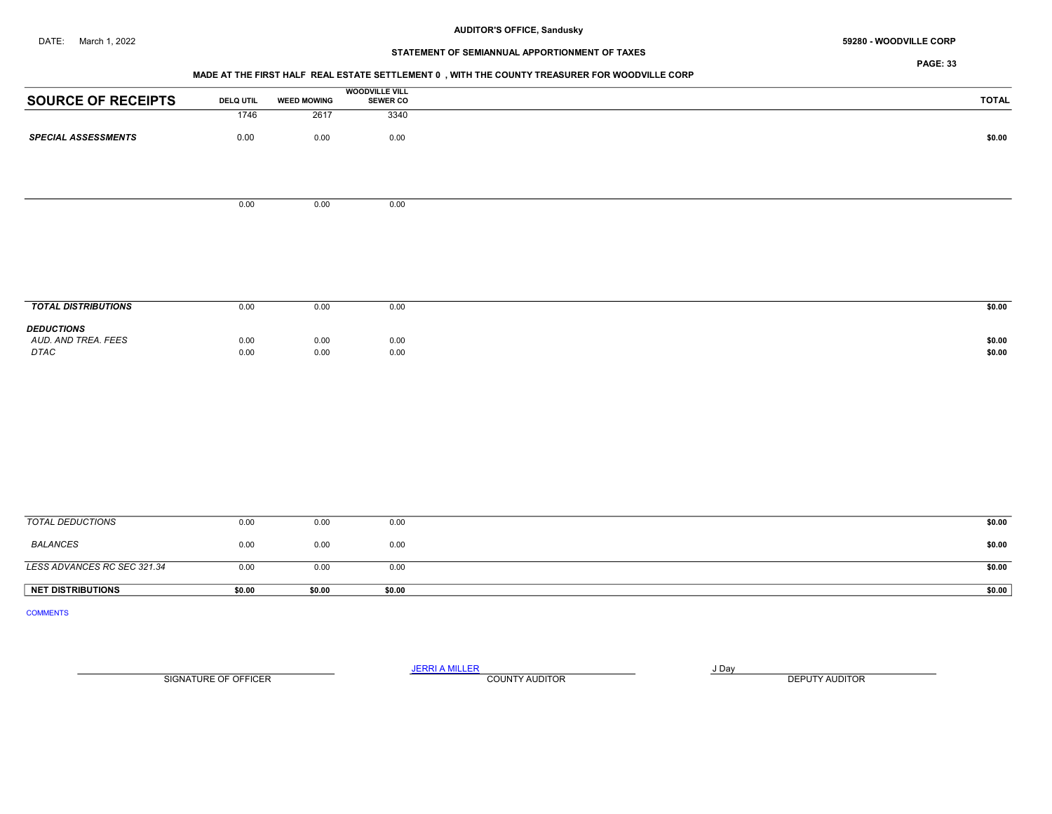## DATE: March 1, 2022 **59280 - WOODVILLE CORP 59280 - WOODVILLE CORP**

## STATEMENT OF SEMIANNUAL APPORTIONMENT OF TAXES

PAGE: 33

#### MADE AT THE FIRST HALF REAL ESTATE SETTLEMENT 0 , WITH THE COUNTY TREASURER FOR WOODVILLE CORP

|                            |                  |                    | <b>WOODVILLE VILL</b> |              |
|----------------------------|------------------|--------------------|-----------------------|--------------|
| <b>SOURCE OF RECEIPTS</b>  | <b>DELQ UTIL</b> | <b>WEED MOWING</b> | <b>SEWER CO</b>       | <b>TOTAL</b> |
|                            | 1746             | 2617               | 3340                  |              |
| <b>SPECIAL ASSESSMENTS</b> | 0.00             | 0.00               | 0.00                  | \$0.00       |
|                            |                  |                    |                       |              |
|                            |                  |                    |                       |              |
|                            | 0.00             | 0.00               | 0.00                  |              |
|                            |                  |                    |                       |              |
|                            |                  |                    |                       |              |
|                            |                  |                    |                       |              |
|                            |                  |                    |                       |              |
| <b>TOTAL DISTRIBUTIONS</b> | 0.00             | 0.00               | 0.00                  | \$0.00       |
| <b>DEDUCTIONS</b>          |                  |                    |                       |              |
| AUD. AND TREA. FEES        | 0.00             | 0.00               | 0.00                  | \$0.00       |

AUD. AND TREA. FEES 0.00 0.00 0.00 0.00 0.00 0.00 \$0.00  $D TAC$  0.00 0.00 0.00 0.00 0.00 0.00 0.00 \$0.00

| <b>NET DISTRIBUTIONS</b>    | \$0.00 | \$0.00 | \$0.00 | \$0.00 |
|-----------------------------|--------|--------|--------|--------|
| LESS ADVANCES RC SEC 321.34 | 0.00   | 0.00   | 0.00   | \$0.00 |
| BALANCES                    | 0.00   | 0.00   | 0.00   | \$0.00 |
| TOTAL DEDUCTIONS            | 0.00   | 0.00   | 0.00   | \$0.00 |

COMMENTS

JERRI A MILLER COUNTY AUDITOR **Finally COUNTY AUDITOR** SIGNATURE OF OFFICER **EXECUTE A RELATION COUNTY AUDITOR** COUNTY AUDITOR **DEPUTY AUDITOR**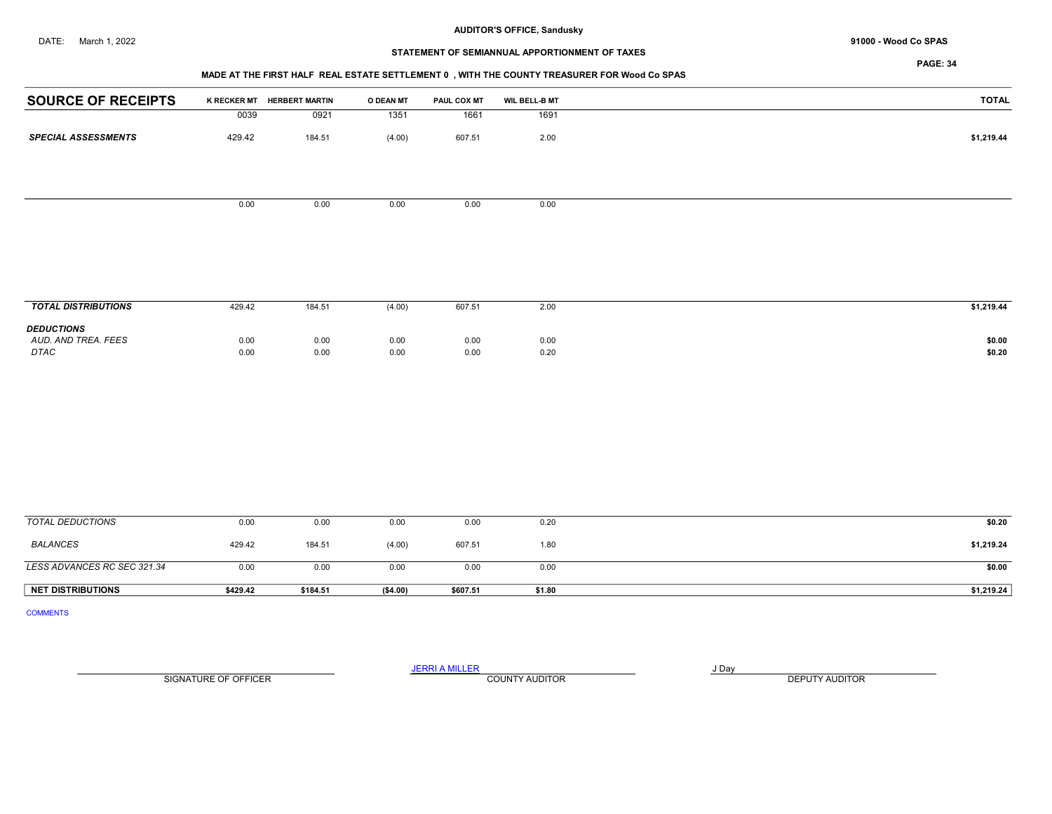## STATEMENT OF SEMIANNUAL APPORTIONMENT OF TAXES

PAGE: 34

## MADE AT THE FIRST HALF REAL ESTATE SETTLEMENT 0 , WITH THE COUNTY TREASURER FOR Wood Co SPAS

| <b>SOURCE OF RECEIPTS</b>  |        | K RECKER MT HERBERT MARTIN | O DEAN MT | <b>PAUL COX MT</b> | <b>WIL BELL-B MT</b> | <b>TOTAL</b> |
|----------------------------|--------|----------------------------|-----------|--------------------|----------------------|--------------|
|                            | 0039   | 0921                       | 1351      | 1661               | 1691                 |              |
| <b>SPECIAL ASSESSMENTS</b> | 429.42 | 184.51                     | (4.00)    | 607.51             | 2.00                 | \$1,219.44   |
|                            |        |                            |           |                    |                      |              |
|                            | 0.00   | 0.00                       | 0.00      | 0.00               | 0.00                 |              |
|                            |        |                            |           |                    |                      |              |

| <b>TOTAL DISTRIBUTIONS</b>                       | 429.42       | 184.51       | (4.00)       | 607.51       | 2.00         | \$1,219.44       |
|--------------------------------------------------|--------------|--------------|--------------|--------------|--------------|------------------|
| <b>DEDUCTIONS</b><br>AUD. AND TREA. FEES<br>DTAC | 0.00<br>0.00 | 0.00<br>0.00 | 0.00<br>0.00 | 0.00<br>0.00 | 0.00<br>0.20 | \$0.00<br>\$0.20 |

| TOTAL DEDUCTIONS            | 0.00     | 0.00     | 0.00      | 0.00     | 0.20   | \$0.20     |
|-----------------------------|----------|----------|-----------|----------|--------|------------|
| BALANCES                    | 429.42   | 184.51   | (4.00)    | 607.51   | 1.80   | \$1,219.24 |
| LESS ADVANCES RC SEC 321.34 | 0.00     | 0.00     | 0.00      | 0.00     | 0.00   | \$0.00     |
| <b>NET DISTRIBUTIONS</b>    | \$429.42 | \$184.51 | ( \$4.00) | \$607.51 | \$1.80 | \$1,219.24 |

COMMENTS

SIGNATURE OF OFFICER **EXECUTE A RELATION COUNTY AUDITOR** COUNTY AUDITOR **DEPUTY AUDITOR** 

JERRI A MILLER COUNTY AUDITOR **FOUR SERVICE ASSAULT** ON A LIBRARY OF LIBRARY AND LIBRARY OF LIBRARY OF LIBRARY OF LIBRARY OF LIBRARY OF LIBRARY OF LIBRARY OF LIBRARY OF LIBRARY OF LIBRARY OF LIBRARY OF LIBRARY OF LIBRARY O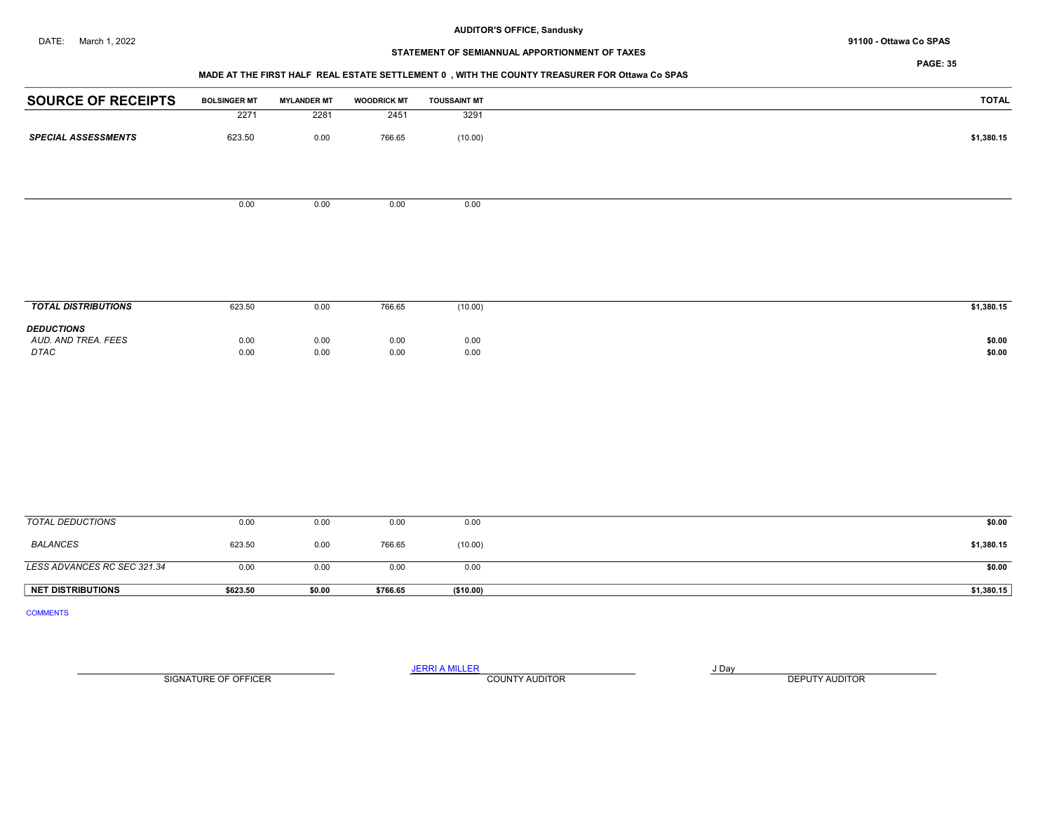# STATEMENT OF SEMIANNUAL APPORTIONMENT OF TAXES

## MADE AT THE FIRST HALF REAL ESTATE SETTLEMENT 0 , WITH THE COUNTY TREASURER FOR Ottawa Co SPAS

| <b>SOURCE OF RECEIPTS</b>                        | <b>BOLSINGER MT</b> | <b>MYLANDER MT</b> | <b>WOODRICK MT</b> | <b>TOUSSAINT MT</b> | <b>TOTAL</b>     |
|--------------------------------------------------|---------------------|--------------------|--------------------|---------------------|------------------|
|                                                  | 2271                | 2281               | 2451               | 3291                |                  |
| <b>SPECIAL ASSESSMENTS</b>                       | 623.50              | 0.00               | 766.65             | (10.00)             | \$1,380.15       |
|                                                  |                     |                    |                    |                     |                  |
|                                                  | 0.00                | 0.00               | 0.00               | 0.00                |                  |
|                                                  |                     |                    |                    |                     |                  |
|                                                  |                     |                    |                    |                     |                  |
|                                                  |                     |                    |                    |                     |                  |
| <b>TOTAL DISTRIBUTIONS</b>                       | 623.50              | 0.00               | 766.65             | (10.00)             | \$1,380.15       |
| <b>DEDUCTIONS</b><br>AUD. AND TREA. FEES<br>DTAC | 0.00<br>0.00        | 0.00<br>0.00       | 0.00<br>0.00       | 0.00<br>0.00        | \$0.00<br>\$0.00 |
|                                                  |                     |                    |                    |                     |                  |
|                                                  |                     |                    |                    |                     |                  |
|                                                  |                     |                    |                    |                     |                  |
|                                                  |                     |                    |                    |                     |                  |
|                                                  |                     |                    |                    |                     |                  |
| -------                                          |                     |                    |                    |                     |                  |

| <b>NET DISTRIBUTIONS</b>    | \$623.50 | \$0.00 | \$766.65 | (\$10.00) | \$1,380.15 |
|-----------------------------|----------|--------|----------|-----------|------------|
| LESS ADVANCES RC SEC 321.34 | 0.00     | 0.00   | 0.00     | 0.00      | \$0.00     |
| <b>BALANCES</b>             | 623.50   | 0.00   | 766.65   | (10.00)   | \$1,380.15 |
| TOTAL DEDUCTIONS            | 0.00     | 0.00   | 0.00     | 0.00      | \$0.00     |

COMMENTS

JERRI A MILLER COUNTY AUDITOR **FOUR SERVICE ASSAULT** ON A LIBRARY OF LIBRARY AND LIBRARY OF LIBRARY OF LIBRARY OF LIBRARY OF LIBRARY OF LIBRARY OF LIBRARY OF LIBRARY OF LIBRARY OF LIBRARY OF LIBRARY OF LIBRARY OF LIBRARY O SIGNATURE OF OFFICER **EXECUTE A RELATION COUNTY AUDITOR** COUNTY AUDITOR **DEPUTY AUDITOR**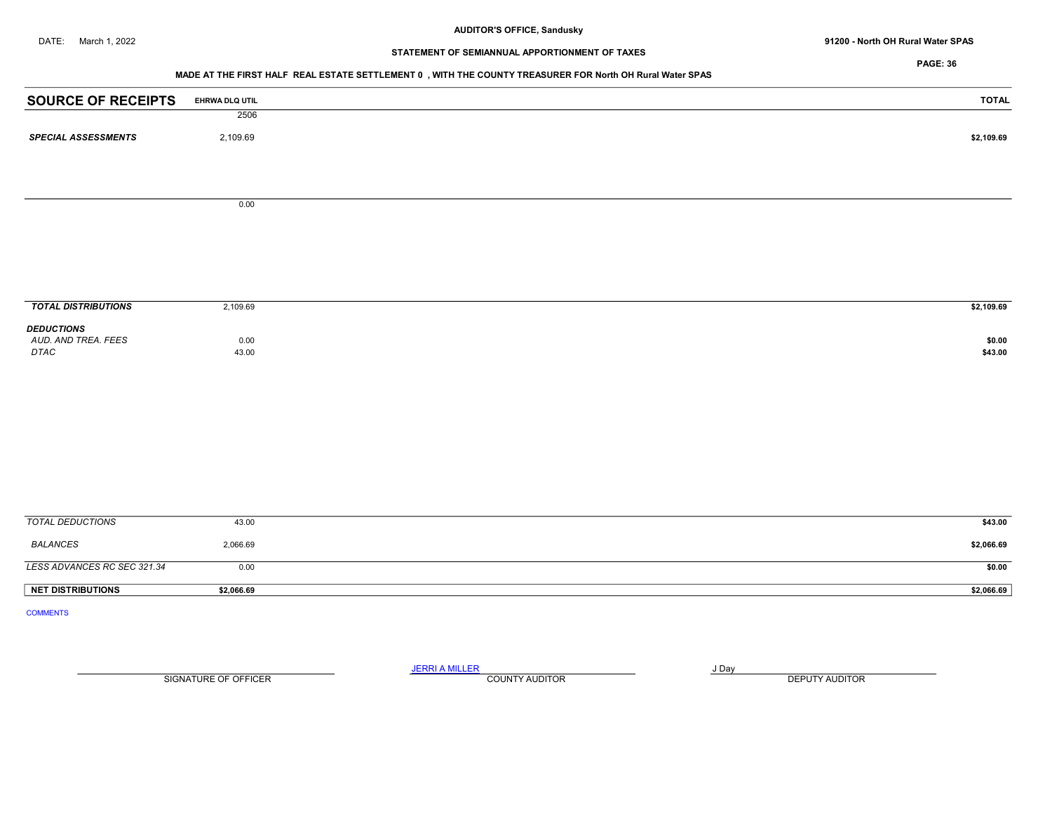DATE: March 1, 2022 91200 - North OH Rural Water SPAS

## STATEMENT OF SEMIANNUAL APPORTIONMENT OF TAXES

PAGE: 36

#### MADE AT THE FIRST HALF REAL ESTATE SETTLEMENT 0 , WITH THE COUNTY TREASURER FOR North OH Rural Water SPAS

| <b>SOURCE OF RECEIPTS</b>   | EHRWA DLQ UTIL | <b>TOTAL</b>      |
|-----------------------------|----------------|-------------------|
|                             | 2506           |                   |
| <b>SPECIAL ASSESSMENTS</b>  | 2,109.69       | \$2,109.69        |
|                             |                |                   |
|                             |                |                   |
|                             | 0.00           |                   |
|                             |                |                   |
|                             |                |                   |
|                             |                |                   |
|                             |                |                   |
|                             |                |                   |
| <b>TOTAL DISTRIBUTIONS</b>  | 2,109.69       | \$2,109.69        |
| <b>DEDUCTIONS</b>           |                |                   |
| AUD. AND TREA. FEES<br>DTAC | 0.00<br>43.00  | \$0.00<br>\$43.00 |
|                             |                |                   |
|                             |                |                   |
|                             |                |                   |
|                             |                |                   |
|                             |                |                   |
|                             |                |                   |
|                             |                |                   |
|                             |                |                   |
| <b>TOTAL DEDUCTIONS</b>     | 43.00          | \$43.00           |
| <b>BALANCES</b>             | 2,066.69       | \$2,066.69        |
| LESS ADVANCES RC SEC 321.34 | 0.00           | \$0.00            |
| <b>NET DISTRIBUTIONS</b>    | \$2,066.69     | \$2,066.69        |
| <b>COMMENTS</b>             |                |                   |

SIGNATURE OF OFFICER **EXECUTE A RELATION COUNTY AUDITOR** COUNTY AUDITOR **DEPUTY AUDITOR** 

JERRI A MILLER COUNTY AUDITOR **FOUND A SERVICE ASSAULT**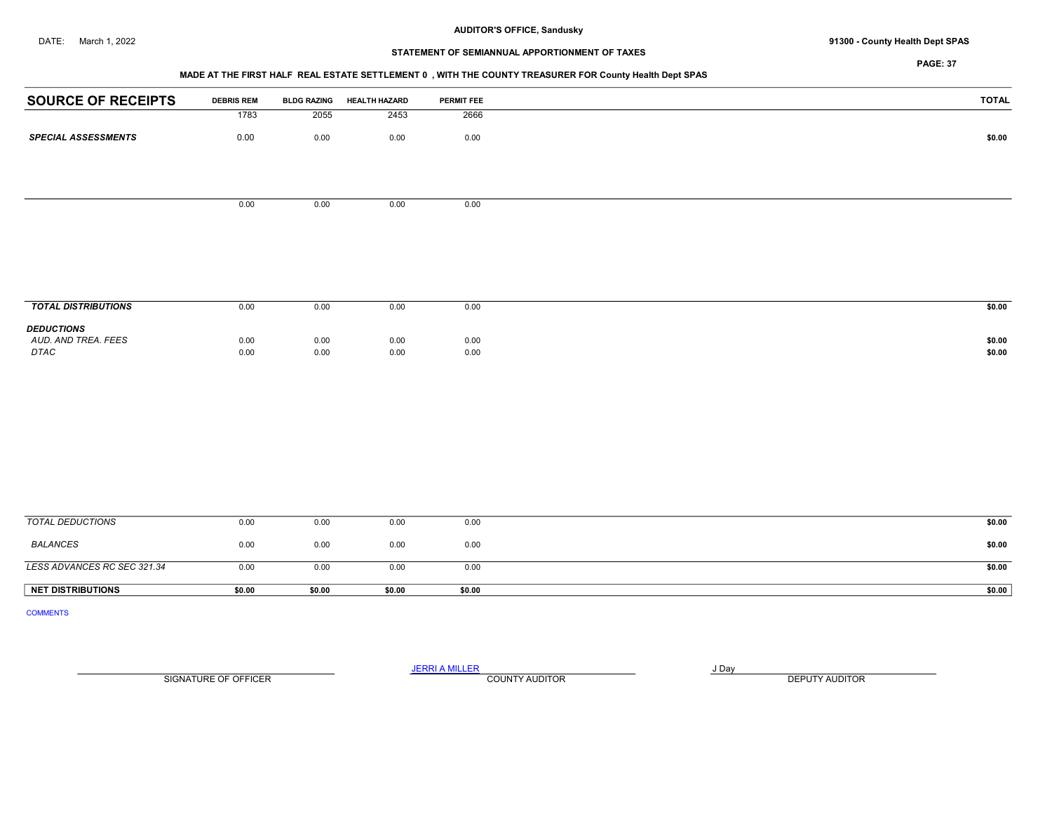## DATE: March 1, 2022 **91300 - County Health Dept SPAS**

## STATEMENT OF SEMIANNUAL APPORTIONMENT OF TAXES

PAGE: 37

## MADE AT THE FIRST HALF REAL ESTATE SETTLEMENT 0 , WITH THE COUNTY TREASURER FOR County Health Dept SPAS

| <b>SOURCE OF RECEIPTS</b>   | <b>DEBRIS REM</b> | <b>BLDG RAZING</b> | <b>HEALTH HAZARD</b> | PERMIT FEE   | <b>TOTAL</b>     |
|-----------------------------|-------------------|--------------------|----------------------|--------------|------------------|
|                             | 1783              | 2055               | 2453                 | 2666         |                  |
| <b>SPECIAL ASSESSMENTS</b>  | $0.00\,$          | 0.00               | 0.00                 | 0.00         | \$0.00           |
|                             |                   |                    |                      |              |                  |
|                             |                   |                    |                      |              |                  |
|                             |                   |                    |                      |              |                  |
|                             | 0.00              | 0.00               | 0.00                 | 0.00         |                  |
|                             |                   |                    |                      |              |                  |
|                             |                   |                    |                      |              |                  |
|                             |                   |                    |                      |              |                  |
|                             |                   |                    |                      |              |                  |
|                             |                   |                    |                      |              |                  |
| <b>TOTAL DISTRIBUTIONS</b>  | 0.00              | 0.00               | 0.00                 | 0.00         | \$0.00           |
| <b>DEDUCTIONS</b>           |                   |                    |                      |              |                  |
| AUD. AND TREA. FEES<br>DTAC | 0.00<br>0.00      | 0.00<br>0.00       | 0.00<br>0.00         | 0.00<br>0.00 | \$0.00<br>\$0.00 |
|                             |                   |                    |                      |              |                  |
|                             |                   |                    |                      |              |                  |
|                             |                   |                    |                      |              |                  |
|                             |                   |                    |                      |              |                  |
|                             |                   |                    |                      |              |                  |
|                             |                   |                    |                      |              |                  |
|                             |                   |                    |                      |              |                  |
|                             |                   |                    |                      |              |                  |
|                             |                   |                    |                      |              |                  |
| <b>TOTAL DEDUCTIONS</b>     | 0.00              | 0.00               | 0.00                 | 0.00         | \$0.00           |
| <b>BALANCES</b>             | 0.00              | 0.00               | 0.00                 | 0.00         | \$0.00           |
|                             |                   |                    |                      |              |                  |
| LESS ADVANCES RC SEC 321.34 | 0.00              | 0.00               | 0.00                 | 0.00         | \$0.00           |

COMMENTS

SIGNATURE OF OFFICER **EXECUTE A RELATION COUNTY AUDITOR** COUNTY AUDITOR **DEPUTY AUDITOR** 

JERRI A MILLER COUNTY AUDITOR **Finally COUNTY AUDITOR** 

NET DISTRIBUTIONS \$0.00 \$0.00 \$0.00 \$0.00 \$0.00 \$0.00 \$0.00 \$0.00 \$0.00 \$0.00 \$0.00 \$0.00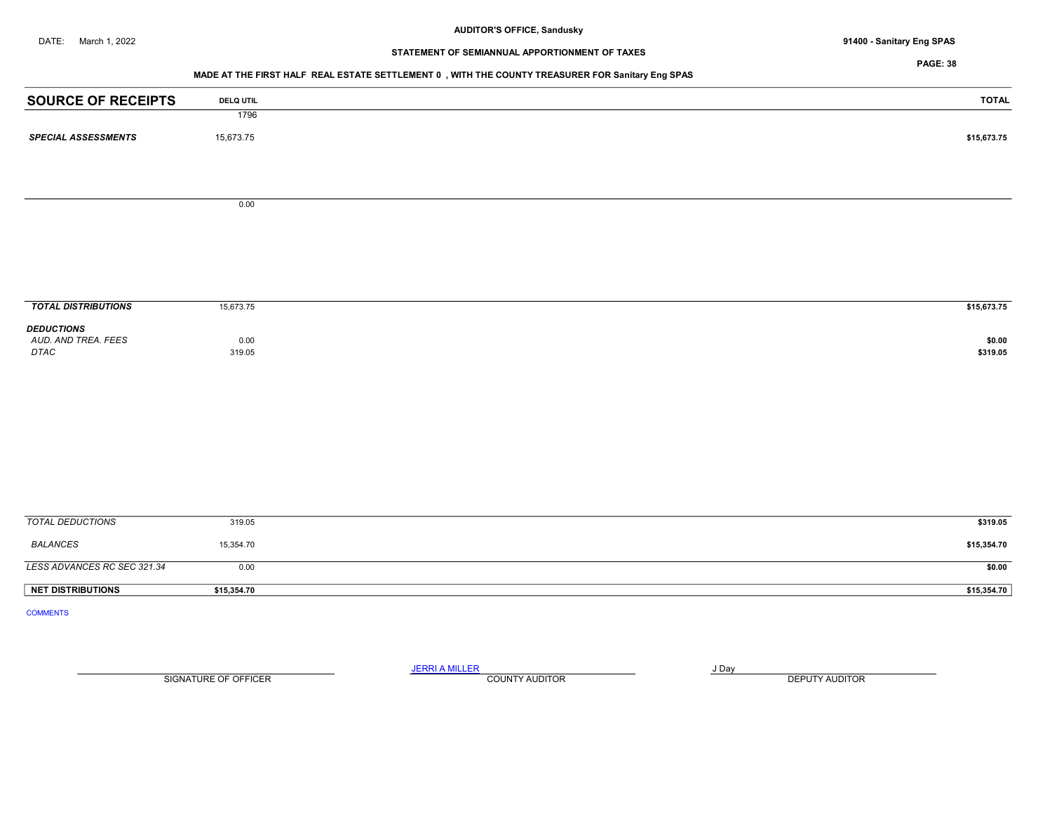# STATEMENT OF SEMIANNUAL APPORTIONMENT OF TAXES

PAGE: 38

# MADE AT THE FIRST HALF REAL ESTATE SETTLEMENT 0 , WITH THE COUNTY TREASURER FOR Sanitary Eng SPAS

| <b>TOTAL</b> | <b>DELQ UTIL</b> | <b>SOURCE OF RECEIPTS</b>    |
|--------------|------------------|------------------------------|
|              | 1796             |                              |
| \$15,673.75  | 15,673.75        | <b>SPECIAL ASSESSMENTS</b>   |
|              |                  |                              |
|              | 0.00             |                              |
|              |                  |                              |
|              |                  |                              |
|              |                  |                              |
| \$15,673.75  | 15,673.75        | <b>TOTAL DISTRIBUTIONS</b>   |
|              |                  | <b>DEDUCTIONS</b>            |
| \$0.00       | 0.00             | AUD. AND TREA. FEES          |
| \$319.05     | 319.05           | $\ensuremath{\mathit{DTAC}}$ |
|              |                  |                              |
|              |                  |                              |
|              |                  |                              |
|              |                  |                              |
|              |                  |                              |
| \$319.05     | 319.05           | <b>TOTAL DEDUCTIONS</b>      |
| \$15,354.70  | 15,354.70        | <b>BALANCES</b>              |
| \$0.00       | 0.00             | LESS ADVANCES RC SEC 321.34  |
| \$15,354.70  | \$15,354.70      | <b>NET DISTRIBUTIONS</b>     |

SIGNATURE OF OFFICER **EXECUTE A RELATION COUNTY AUDITOR** COUNTY AUDITOR **DEPUTY AUDITOR** 

JERRI A MILLER COUNTY AUDITOR **COUNTY AUDITOR**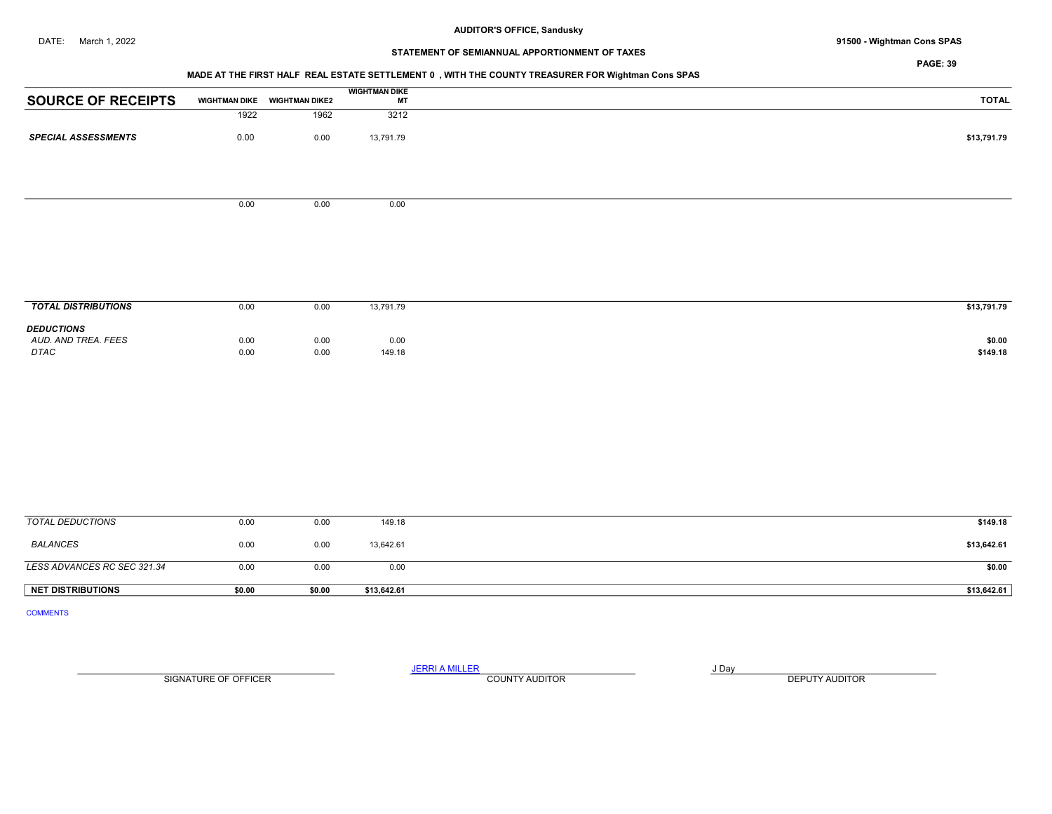## DATE: March 1, 2022 91500 - Wightman Cons SPAS

## STATEMENT OF SEMIANNUAL APPORTIONMENT OF TAXES

PAGE: 39

# MADE AT THE FIRST HALF REAL ESTATE SETTLEMENT 0 , WITH THE COUNTY TREASURER FOR Wightman Cons SPAS

|                            |                      |                       | <b>WIGHTMAN DIKE</b> |
|----------------------------|----------------------|-----------------------|----------------------|
| <b>SOURCE OF RECEIPTS</b>  | <b>WIGHTMAN DIKE</b> | <b>WIGHTMAN DIKE2</b> | МT                   |
|                            | 1922                 | 1962                  | 3212                 |
| <b>SPECIAL ASSESSMENTS</b> | 0.00                 | 0.00                  | 13,791.79            |
|                            |                      |                       |                      |
|                            |                      |                       |                      |

 $0.00$  0.00 0.00

| <b>TOTAL DISTRIBUTIONS</b>                       | 0.00         | 0.00         | 13,791.79      | \$13,791.79        |
|--------------------------------------------------|--------------|--------------|----------------|--------------------|
| <b>DEDUCTIONS</b><br>AUD. AND TREA. FEES<br>DTAC | 0.00<br>0.00 | 0.00<br>0.00 | 0.00<br>149.18 | \$0.00<br>\$149.18 |

| <b>NET DISTRIBUTIONS</b>    | \$0.00 | \$0.00 | \$13,642.61 | \$13,642.61 |
|-----------------------------|--------|--------|-------------|-------------|
| LESS ADVANCES RC SEC 321.34 | 0.00   | 0.00   | 0.00        | \$0.00      |
| <b>BALANCES</b>             | 0.00   | 0.00   | 13,642.61   | \$13,642.61 |
| TOTAL DEDUCTIONS            | 0.00   | 0.00   | 149.18      | \$149.18    |

COMMENTS

SIGNATURE OF OFFICER **EXECUTE A RELATION COUNTY AUDITOR** COUNTY AUDITOR **DEPUTY AUDITOR** 

JERRI A MILLER COUNTY AUDITOR **Finally COUNTY AUDITOR**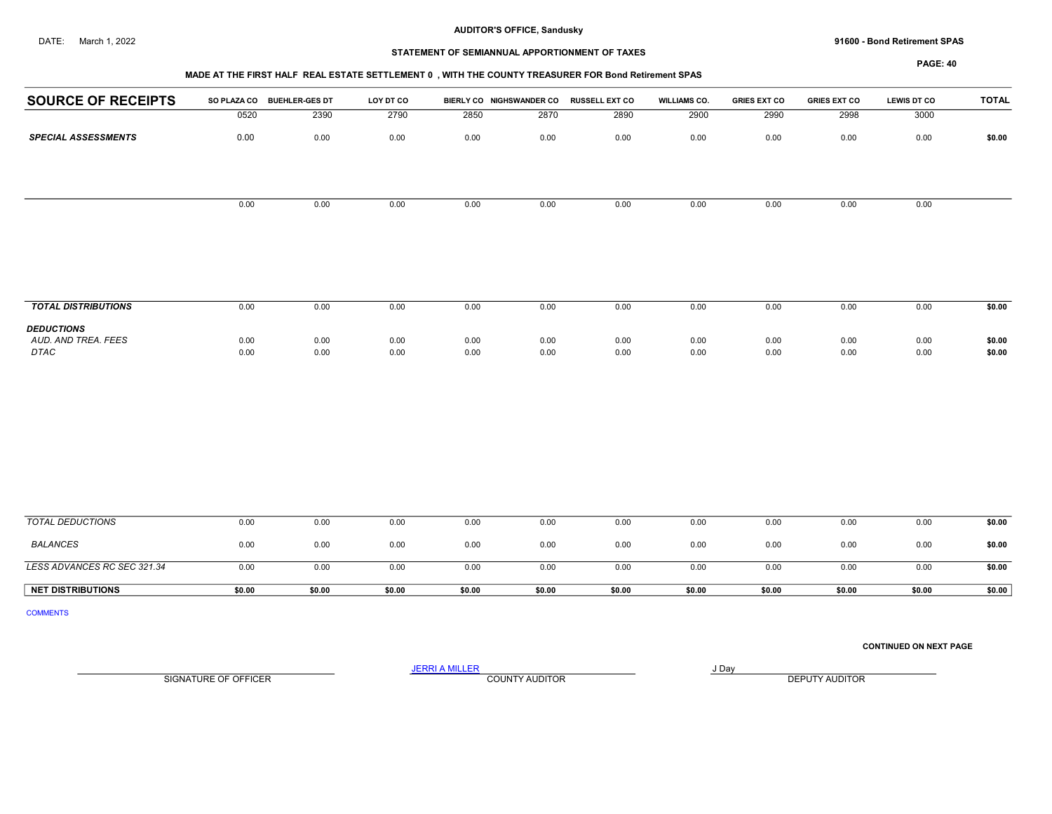#### DATE: March 1, 2022 91600 - Bond Retirement SPAS

## STATEMENT OF SEMIANNUAL APPORTIONMENT OF TAXES

#### PAGE: 40

# MADE AT THE FIRST HALF REAL ESTATE SETTLEMENT 0 , WITH THE COUNTY TREASURER FOR Bond Retirement SPAS

|                            | MADE AT THE FIRST HALF REAL ESTATE SETTLEMENT U, WITH THE COUNTY TREASURER FOR BOND REDIRING SPAS |                       |           |      |                          |                       |                     |                     |                     |                    |              |  |  |  |
|----------------------------|---------------------------------------------------------------------------------------------------|-----------------------|-----------|------|--------------------------|-----------------------|---------------------|---------------------|---------------------|--------------------|--------------|--|--|--|
| <b>SOURCE OF RECEIPTS</b>  | <b>SO PLAZA CO</b>                                                                                | <b>BUEHLER-GES DT</b> | LOY DT CO |      | BIERLY CO NIGHSWANDER CO | <b>RUSSELL EXT CO</b> | <b>WILLIAMS CO.</b> | <b>GRIES EXT CO</b> | <b>GRIES EXT CO</b> | <b>LEWIS DT CO</b> | <b>TOTAL</b> |  |  |  |
|                            | 0520                                                                                              | 2390                  | 2790      | 2850 | 2870                     | 2890                  | 2900                | 2990                | 2998                | 3000               |              |  |  |  |
| <b>SPECIAL ASSESSMENTS</b> | 0.00                                                                                              | 0.00                  | 0.00      | 0.00 | 0.00                     | 0.00                  | 0.00                | 0.00                | 0.00                | 0.00               | \$0.00       |  |  |  |
|                            |                                                                                                   |                       |           |      |                          |                       |                     |                     |                     |                    |              |  |  |  |
|                            | 0.00                                                                                              | 0.00                  | 0.00      | 0.00 | 0.00                     | 0.00                  | 0.00                | 0.00                | 0.00                | 0.00               |              |  |  |  |
|                            |                                                                                                   |                       |           |      |                          |                       |                     |                     |                     |                    |              |  |  |  |
|                            |                                                                                                   |                       |           |      |                          |                       |                     |                     |                     |                    |              |  |  |  |
|                            |                                                                                                   |                       |           |      |                          |                       |                     |                     |                     |                    |              |  |  |  |
|                            |                                                                                                   |                       |           |      |                          |                       |                     |                     |                     |                    |              |  |  |  |
| <b>TOTAL DISTRIBUTIONS</b> | 0.00                                                                                              | 0.00                  | 0.00      | 0.00 | 0.00                     | 0.00                  | 0.00                | 0.00                | 0.00                | 0.00               | \$0.00       |  |  |  |
| <b>DEDUCTIONS</b>          |                                                                                                   |                       |           |      |                          |                       |                     |                     |                     |                    |              |  |  |  |
| AUD. AND TREA. FEES        | 0.00                                                                                              | 0.00                  | 0.00      | 0.00 | 0.00                     | 0.00                  | 0.00                | 0.00                | 0.00                | 0.00               | \$0.00       |  |  |  |
| DTAC                       | 0.00                                                                                              | 0.00                  | 0.00      | 0.00 | 0.00                     | 0.00                  | 0.00                | 0.00                | 0.00                | 0.00               | \$0.00       |  |  |  |

| <b>NET DISTRIBUTIONS</b>    | \$0.00 | \$0.00 | \$0.00 | \$0.00 | \$0.00 | \$0.00 | \$0.00 | \$0.00 | \$0.00 | \$0.00 | \$0.00 |
|-----------------------------|--------|--------|--------|--------|--------|--------|--------|--------|--------|--------|--------|
| LESS ADVANCES RC SEC 321.34 | 0.00   | 0.00   | 0.00   | 0.00   | 0.00   | 0.00   | 0.00   | 0.00   | 0.00   | 0.00   | \$0.00 |
| <b>BALANCES</b>             | 0.00   | 0.00   | 0.00   | 0.00   | 0.00   | 0.00   | 0.00   | 0.00   | 0.00   | 0.00   | \$0.00 |
| TOTAL DEDUCTIONS            | 0.00   | 0.00   | 0.00   | 0.00   | 0.00   | 0.00   | 0.00   | 0.00   | 0.00   | 0.00   | \$0.00 |
|                             |        |        |        |        |        |        |        |        |        |        |        |

COMMENTS

CONTINUED ON NEXT PAGE

SIGNATURE OF OFFICER **EXECUTE A RELATION COUNTY AUDITOR** COUNTY AUDITOR **DEPUTY AUDITOR** 

JERRI A MILLER COUNTY AUDITOR THE RESERVE TO A LIBRARY AND A LIBRARY AND LIBRARY AND LIBRARY AND LIBRARY AND LIBRARY AND LIBRARY AND LIBRARY AND LIBRARY AND LIBRARY AND LIBRARY AND LIBRARY AND LIBRARY AND LIBRARY AND LIBRA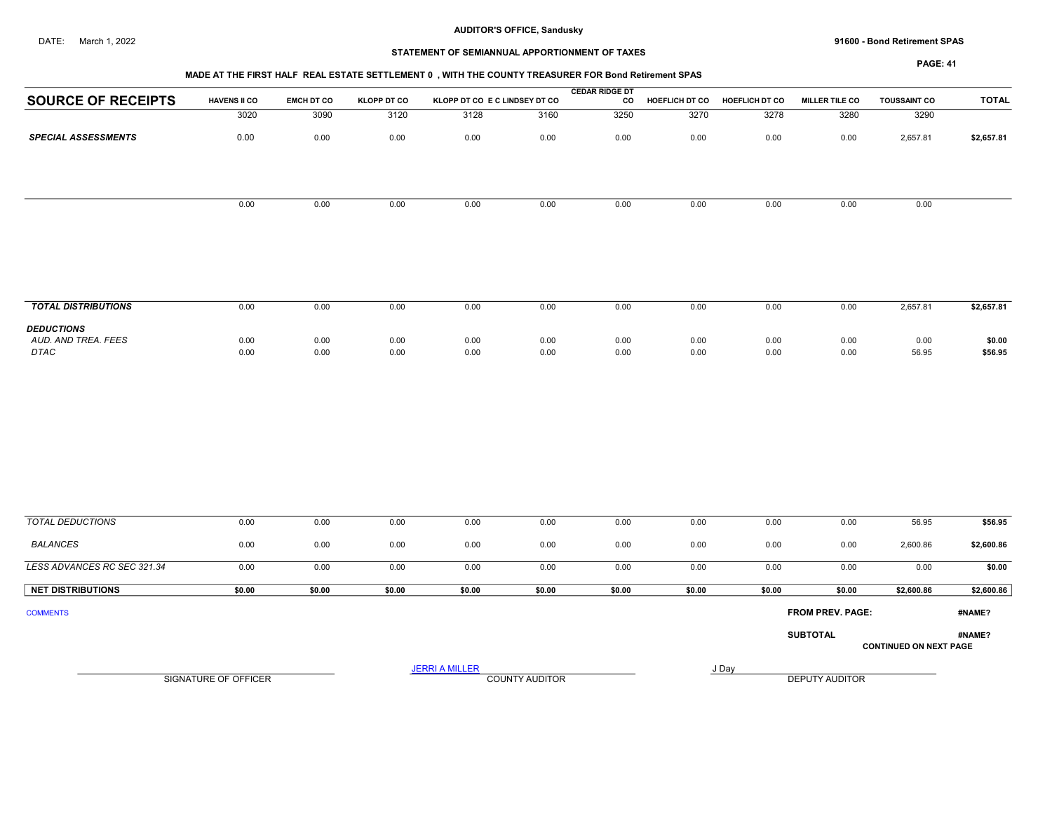## DATE: March 1, 2022 91600 - Bond Retirement SPAS

# STATEMENT OF SEMIANNUAL APPORTIONMENT OF TAXES

| MADE AT THE FIRST HALF REAL ESTATE SETTLEMENT 0 . WITH THE COUNTY TREASURER FOR Bond Retirement SPAS |
|------------------------------------------------------------------------------------------------------|
|                                                                                                      |

|                            |                     |                   |                    |                               |      | <b>CEDAR RIDGE DT</b> |                       |                       |                       |                     |              |
|----------------------------|---------------------|-------------------|--------------------|-------------------------------|------|-----------------------|-----------------------|-----------------------|-----------------------|---------------------|--------------|
| <b>SOURCE OF RECEIPTS</b>  | <b>HAVENS II CO</b> | <b>EMCH DT CO</b> | <b>KLOPP DT CO</b> | KLOPP DT CO E C LINDSEY DT CO |      | <b>CO</b>             | <b>HOEFLICH DT CO</b> | <b>HOEFLICH DT CO</b> | <b>MILLER TILE CO</b> | <b>TOUSSAINT CO</b> | <b>TOTAL</b> |
|                            | 3020                | 3090              | 3120               | 3128                          | 3160 | 3250                  | 3270                  | 3278                  | 3280                  | 3290                |              |
| <b>SPECIAL ASSESSMENTS</b> | 0.00                | 0.00              | 0.00               | 0.00                          | 0.00 | 0.00                  | 0.00                  | 0.00                  | 0.00                  | 2,657.81            | \$2,657.81   |
|                            |                     |                   |                    |                               |      |                       |                       |                       |                       |                     |              |
|                            |                     |                   |                    |                               |      |                       |                       |                       |                       |                     |              |
|                            | 0.00                | 0.00              | 0.00               | 0.00                          | 0.00 | 0.00                  | 0.00                  | 0.00                  | 0.00                  | 0.00                |              |
|                            |                     |                   |                    |                               |      |                       |                       |                       |                       |                     |              |
|                            |                     |                   |                    |                               |      |                       |                       |                       |                       |                     |              |
|                            |                     |                   |                    |                               |      |                       |                       |                       |                       |                     |              |

| <b>TOTAL DISTRIBUTIONS</b>                       | 0.00         | 0.00                                 | 0.00         | 0.06         | 0.00         | 0.00         | 0.00         | 0.00         | 0.00         | 2,657.81      | \$2,657.81        |
|--------------------------------------------------|--------------|--------------------------------------|--------------|--------------|--------------|--------------|--------------|--------------|--------------|---------------|-------------------|
| <b>DEDUCTIONS</b><br>AUD. AND TREA. FEES<br>DTAC | 0.00<br>0.00 | 0.00<br>$\sim$ $\sim$ $\sim$<br>0.00 | 0.00<br>0.00 | 0.00<br>0.00 | 0.00<br>0.00 | 0.00<br>0.00 | 0.00<br>0.00 | 0.00<br>0.00 | 0.00<br>0.00 | 0.00<br>56.95 | \$0.00<br>\$56.95 |

| TOTAL DEDUCTIONS            | 0.00                 | 0.00   | 0.00   | 0.00                  | 0.00                  | 0.00   | 0.00   | 0.00   | 0.00                    | 56.95                         | \$56.95    |
|-----------------------------|----------------------|--------|--------|-----------------------|-----------------------|--------|--------|--------|-------------------------|-------------------------------|------------|
| BALANCES                    | 0.00                 | 0.00   | 0.00   | 0.00                  | 0.00                  | 0.00   | 0.00   | 0.00   | 0.00                    | 2,600.86                      | \$2,600.86 |
| LESS ADVANCES RC SEC 321.34 | 0.00                 | 0.00   | 0.00   | 0.00                  | 0.00                  | 0.00   | 0.00   | 0.00   | 0.00                    | 0.00                          | \$0.00     |
| <b>NET DISTRIBUTIONS</b>    | \$0.00               | \$0.00 | \$0.00 | \$0.00                | \$0.00                | \$0.00 | \$0.00 | \$0.00 | \$0.00                  | \$2,600.86                    | \$2,600.86 |
| <b>COMMENTS</b>             |                      |        |        |                       |                       |        |        |        | <b>FROM PREV. PAGE:</b> |                               | #NAME?     |
|                             |                      |        |        |                       |                       |        |        |        | <b>SUBTOTAL</b>         | <b>CONTINUED ON NEXT PAGE</b> | #NAME?     |
|                             | SIGNATURE OF OFFICER |        |        | <b>JERRI A MILLER</b> | <b>COUNTY AUDITOR</b> |        | J Day  |        | <b>DEPUTY AUDITOR</b>   |                               |            |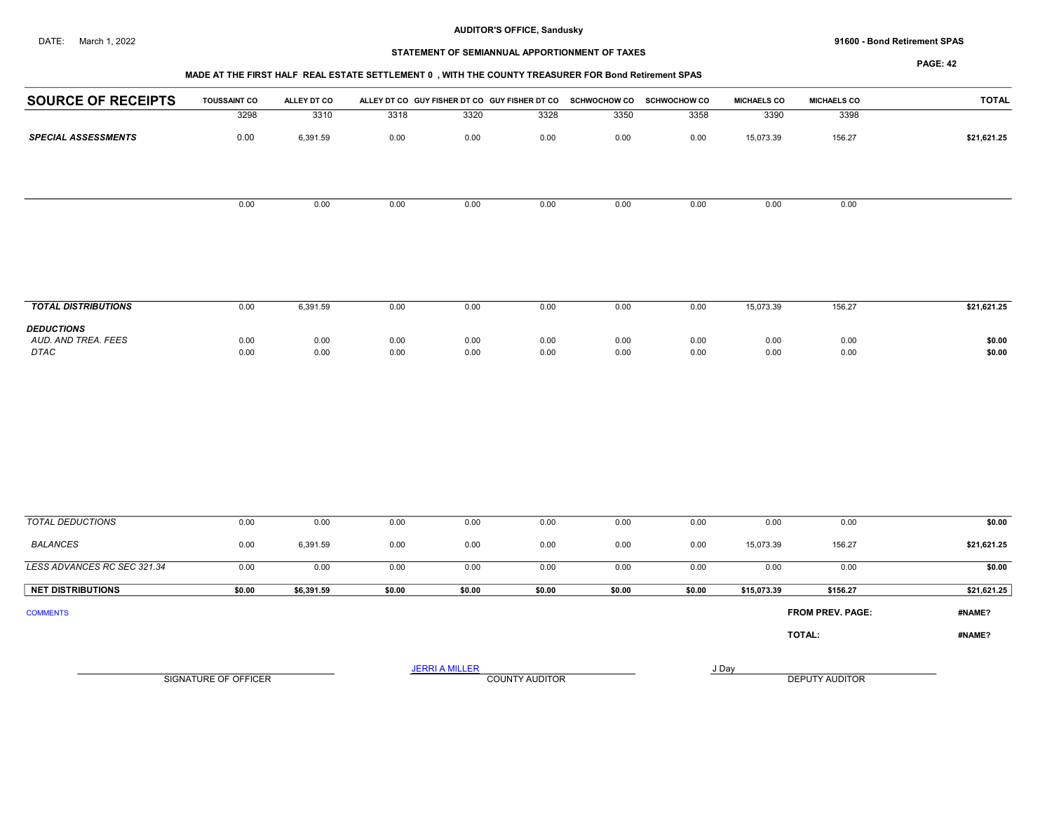DATE: March 1, 2022 91600 - Bond Retirement SPAS

# STATEMENT OF SEMIANNUAL APPORTIONMENT OF TAXES

## MADE AT THE FIRST HALF REAL ESTATE SETTLEMENT 0 , WITH THE COUNTY TREASURER FOR Bond Retirement SPAS

| <b>SOURCE OF RECEIPTS</b>   | <b>TOUSSAINT CO</b>  | ALLEY DT CO  |              | ALLEY DT CO GUY FISHER DT CO GUY FISHER DT CO SCHWOCHOW CO SCHWOCHOW CO |                |              |              | <b>MICHAELS CO</b> | <b>MICHAELS CO</b>      | <b>TOTAL</b>     |
|-----------------------------|----------------------|--------------|--------------|-------------------------------------------------------------------------|----------------|--------------|--------------|--------------------|-------------------------|------------------|
|                             | 3298                 | 3310         | 3318         | 3320                                                                    | 3328           | 3350         | 3358         | 3390               | 3398                    |                  |
| <b>SPECIAL ASSESSMENTS</b>  | 0.00                 | 6,391.59     | 0.00         | 0.00                                                                    | 0.00           | 0.00         | 0.00         | 15,073.39          | 156.27                  | \$21,621.25      |
|                             |                      |              |              |                                                                         |                |              |              |                    |                         |                  |
|                             | 0.00                 | 0.00         | 0.00         | 0.00                                                                    | 0.00           | 0.00         | 0.00         | 0.00               | 0.00                    |                  |
|                             |                      |              |              |                                                                         |                |              |              |                    |                         |                  |
| <b>TOTAL DISTRIBUTIONS</b>  | 0.00                 | 6,391.59     | 0.00         | 0.00                                                                    | 0.00           | 0.00         | 0.00         | 15,073.39          | 156.27                  | \$21,621.25      |
| <b>DEDUCTIONS</b>           |                      |              |              |                                                                         |                |              |              |                    |                         |                  |
| AUD. AND TREA. FEES<br>DTAC | 0.00<br>0.00         | 0.00<br>0.00 | 0.00<br>0.00 | 0.00<br>0.00                                                            | 0.00<br>0.00   | 0.00<br>0.00 | 0.00<br>0.00 | 0.00<br>0.00       | 0.00<br>0.00            | \$0.00<br>\$0.00 |
|                             |                      |              |              |                                                                         |                |              |              |                    |                         |                  |
|                             |                      |              |              |                                                                         |                |              |              |                    |                         |                  |
| <b>TOTAL DEDUCTIONS</b>     | 0.00                 | 0.00         | 0.00         | 0.00                                                                    | 0.00           | 0.00         | 0.00         | 0.00               | 0.00                    | \$0.00           |
| <b>BALANCES</b>             | 0.00                 | 6,391.59     | 0.00         | 0.00                                                                    | 0.00           | 0.00         | 0.00         | 15,073.39          | 156.27                  | \$21,621.25      |
| LESS ADVANCES RC SEC 321.34 | 0.00                 | 0.00         | 0.00         | 0.00                                                                    | 0.00           | 0.00         | 0.00         | 0.00               | 0.00                    | \$0.00           |
| <b>NET DISTRIBUTIONS</b>    | \$0.00               | \$6,391.59   | \$0.00       | \$0.00                                                                  | \$0.00         | \$0.00       | \$0.00       | \$15,073.39        | \$156.27                | \$21,621.25      |
| <b>COMMENTS</b>             |                      |              |              |                                                                         |                |              |              |                    | <b>FROM PREV. PAGE:</b> | #NAME?           |
|                             |                      |              |              |                                                                         |                |              |              |                    | TOTAL:                  | #NAME?           |
|                             |                      |              |              | <b>JERRI A MILLER</b>                                                   |                |              |              | J Day              |                         |                  |
|                             | SIGNATURE OF OFFICER |              |              |                                                                         | COUNTY AUDITOR |              |              |                    | DEPUTY AUDITOR          |                  |
|                             |                      |              |              |                                                                         |                |              |              |                    |                         |                  |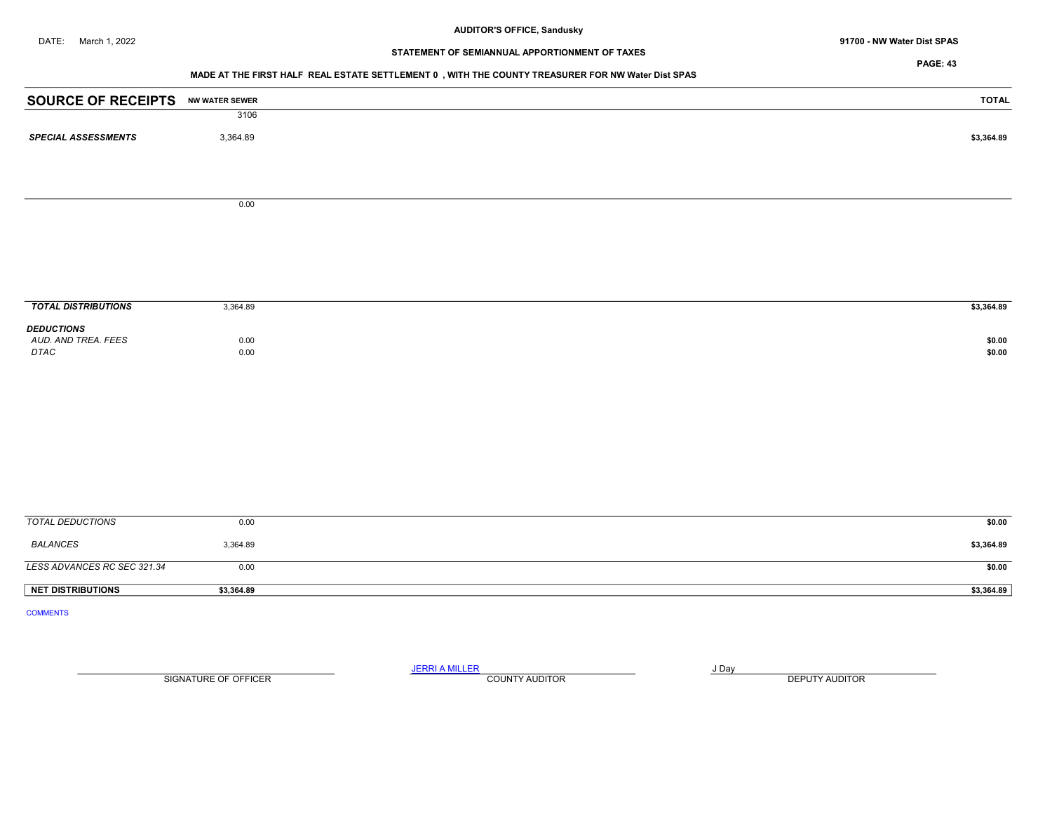DATE: March 1, 2022 **91700 - NW Water Dist SPAS** 

# STATEMENT OF SEMIANNUAL APPORTIONMENT OF TAXES

PAGE: 43

#### MADE AT THE FIRST HALF REAL ESTATE SETTLEMENT 0 , WITH THE COUNTY TREASURER FOR NW Water Dist SPAS

| <b>SOURCE OF RECEIPTS NW WATER SEWER</b> |            | <b>TOTAL</b> |
|------------------------------------------|------------|--------------|
|                                          | 3106       |              |
| <b>SPECIAL ASSESSMENTS</b>               | 3,364.89   | \$3,364.89   |
|                                          |            |              |
|                                          | 0.00       |              |
|                                          |            |              |
|                                          |            |              |
| <b>TOTAL DISTRIBUTIONS</b>               | 3,364.89   | \$3,364.89   |
| <b>DEDUCTIONS</b>                        |            |              |
| AUD. AND TREA. FEES                      | 0.00       | \$0.00       |
| DTAC                                     | 0.00       | \$0.00       |
|                                          |            |              |
|                                          |            |              |
|                                          |            |              |
|                                          |            |              |
|                                          |            |              |
| <b>TOTAL DEDUCTIONS</b>                  | 0.00       | \$0.00       |
| <b>BALANCES</b>                          | 3,364.89   | \$3,364.89   |
| LESS ADVANCES RC SEC 321.34              | 0.00       | \$0.00       |
| <b>NET DISTRIBUTIONS</b>                 | \$3,364.89 | \$3,364.89   |
| <b>COMMENTS</b>                          |            |              |

SIGNATURE OF OFFICER **EXECUTE A RELATION COUNTY AUDITOR** COUNTY AUDITOR **DEPUTY AUDITOR** 

JERRI A MILLER COUNTY AUDITOR **FOUND A SERVICE ASSAULT**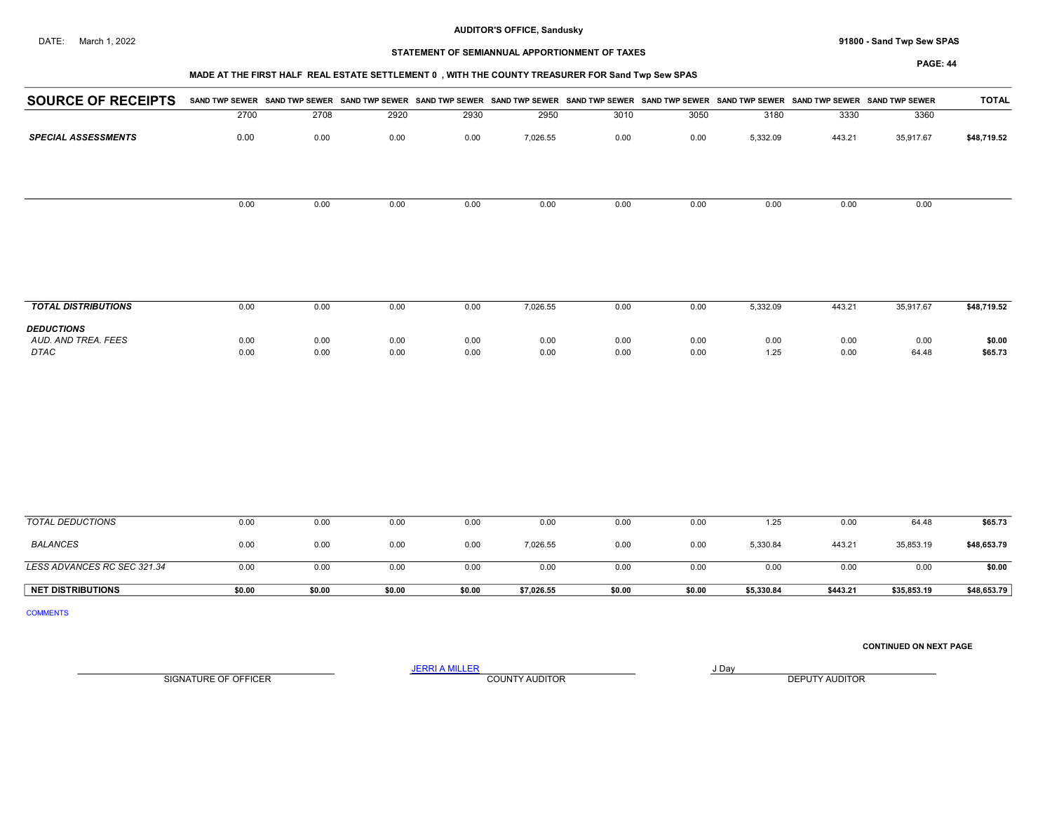DATE: March 1, 2022 91800 - Sand Twp Sew SPAS

## STATEMENT OF SEMIANNUAL APPORTIONMENT OF TAXES

## MADE AT THE FIRST HALF REAL ESTATE SETTLEMENT 0 , WITH THE COUNTY TREASURER FOR Sand Twp Sew SPAS

PAGE: 44

| <b>SOURCE OF RECEIPTS</b>  |      | SAND TWP SEWER SAND TWP SEWER SAND TWP SEWER SAND TWP SEWER SAND TWP SEWER SAND TWP SEWER SAND TWP SEWER SAND TWP SEWER SAND TWP SEWER |      |      |          |      |      |          |        | <b>SAND TWP SEWER</b> | <b>TOTAL</b> |
|----------------------------|------|----------------------------------------------------------------------------------------------------------------------------------------|------|------|----------|------|------|----------|--------|-----------------------|--------------|
|                            | 2700 | 2708                                                                                                                                   | 2920 | 2930 | 2950     | 3010 | 3050 | 3180     | 3330   | 3360                  |              |
| <b>SPECIAL ASSESSMENTS</b> | 0.00 | 0.00                                                                                                                                   | 0.00 | 0.00 | 7,026.55 | 0.00 | 0.00 | 5,332.09 | 443.21 | 35,917.67             | \$48,719.52  |
|                            |      |                                                                                                                                        |      |      |          |      |      |          |        |                       |              |
|                            | 0.00 | 0.00                                                                                                                                   | 0.00 | 0.00 | 0.00     | 0.00 | 0.00 | 0.00     | 0.00   | 0.00                  |              |
|                            |      |                                                                                                                                        |      |      |          |      |      |          |        |                       |              |
|                            |      |                                                                                                                                        |      |      |          |      |      |          |        |                       |              |
| <b>TOTAL DISTRIBUTIONS</b> | 0.00 | 0.00                                                                                                                                   | 0.00 | 0.00 | 7,026.55 | 0.00 | 0.00 | 5,332.09 | 443.21 | 35,917.67             | \$48,719.52  |
| <b>DEDUCTIONS</b>          |      |                                                                                                                                        |      |      |          |      |      |          |        |                       |              |
| AUD, AND TREA, FEES        | 0.00 | 0.00                                                                                                                                   | 0.00 | 0.00 | 0.00     | 0.00 | 0.00 | 0.00     | 0.00   | 0.00                  | \$0.00       |
| DTAC                       | 0.00 | 0.00                                                                                                                                   | 0.00 | 0.00 | 0.00     | 0.00 | 0.00 | 1.25     | 0.00   | 64.48                 | \$65.73      |

| TOTAL DEDUCTIONS            | 0.00   | 0.00   | 0.00   | 0.00   | 0.00       | 0.00   | 0.00   | 1.25       | 0.00     | 64.48       | \$65.73     |
|-----------------------------|--------|--------|--------|--------|------------|--------|--------|------------|----------|-------------|-------------|
| <b>BALANCES</b>             | 0.00   | 0.00   | 0.00   | 0.00   | 7,026.55   | 0.00   | 0.00   | 5,330.84   | 443.21   | 35,853.19   | \$48,653.79 |
| LESS ADVANCES RC SEC 321.34 | 0.00   | 0.00   | 0.00   | 0.00   | 0.00       | 0.00   | 0.00   | 0.00       | 0.OC     | 0.00        | \$0.00      |
| <b>NET DISTRIBUTIONS</b>    | \$0.00 | \$0.00 | \$0.00 | \$0.00 | \$7,026.55 | \$0.00 | \$0.00 | \$5,330.84 | \$443.21 | \$35,853.19 | \$48,653.79 |

COMMENTS

CONTINUED ON NEXT PAGE

SIGNATURE OF OFFICER **EXECUTY AUDITOR** COUNTY AUDITOR **COUNTY AUDITOR DEPUTY AUDITOR** 

JERRI A MILLER COUNTY AUDITOR **Finally COUNTY AUDITOR**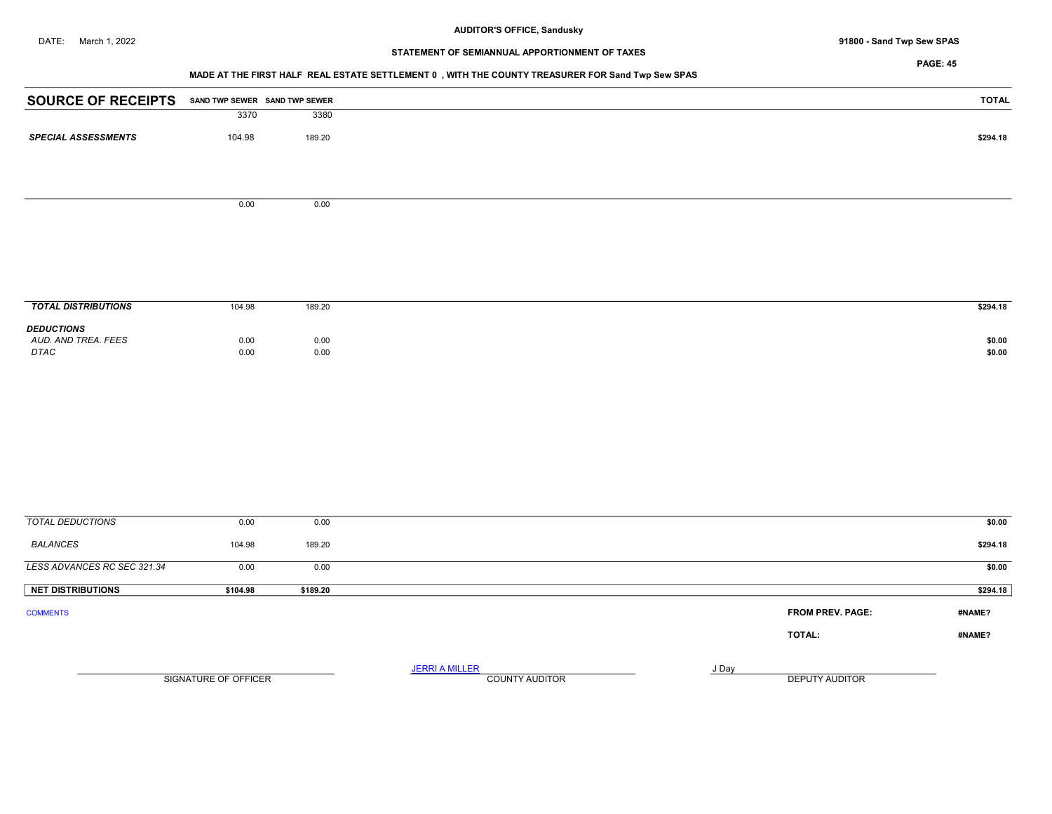## DATE: March 1, 2022 91800 - Sand Twp Sew SPAS

# STATEMENT OF SEMIANNUAL APPORTIONMENT OF TAXES

## PAGE: 45

# MADE AT THE FIRST HALF REAL ESTATE SETTLEMENT 0 , WITH THE COUNTY TREASURER FOR Sand Twp Sew SPAS

| <b>SOURCE OF RECEIPTS</b>  |        | SAND TWP SEWER SAND TWP SEWER | <b>TOTAL</b> |
|----------------------------|--------|-------------------------------|--------------|
|                            | 3370   | 3380                          |              |
| <b>SPECIAL ASSESSMENTS</b> | 104.98 | 189.20                        | \$294.18     |
|                            |        |                               |              |
|                            |        |                               |              |
|                            | 0.00   | 0.00                          |              |
|                            |        |                               |              |

| <b>TOTAL DISTRIBUTIONS</b>                       | 104.98                               | 189.20                                   | \$294.18         |
|--------------------------------------------------|--------------------------------------|------------------------------------------|------------------|
| <b>DEDUCTIONS</b><br>AUD. AND TREA. FEES<br>DTAC | 0.00<br>$\sim$ $\sim$ $\sim$<br>0.00 | $0.00$<br>$0.00$<br>$\sim$ $\sim$ $\sim$ | \$0.00<br>\$0.00 |

| TOTAL DEDUCTIONS            | 0.00                 | 0.00     |                                                |       | \$0.00                            |
|-----------------------------|----------------------|----------|------------------------------------------------|-------|-----------------------------------|
| <b>BALANCES</b>             | 104.98               | 189.20   |                                                |       | \$294.18                          |
| LESS ADVANCES RC SEC 321.34 | 0.00                 | 0.00     |                                                |       | \$0.00                            |
| <b>NET DISTRIBUTIONS</b>    | \$104.98             | \$189.20 |                                                |       | \$294.18                          |
| <b>COMMENTS</b>             |                      |          |                                                |       | <b>FROM PREV. PAGE:</b><br>#NAME? |
|                             |                      |          |                                                |       | TOTAL:<br>#NAME?                  |
|                             | SIGNATURE OF OFFICER |          | <b>JERRI A MILLER</b><br><b>COUNTY AUDITOR</b> | J Day | DEPUTY AUDITOR                    |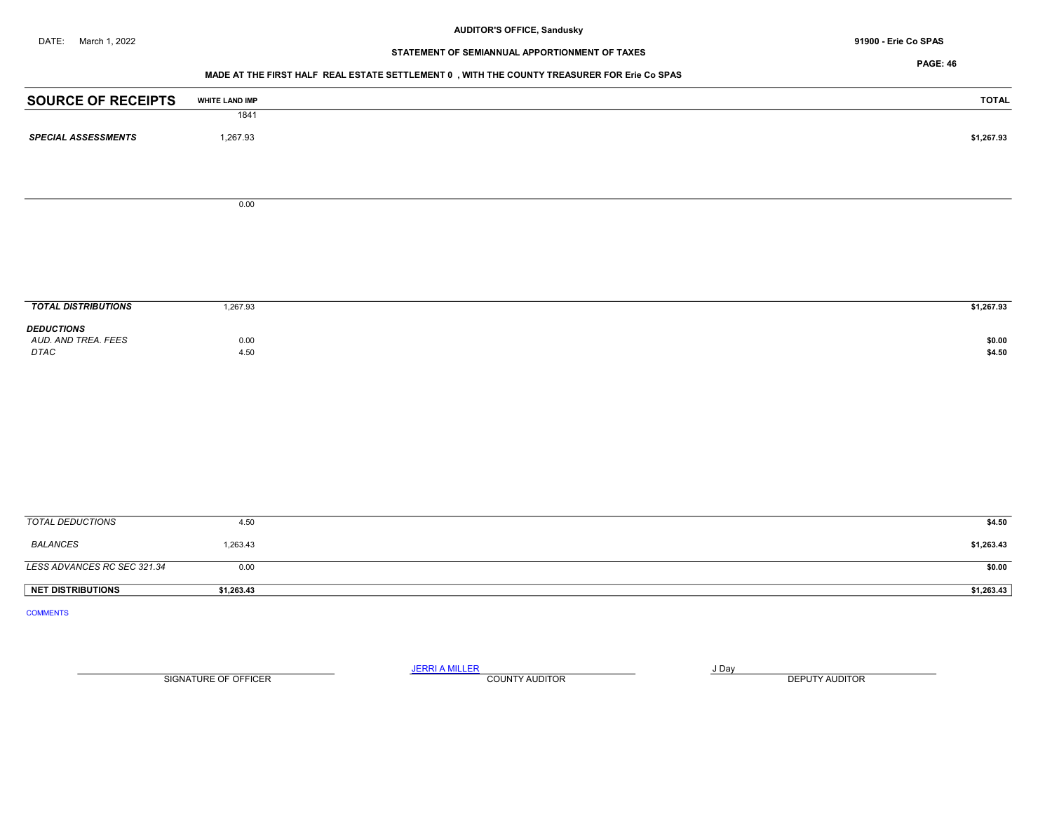# STATEMENT OF SEMIANNUAL APPORTIONMENT OF TAXES

PAGE: 46

## MADE AT THE FIRST HALF REAL ESTATE SETTLEMENT 0 , WITH THE COUNTY TREASURER FOR Erie Co SPAS

| <b>SOURCE OF RECEIPTS</b>                | <b>WHITE LAND IMP</b> | <b>TOTAL</b> |
|------------------------------------------|-----------------------|--------------|
|                                          | 1841                  |              |
| <b>SPECIAL ASSESSMENTS</b>               | 1,267.93              | \$1,267.93   |
|                                          |                       |              |
|                                          |                       |              |
|                                          | 0.00                  |              |
|                                          |                       |              |
|                                          |                       |              |
|                                          |                       |              |
|                                          |                       |              |
|                                          |                       |              |
| <b>TOTAL DISTRIBUTIONS</b>               | 1,267.93              | \$1,267.93   |
| <b>DEDUCTIONS</b><br>AUD. AND TREA. FEES |                       | \$0.00       |
| DTAC                                     | 0.00<br>4.50          | \$4.50       |
|                                          |                       |              |
|                                          |                       |              |
|                                          |                       |              |
|                                          |                       |              |
|                                          |                       |              |
|                                          |                       |              |
|                                          |                       |              |
|                                          |                       |              |
| <b>TOTAL DEDUCTIONS</b>                  | 4.50                  | \$4.50       |
| <b>BALANCES</b>                          | 1,263.43              | \$1,263.43   |
| LESS ADVANCES RC SEC 321.34              | 0.00                  | \$0.00       |
| NET DISTRIBUTIONS                        | \$1,263.43            | \$1,263.43   |
| <b>COMMENTS</b>                          |                       |              |

SIGNATURE OF OFFICER **EXECUTE A RELATION COUNTY AUDITOR** COUNTY AUDITOR **DEPUTY AUDITOR** 

JERRI A MILLER COUNTY AUDITOR **FOUND A SERVICE ASSAULT**